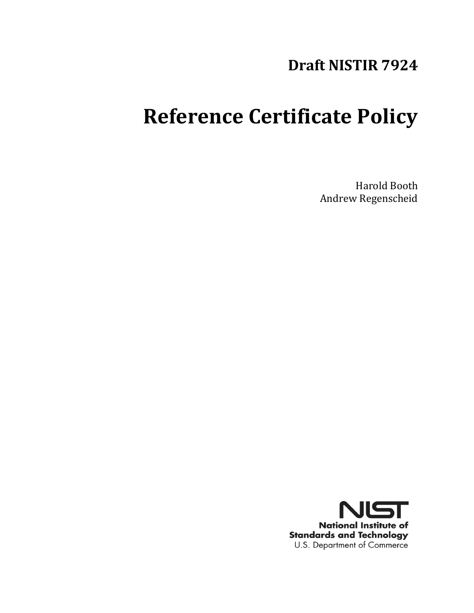# **Draft NISTIR 7924**

# **Reference Certificate Policy**

Harold Booth Andrew Regenscheid

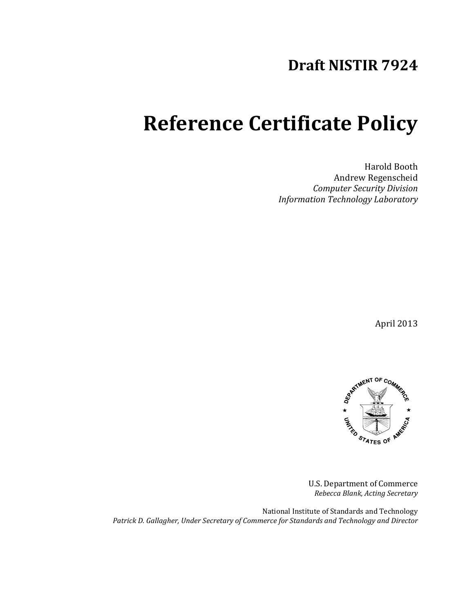## **Draft NISTIR 7924**

# **Reference Certificate Policy**

Harold Booth Andrew Regenscheid *Computer Security Division Information Technology Laboratory*

April 2013



U.S. Department of Commerce *Rebecca Blank, Acting Secretary*

National Institute of Standards and Technology *Patrick D. Gallagher, Under Secretary of Commerce for Standards and Technology and Director*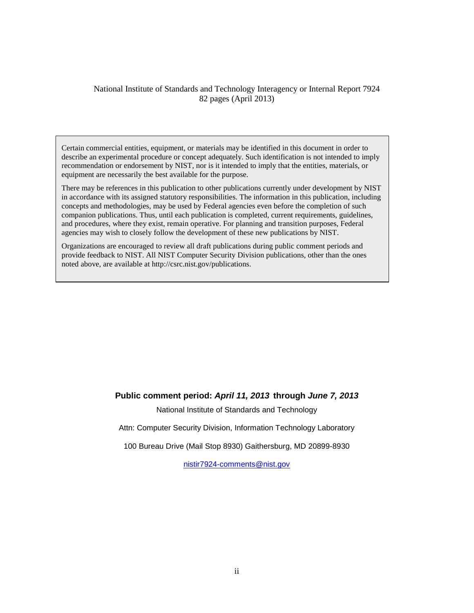#### National Institute of Standards and Technology Interagency or Internal Report 7924 82 pages (April 2013)

describe an experimental procedure or concept adequately. Such identification is not intended to imply Certain commercial entities, equipment, or materials may be identified in this document in order to recommendation or endorsement by NIST, nor is it intended to imply that the entities, materials, or equipment are necessarily the best available for the purpose.

There may be references in this publication to other publications currently under development by NIST in accordance with its assigned statutory responsibilities. The information in this publication, including concepts and methodologies, may be used by Federal agencies even before the completion of such companion publications. Thus, until each publication is completed, current requirements, guidelines, and procedures, where they exist, remain operative. For planning and transition purposes, Federal agencies may wish to closely follow the development of these new publications by NIST.

Organizations are encouraged to review all draft publications during public comment periods and provide feedback to NIST. All NIST Computer Security Division publications, other than the ones noted above, are available at http://csrc.nist.gov/publications.

#### **Public comment period:** *April 11, 2013* **through** *June 7, 2013*

National Institute of Standards and Technology

Attn: Computer Security Division, Information Technology Laboratory

100 Bureau Drive (Mail Stop 8930) Gaithersburg, MD 20899-8930

[nistir7924-comments@nist.gov](mailto:nistir7924-comments@nist.gov)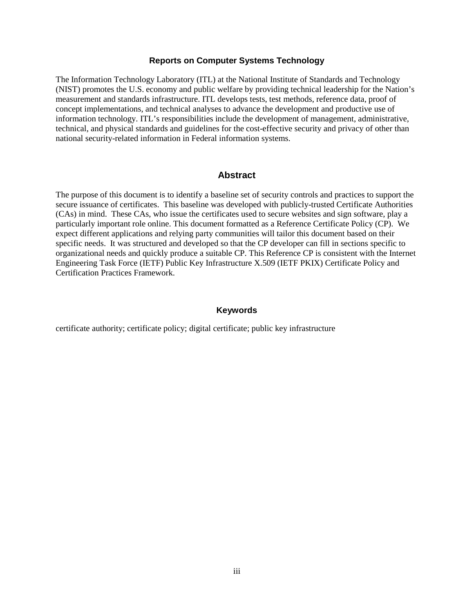#### **Reports on Computer Systems Technology**

The Information Technology Laboratory (ITL) at the National Institute of Standards and Technology (NIST) promotes the U.S. economy and public welfare by providing technical leadership for the Nation's measurement and standards infrastructure. ITL develops tests, test methods, reference data, proof of concept implementations, and technical analyses to advance the development and productive use of information technology. ITL's responsibilities include the development of management, administrative, technical, and physical standards and guidelines for the cost-effective security and privacy of other than national security-related information in Federal information systems.

#### **Abstract**

The purpose of this document is to identify a baseline set of security controls and practices to support the secure issuance of certificates. This baseline was developed with publicly-trusted Certificate Authorities (CAs) in mind. These CAs, who issue the certificates used to secure websites and sign software, play a particularly important role online. This document formatted as a Reference Certificate Policy (CP). We expect different applications and relying party communities will tailor this document based on their specific needs. It was structured and developed so that the CP developer can fill in sections specific to organizational needs and quickly produce a suitable CP. This Reference CP is consistent with the Internet Engineering Task Force (IETF) Public Key Infrastructure X.509 (IETF PKIX) Certificate Policy and Certification Practices Framework.

#### **Keywords**

certificate authority; certificate policy; digital certificate; public key infrastructure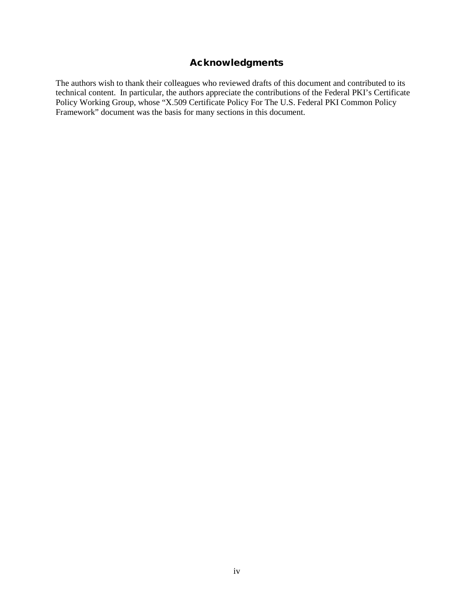## Acknowledgments

The authors wish to thank their colleagues who reviewed drafts of this document and contributed to its technical content. In particular, the authors appreciate the contributions of the Federal PKI's Certificate Policy Working Group, whose "X.509 Certificate Policy For The U.S. Federal PKI Common Policy Framework" document was the basis for many sections in this document.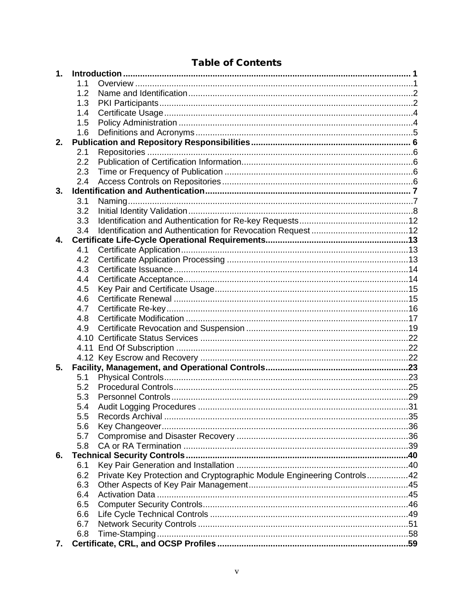## **Table of Contents**

| 1. |     |                                                                        |  |
|----|-----|------------------------------------------------------------------------|--|
|    | 1.1 |                                                                        |  |
|    | 1.2 |                                                                        |  |
|    | 1.3 |                                                                        |  |
|    | 1.4 |                                                                        |  |
|    | 1.5 |                                                                        |  |
|    | 1.6 |                                                                        |  |
| 2. |     |                                                                        |  |
|    | 2.1 |                                                                        |  |
|    | 2.2 |                                                                        |  |
|    | 2.3 |                                                                        |  |
|    | 2.4 |                                                                        |  |
| 3. |     |                                                                        |  |
|    | 3.1 |                                                                        |  |
|    | 3.2 |                                                                        |  |
|    | 3.3 |                                                                        |  |
|    | 3.4 |                                                                        |  |
| 4. |     |                                                                        |  |
|    | 4.1 |                                                                        |  |
|    | 4.2 |                                                                        |  |
|    | 4.3 |                                                                        |  |
|    | 4.4 |                                                                        |  |
|    | 4.5 |                                                                        |  |
|    | 4.6 |                                                                        |  |
|    | 4.7 |                                                                        |  |
|    | 4.8 |                                                                        |  |
|    |     |                                                                        |  |
|    | 4.9 |                                                                        |  |
|    |     |                                                                        |  |
|    |     |                                                                        |  |
|    |     |                                                                        |  |
| 5. |     |                                                                        |  |
|    | 5.1 |                                                                        |  |
|    | 5.2 |                                                                        |  |
|    | 5.3 |                                                                        |  |
|    | 5.4 |                                                                        |  |
|    | 5.5 | Records Archival.                                                      |  |
|    | 5.6 |                                                                        |  |
|    | 5.7 |                                                                        |  |
|    | 5.8 |                                                                        |  |
| 6. |     |                                                                        |  |
|    | 6.1 |                                                                        |  |
|    | 6.2 | Private Key Protection and Cryptographic Module Engineering Controls42 |  |
|    | 6.3 |                                                                        |  |
|    | 6.4 |                                                                        |  |
|    | 6.5 |                                                                        |  |
|    | 6.6 |                                                                        |  |
|    | 6.7 |                                                                        |  |
|    | 6.8 |                                                                        |  |
| 7. |     |                                                                        |  |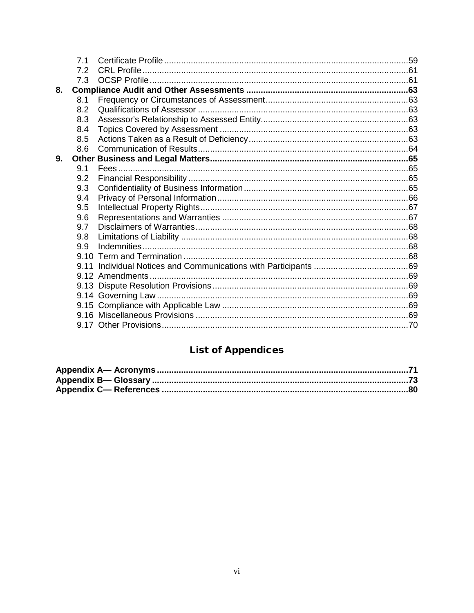|    | 7.1 |  |
|----|-----|--|
|    | 7.2 |  |
|    | 7.3 |  |
| 8. |     |  |
|    | 8.1 |  |
|    | 8.2 |  |
|    | 8.3 |  |
|    | 8.4 |  |
|    | 8.5 |  |
|    | 8.6 |  |
| 9. |     |  |
|    | 9.1 |  |
|    | 9.2 |  |
|    | 9.3 |  |
|    | 9.4 |  |
|    | 9.5 |  |
|    | 9.6 |  |
|    | 9.7 |  |
|    | 9.8 |  |
|    | 9.9 |  |
|    |     |  |
|    |     |  |
|    |     |  |
|    |     |  |
|    |     |  |
|    |     |  |
|    |     |  |
|    |     |  |

## **List of Appendices**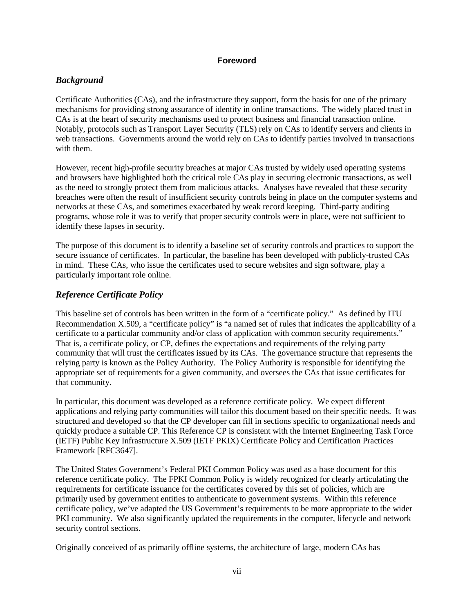#### **Foreword**

#### *Background*

Certificate Authorities (CAs), and the infrastructure they support, form the basis for one of the primary mechanisms for providing strong assurance of identity in online transactions. The widely placed trust in CAs is at the heart of security mechanisms used to protect business and financial transaction online. Notably, protocols such as Transport Layer Security (TLS) rely on CAs to identify servers and clients in web transactions. Governments around the world rely on CAs to identify parties involved in transactions with them.

However, recent high-profile security breaches at major CAs trusted by widely used operating systems and browsers have highlighted both the critical role CAs play in securing electronic transactions, as well as the need to strongly protect them from malicious attacks. Analyses have revealed that these security breaches were often the result of insufficient security controls being in place on the computer systems and networks at these CAs, and sometimes exacerbated by weak record keeping. Third-party auditing programs, whose role it was to verify that proper security controls were in place, were not sufficient to identify these lapses in security.

The purpose of this document is to identify a baseline set of security controls and practices to support the secure issuance of certificates. In particular, the baseline has been developed with publicly-trusted CAs in mind. These CAs, who issue the certificates used to secure websites and sign software, play a particularly important role online.

## *Reference Certificate Policy*

This baseline set of controls has been written in the form of a "certificate policy." As defined by ITU Recommendation X.509, a "certificate policy" is "a named set of rules that indicates the applicability of a certificate to a particular community and/or class of application with common security requirements." That is, a certificate policy, or CP, defines the expectations and requirements of the relying party community that will trust the certificates issued by its CAs. The governance structure that represents the relying party is known as the Policy Authority. The Policy Authority is responsible for identifying the appropriate set of requirements for a given community, and oversees the CAs that issue certificates for that community.

In particular, this document was developed as a reference certificate policy. We expect different applications and relying party communities will tailor this document based on their specific needs. It was structured and developed so that the CP developer can fill in sections specific to organizational needs and quickly produce a suitable CP. This Reference CP is consistent with the Internet Engineering Task Force (IETF) Public Key Infrastructure X.509 (IETF PKIX) Certificate Policy and Certification Practices Framework [RFC3647].

The United States Government's Federal PKI Common Policy was used as a base document for this reference certificate policy. The FPKI Common Policy is widely recognized for clearly articulating the requirements for certificate issuance for the certificates covered by this set of policies, which are primarily used by government entities to authenticate to government systems. Within this reference certificate policy, we've adapted the US Government's requirements to be more appropriate to the wider PKI community. We also significantly updated the requirements in the computer, lifecycle and network security control sections.

Originally conceived of as primarily offline systems, the architecture of large, modern CAs has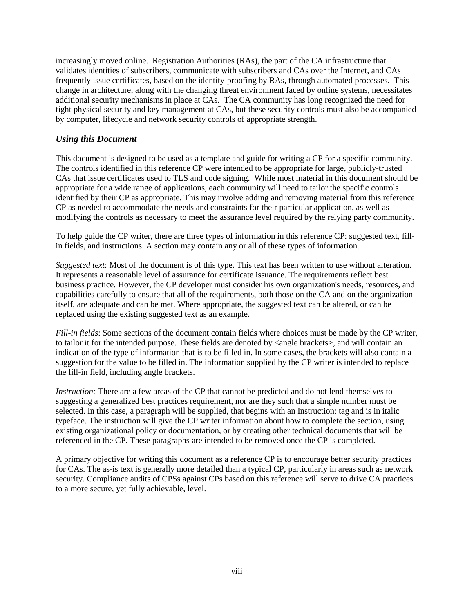increasingly moved online. Registration Authorities (RAs), the part of the CA infrastructure that validates identities of subscribers, communicate with subscribers and CAs over the Internet, and CAs frequently issue certificates, based on the identity-proofing by RAs, through automated processes. This change in architecture, along with the changing threat environment faced by online systems, necessitates additional security mechanisms in place at CAs. The CA community has long recognized the need for tight physical security and key management at CAs, but these security controls must also be accompanied by computer, lifecycle and network security controls of appropriate strength.

#### *Using this Document*

This document is designed to be used as a template and guide for writing a CP for a specific community. The controls identified in this reference CP were intended to be appropriate for large, publicly-trusted CAs that issue certificates used to TLS and code signing. While most material in this document should be appropriate for a wide range of applications, each community will need to tailor the specific controls identified by their CP as appropriate. This may involve adding and removing material from this reference CP as needed to accommodate the needs and constraints for their particular application, as well as modifying the controls as necessary to meet the assurance level required by the relying party community.

To help guide the CP writer, there are three types of information in this reference CP: suggested text, fillin fields, and instructions. A section may contain any or all of these types of information.

*Suggested text*: Most of the document is of this type. This text has been written to use without alteration. It represents a reasonable level of assurance for certificate issuance. The requirements reflect best business practice. However, the CP developer must consider his own organization's needs, resources, and capabilities carefully to ensure that all of the requirements, both those on the CA and on the organization itself, are adequate and can be met. Where appropriate, the suggested text can be altered, or can be replaced using the existing suggested text as an example.

*Fill-in fields*: Some sections of the document contain fields where choices must be made by the CP writer, to tailor it for the intended purpose. These fields are denoted by  $\langle$  angle brackets $\rangle$ , and will contain an indication of the type of information that is to be filled in. In some cases, the brackets will also contain a suggestion for the value to be filled in. The information supplied by the CP writer is intended to replace the fill-in field, including angle brackets.

*Instruction:* There are a few areas of the CP that cannot be predicted and do not lend themselves to suggesting a generalized best practices requirement, nor are they such that a simple number must be selected. In this case, a paragraph will be supplied, that begins with an Instruction: tag and is in italic typeface. The instruction will give the CP writer information about how to complete the section, using existing organizational policy or documentation, or by creating other technical documents that will be referenced in the CP. These paragraphs are intended to be removed once the CP is completed.

A primary objective for writing this document as a reference CP is to encourage better security practices for CAs. The as-is text is generally more detailed than a typical CP, particularly in areas such as network security. Compliance audits of CPSs against CPs based on this reference will serve to drive CA practices to a more secure, yet fully achievable, level.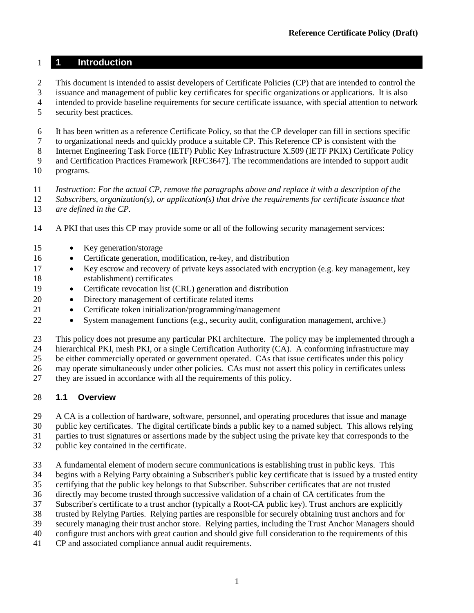## **1 Introduction**

- This document is intended to assist developers of Certificate Policies (CP) that are intended to control the
- issuance and management of public key certificates for specific organizations or applications. It is also
- intended to provide baseline requirements for secure certificate issuance, with special attention to network
- security best practices.
- It has been written as a reference Certificate Policy, so that the CP developer can fill in sections specific
- to organizational needs and quickly produce a suitable CP. This Reference CP is consistent with the
- Internet Engineering Task Force (IETF) Public Key Infrastructure X.509 (IETF PKIX) Certificate Policy
- and Certification Practices Framework [RFC3647]. The recommendations are intended to support audit
- programs.
- *Instruction: For the actual CP, remove the paragraphs above and replace it with a description of the*
- *Subscribers, organization(s), or application(s) that drive the requirements for certificate issuance that are defined in the CP.*
- A PKI that uses this CP may provide some or all of the following security management services:
- Key generation/storage
- Certificate generation, modification, re-key, and distribution
- Key escrow and recovery of private keys associated with encryption (e.g. key management, key establishment) certificates
- Certificate revocation list (CRL) generation and distribution
- Directory management of certificate related items
- Certificate token initialization/programming/management
- System management functions (e.g., security audit, configuration management, archive.)

This policy does not presume any particular PKI architecture. The policy may be implemented through a

 hierarchical PKI, mesh PKI, or a single Certification Authority (CA). A conforming infrastructure may be either commercially operated or government operated. CAs that issue certificates under this policy

may operate simultaneously under other policies. CAs must not assert this policy in certificates unless

they are issued in accordance with all the requirements of this policy.

#### **1.1 Overview**

A CA is a collection of hardware, software, personnel, and operating procedures that issue and manage

public key certificates. The digital certificate binds a public key to a named subject. This allows relying

parties to trust signatures or assertions made by the subject using the private key that corresponds to the

- public key contained in the certificate.
- A fundamental element of modern secure communications is establishing trust in public keys. This
- begins with a Relying Party obtaining a Subscriber's public key certificate that is issued by a trusted entity

certifying that the public key belongs to that Subscriber. Subscriber certificates that are not trusted

- directly may become trusted through successive validation of a chain of CA certificates from the
- Subscriber's certificate to a trust anchor (typically a Root-CA public key). Trust anchors are explicitly
- trusted by Relying Parties. Relying parties are responsible for securely obtaining trust anchors and for
- securely managing their trust anchor store. Relying parties, including the Trust Anchor Managers should
- configure trust anchors with great caution and should give full consideration to the requirements of this
- CP and associated compliance annual audit requirements.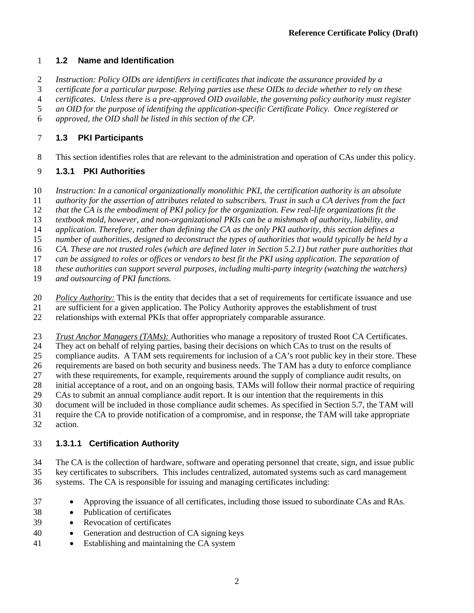## **1.2 Name and Identification**

*Instruction: Policy OIDs are identifiers in certificates that indicate the assurance provided by a* 

*certificate for a particular purpose. Relying parties use these OIDs to decide whether to rely on these* 

*certificates. Unless there is a pre-approved OID available, the governing policy authority must register* 

*an OID for the purpose of identifying the application-specific Certificate Policy. Once registered or* 

*approved, the OID shall be listed in this section of the CP.*

## **1.3 PKI Participants**

This section identifies roles that are relevant to the administration and operation of CAs under this policy.

## **1.3.1 PKI Authorities**

- *Instruction: In a canonical organizationally monolithic PKI, the certification authority is an absolute*
- *authority for the assertion of attributes related to subscribers. Trust in such a CA derives from the fact*

*that the CA is the embodiment of PKI policy for the organization. Few real-life organizations fit the* 

- *textbook mold, however, and non-organizational PKIs can be a mishmash of authority, liability, and application. Therefore, rather than defining the CA as the only PKI authority, this section defines a*
- *number of authorities, designed to deconstruct the types of authorities that would typically be held by a*
- *CA. These are not trusted roles (which are defined later in Section [5.2.1\)](#page-33-0) but rather pure authorities that*
- *can be assigned to roles or offices or vendors to best fit the PKI using application. The separation of*
- *these authorities can support several purposes, including multi-party integrity (watching the watchers)*
- *and outsourcing of PKI functions.*
- *Policy Authority:* This is the entity that decides that a set of requirements for certificate issuance and use
- are sufficient for a given application. The Policy Authority approves the establishment of trust
- relationships with external PKIs that offer appropriately comparable assurance.
- *Trust Anchor Managers (TAMs):* Authorities who manage a repository of trusted Root CA Certificates.
- They act on behalf of relying parties, basing their decisions on which CAs to trust on the results of
- compliance audits. A TAM sets requirements for inclusion of a CA's root public key in their store. These
- requirements are based on both security and business needs. The TAM has a duty to enforce compliance
- with these requirements, for example, requirements around the supply of compliance audit results, on
- initial acceptance of a root, and on an ongoing basis. TAMs will follow their normal practice of requiring
- CAs to submit an annual compliance audit report. It is our intention that the requirements in this
- document will be included in those compliance audit schemes. As specified in Section [5.7,](#page-44-0) the TAM will
- require the CA to provide notification of a compromise, and in response, the TAM will take appropriate

## action.

## **1.3.1.1 Certification Authority**

- The CA is the collection of hardware, software and operating personnel that create, sign, and issue public key certificates to subscribers. This includes centralized, automated systems such as card management systems. The CA is responsible for issuing and managing certificates including:
- Approving the issuance of all certificates, including those issued to subordinate CAs and RAs.
- Publication of certificates
- Revocation of certificates
- Generation and destruction of CA signing keys
- Establishing and maintaining the CA system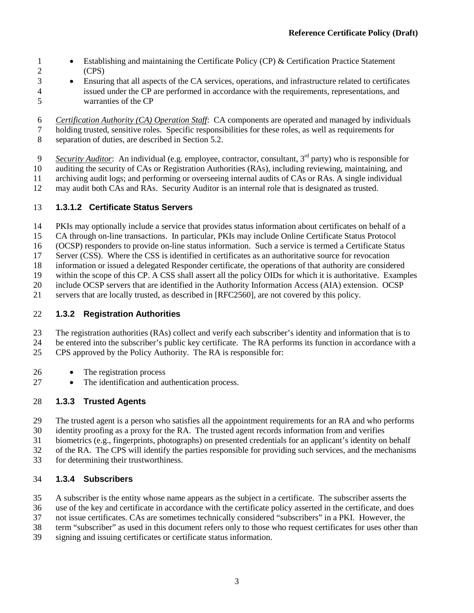- 1 Establishing and maintaining the Certificate Policy (CP) & Certification Practice Statement (CPS)
- Ensuring that all aspects of the CA services, operations, and infrastructure related to certificates issued under the CP are performed in accordance with the requirements, representations, and warranties of the CP
- *Certification Authority (CA) Operation Staff*: CA components are operated and managed by individuals holding trusted, sensitive roles. Specific responsibilities for these roles, as well as requirements for separation of duties, are described in Section [5.2.](#page-33-1)
- *Security Auditor*: An individual (e.g. employee, contractor, consultant, 3rd party) who is responsible for auditing the security of CAs or Registration Authorities (RAs), including reviewing, maintaining, and
- archiving audit logs; and performing or overseeing internal audits of CAs or RAs. A single individual
- may audit both CAs and RAs. Security Auditor is an internal role that is designated as trusted.

## **1.3.1.2 Certificate Status Servers**

- PKIs may optionally include a service that provides status information about certificates on behalf of a
- CA through on-line transactions. In particular, PKIs may include Online Certificate Status Protocol
- (OCSP) responders to provide on-line status information. Such a service is termed a Certificate Status
- Server (CSS). Where the CSS is identified in certificates as an authoritative source for revocation
- information or issued a delegated Responder certificate, the operations of that authority are considered
- within the scope of this CP. A CSS shall assert all the policy OIDs for which it is authoritative. Examples
- include OCSP servers that are identified in the Authority Information Access (AIA) extension. OCSP
- servers that are locally trusted, as described in [RFC2560], are not covered by this policy.

## **1.3.2 Registration Authorities**

- The registration authorities (RAs) collect and verify each subscriber's identity and information that is to be entered into the subscriber's public key certificate. The RA performs its function in accordance with a
- CPS approved by the Policy Authority. The RA is responsible for:
- The registration process
- The identification and authentication process.

## **1.3.3 Trusted Agents**

- 29 The trusted agent is a person who satisfies all the appointment requirements for an RA and who performs identity proofing as a proxy for the RA. The trusted agent records information from and verifies
- identity proofing as a proxy for the RA. The trusted agent records information from and verifies
- biometrics (e.g., fingerprints, photographs) on presented credentials for an applicant's identity on behalf
- of the RA. The CPS will identify the parties responsible for providing such services, and the mechanisms
- for determining their trustworthiness.

## **1.3.4 Subscribers**

- A subscriber is the entity whose name appears as the subject in a certificate. The subscriber asserts the
- use of the key and certificate in accordance with the certificate policy asserted in the certificate, and does
- not issue certificates. CAs are sometimes technically considered "subscribers" in a PKI. However, the
- term "subscriber" as used in this document refers only to those who request certificates for uses other than
- signing and issuing certificates or certificate status information.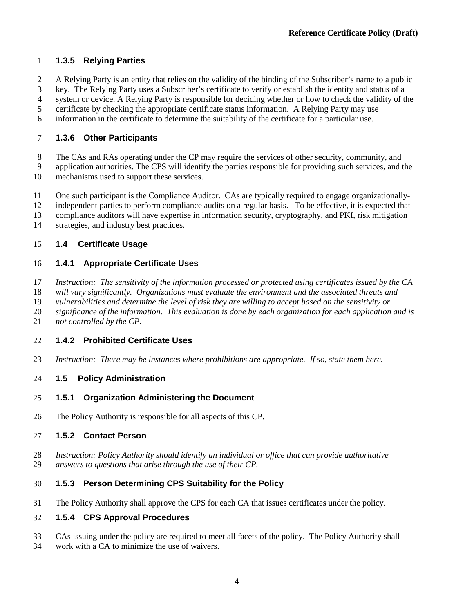## **1.3.5 Relying Parties**

- A Relying Party is an entity that relies on the validity of the binding of the Subscriber's name to a public
- key. The Relying Party uses a Subscriber's certificate to verify or establish the identity and status of a
- system or device. A Relying Party is responsible for deciding whether or how to check the validity of the
- certificate by checking the appropriate certificate status information. A Relying Party may use
- information in the certificate to determine the suitability of the certificate for a particular use.

## **1.3.6 Other Participants**

- The CAs and RAs operating under the CP may require the services of other security, community, and
- application authorities. The CPS will identify the parties responsible for providing such services, and the mechanisms used to support these services.
- One such participant is the Compliance Auditor. CAs are typically required to engage organizationally-
- independent parties to perform compliance audits on a regular basis. To be effective, it is expected that
- compliance auditors will have expertise in information security, cryptography, and PKI, risk mitigation
- strategies, and industry best practices.

## **1.4 Certificate Usage**

## **1.4.1 Appropriate Certificate Uses**

- *Instruction: The sensitivity of the information processed or protected using certificates issued by the CA*
- *will vary significantly. Organizations must evaluate the environment and the associated threats and*
- *vulnerabilities and determine the level of risk they are willing to accept based on the sensitivity or*
- *significance of the information. This evaluation is done by each organization for each application and is*
- *not controlled by the CP.*

## **1.4.2 Prohibited Certificate Uses**

*Instruction: There may be instances where prohibitions are appropriate. If so, state them here.*

## **1.5 Policy Administration**

- **1.5.1 Organization Administering the Document**
- The Policy Authority is responsible for all aspects of this CP.

## **1.5.2 Contact Person**

 *Instruction: Policy Authority should identify an individual or office that can provide authoritative answers to questions that arise through the use of their CP.*

## **1.5.3 Person Determining CPS Suitability for the Policy**

The Policy Authority shall approve the CPS for each CA that issues certificates under the policy.

## **1.5.4 CPS Approval Procedures**

- CAs issuing under the policy are required to meet all facets of the policy. The Policy Authority shall
- work with a CA to minimize the use of waivers.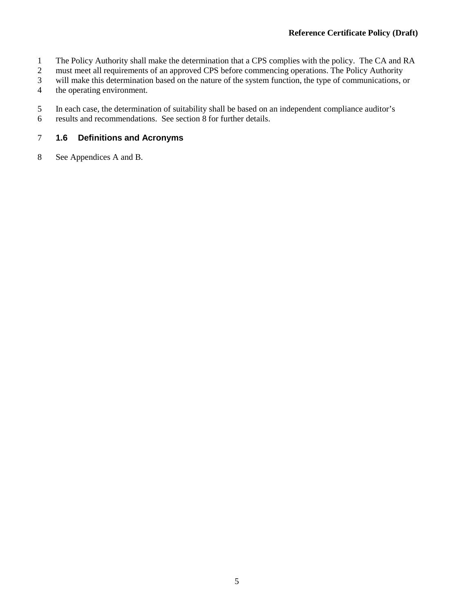- 1 The Policy Authority shall make the determination that a CPS complies with the policy. The CA and RA must meet all requirements of an approved CPS before commencing operations. The Policy Authority
- must meet all requirements of an approved CPS before commencing operations. The Policy Authority
- 3 will make this determination based on the nature of the system function, the type of communications, or the operating environment.
- the operating environment.
- 5 In each case, the determination of suitability shall be based on an independent compliance auditor's
- 6 results and recommendations. See section [8](#page-71-0) for further details.

#### 7 **1.6 Definitions and Acronyms**

8 See Appendices A and B.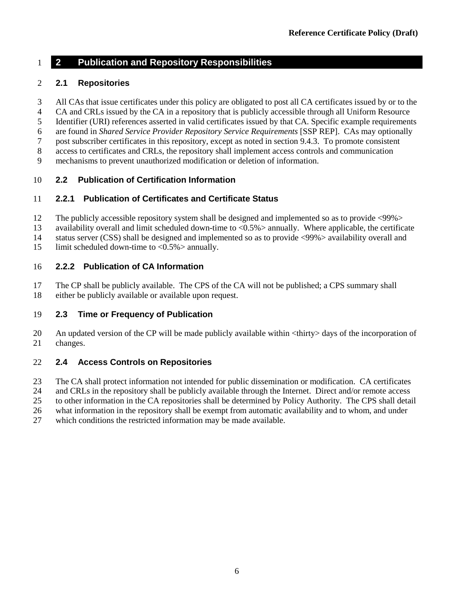## <span id="page-14-1"></span>**2 Publication and Repository Responsibilities**

#### <span id="page-14-0"></span>**2.1 Repositories**

- All CAs that issue certificates under this policy are obligated to post all CA certificates issued by or to the
- CA and CRLs issued by the CA in a repository that is publicly accessible through all Uniform Resource
- Identifier (URI) references asserted in valid certificates issued by that CA. Specific example requirements
- are found in *Shared Service Provider Repository Service Requirements* [SSP REP]. CAs may optionally
- post subscriber certificates in this repository, except as noted in section [9.4.3.](#page-74-0) To promote consistent
- access to certificates and CRLs, the repository shall implement access controls and communication
- mechanisms to prevent unauthorized modification or deletion of information.

#### **2.2 Publication of Certification Information**

#### **2.2.1 Publication of Certificates and Certificate Status**

- The publicly accessible repository system shall be designed and implemented so as to provide <99%>
- availability overall and limit scheduled down-time to <0.5%> annually. Where applicable, the certificate
- status server (CSS) shall be designed and implemented so as to provide <99%> availability overall and
- 15 limit scheduled down-time to  $\langle 0.5\% \rangle$  annually.

#### **2.2.2 Publication of CA Information**

- The CP shall be publicly available. The CPS of the CA will not be published; a CPS summary shall either be publicly available or available upon request.
- 

#### **2.3 Time or Frequency of Publication**

 An updated version of the CP will be made publicly available within <thirty> days of the incorporation of changes.

#### **2.4 Access Controls on Repositories**

- The CA shall protect information not intended for public dissemination or modification. CA certificates
- and CRLs in the repository shall be publicly available through the Internet. Direct and/or remote access
- to other information in the CA repositories shall be determined by Policy Authority. The CPS shall detail
- what information in the repository shall be exempt from automatic availability and to whom, and under
- which conditions the restricted information may be made available.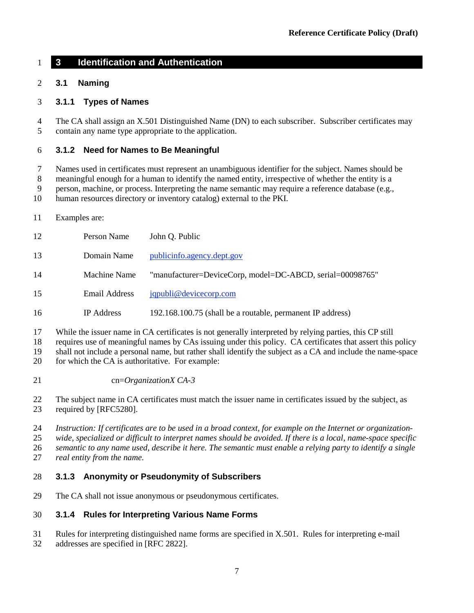## **3 Identification and Authentication**

## **3.1 Naming**

#### **3.1.1 Types of Names**

 The CA shall assign an X.501 Distinguished Name (DN) to each subscriber. Subscriber certificates may contain any name type appropriate to the application.

#### **3.1.2 Need for Names to Be Meaningful**

Names used in certificates must represent an unambiguous identifier for the subject. Names should be

meaningful enough for a human to identify the named entity, irrespective of whether the entity is a

person, machine, or process. Interpreting the name semantic may require a reference database (e.g.,

human resources directory or inventory catalog) external to the PKI.

Examples are:

| 12 | Person Name       | John Q. Public                                             |
|----|-------------------|------------------------------------------------------------|
| 13 | Domain Name       | publicinfo.agency.dept.gov                                 |
| 14 | Machine Name      | "manufacturer=DeviceCorp, model=DC-ABCD, serial=00098765"  |
| 15 | Email Address     | jqpubli@devicecorp.com                                     |
| 16 | <b>IP</b> Address | 192.168.100.75 (shall be a routable, permanent IP address) |

While the issuer name in CA certificates is not generally interpreted by relying parties, this CP still

requires use of meaningful names by CAs issuing under this policy. CA certificates that assert this policy

shall not include a personal name, but rather shall identify the subject as a CA and include the name-space

20 for which the CA is authoritative. For example:

cn=*OrganizationX CA-3*

 The subject name in CA certificates must match the issuer name in certificates issued by the subject, as required by [RFC5280].

 *Instruction: If certificates are to be used in a broad context, for example on the Internet or organization- wide, specialized or difficult to interpret names should be avoided. If there is a local, name-space specific semantic to any name used, describe it here. The semantic must enable a relying party to identify a single* 

*real entity from the name.*

#### **3.1.3 Anonymity or Pseudonymity of Subscribers**

The CA shall not issue anonymous or pseudonymous certificates.

#### **3.1.4 Rules for Interpreting Various Name Forms**

Rules for interpreting distinguished name forms are specified in X.501. Rules for interpreting e-mail

addresses are specified in [RFC 2822].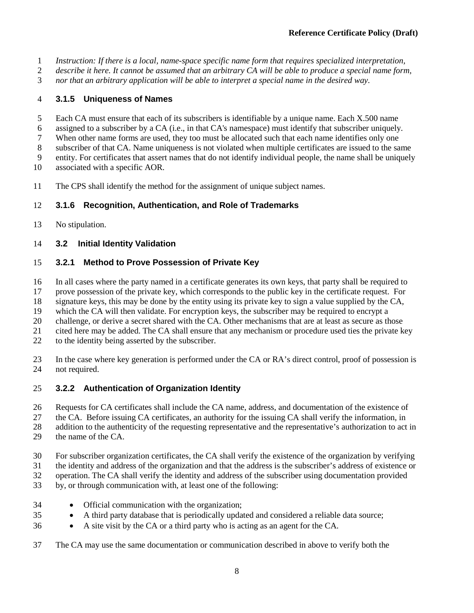- *Instruction: If there is a local, name-space specific name form that requires specialized interpretation,*
- *describe it here. It cannot be assumed that an arbitrary CA will be able to produce a special name form,*
- *nor that an arbitrary application will be able to interpret a special name in the desired way.*

## **3.1.5 Uniqueness of Names**

- Each CA must ensure that each of its subscribers is identifiable by a unique name. Each X.500 name
- assigned to a subscriber by a CA (i.e., in that CA's namespace) must identify that subscriber uniquely.
- When other name forms are used, they too must be allocated such that each name identifies only one
- subscriber of that CA. Name uniqueness is not violated when multiple certificates are issued to the same
- entity. For certificates that assert names that do not identify individual people, the name shall be uniquely
- associated with a specific AOR.
- The CPS shall identify the method for the assignment of unique subject names.

## **3.1.6 Recognition, Authentication, and Role of Trademarks**

No stipulation.

## <span id="page-16-0"></span>**3.2 Initial Identity Validation**

## <span id="page-16-1"></span>**3.2.1 Method to Prove Possession of Private Key**

- In all cases where the party named in a certificate generates its own keys, that party shall be required to
- prove possession of the private key, which corresponds to the public key in the certificate request. For
- signature keys, this may be done by the entity using its private key to sign a value supplied by the CA,
- which the CA will then validate. For encryption keys, the subscriber may be required to encrypt a
- 20 challenge, or derive a secret shared with the CA. Other mechanisms that are at least as secure as those<br>21 cited here may be added. The CA shall ensure that any mechanism or procedure used ties the private ke
- cited here may be added. The CA shall ensure that any mechanism or procedure used ties the private key
- to the identity being asserted by the subscriber.
- In the case where key generation is performed under the CA or RA's direct control, proof of possession is not required.

## **3.2.2 Authentication of Organization Identity**

- Requests for CA certificates shall include the CA name, address, and documentation of the existence of
- the CA. Before issuing CA certificates, an authority for the issuing CA shall verify the information, in
- addition to the authenticity of the requesting representative and the representative's authorization to act in
- the name of the CA.
- For subscriber organization certificates, the CA shall verify the existence of the organization by verifying
- the identity and address of the organization and that the address is the subscriber's address of existence or
- operation. The CA shall verify the identity and address of the subscriber using documentation provided
- by, or through communication with, at least one of the following:
- Official communication with the organization;
- A third party database that is periodically updated and considered a reliable data source;
- A site visit by the CA or a third party who is acting as an agent for the CA.
- The CA may use the same documentation or communication described in above to verify both the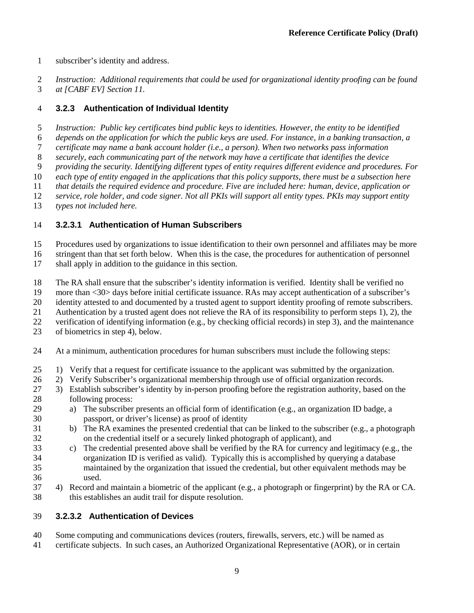- subscriber's identity and address.
- *Instruction: Additional requirements that could be used for organizational identity proofing can be found*
- *at [CABF EV] Section 11.*

## <span id="page-17-1"></span>**3.2.3 Authentication of Individual Identity**

- *Instruction: Public key certificates bind public keys to identities. However, the entity to be identified*
- *depends on the application for which the public keys are used. For instance, in a banking transaction, a*
- *certificate may name a bank account holder (i.e., a person). When two networks pass information*
- *securely, each communicating part of the network may have a certificate that identifies the device*
- *providing the security. Identifying different types of entity requires different evidence and procedures. For*
- *each type of entity engaged in the applications that this policy supports, there must be a subsection here*
- *that details the required evidence and procedure. Five are included here: human, device, application or*
- *service, role holder, and code signer. Not all PKIs will support all entity types. PKIs may support entity*
- *types not included here.*

## <span id="page-17-0"></span>**3.2.3.1 Authentication of Human Subscribers**

- Procedures used by organizations to issue identification to their own personnel and affiliates may be more
- stringent than that set forth below. When this is the case, the procedures for authentication of personnel
- shall apply in addition to the guidance in this section.
- The RA shall ensure that the subscriber's identity information is verified. Identity shall be verified no
- more than <30> days before initial certificate issuance. RAs may accept authentication of a subscriber's
- identity attested to and documented by a trusted agent to support identity proofing of remote subscribers.
- Authentication by a trusted agent does not relieve the RA of its responsibility to perform steps 1), 2), the
- verification of identifying information (e.g., by checking official records) in step 3), and the maintenance
- of biometrics in step 4), below.
- At a minimum, authentication procedures for human subscribers must include the following steps:
- 1) Verify that a request for certificate issuance to the applicant was submitted by the organization.
- 2) Verify Subscriber's organizational membership through use of official organization records.
- 3) Establish subscriber's identity by in-person proofing before the registration authority, based on the following process:
- a) The subscriber presents an official form of identification (e.g., an organization ID badge, a passport, or driver's license) as proof of identity
- b) The RA examines the presented credential that can be linked to the subscriber (e.g., a photograph on the credential itself or a securely linked photograph of applicant), and
- c) The credential presented above shall be verified by the RA for currency and legitimacy (e.g., the organization ID is verified as valid). Typically this is accomplished by querying a database maintained by the organization that issued the credential, but other equivalent methods may be used.
- 4) Record and maintain a biometric of the applicant (e.g., a photograph or fingerprint) by the RA or CA. this establishes an audit trail for dispute resolution.

## **3.2.3.2 Authentication of Devices**

- Some computing and communications devices (routers, firewalls, servers, etc.) will be named as
- certificate subjects. In such cases, an Authorized Organizational Representative (AOR), or in certain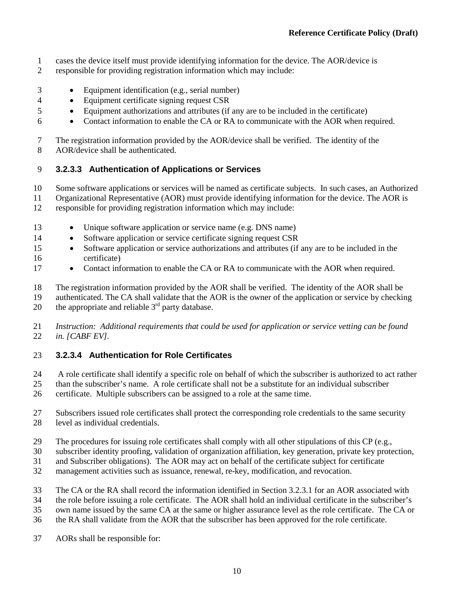- cases the device itself must provide identifying information for the device. The AOR/device is
- responsible for providing registration information which may include:
- Equipment identification (e.g., serial number)
- Equipment certificate signing request CSR
- Equipment authorizations and attributes (if any are to be included in the certificate)
- Contact information to enable the CA or RA to communicate with the AOR when required.

 The registration information provided by the AOR/device shall be verified. The identity of the AOR/device shall be authenticated.

## **3.2.3.3 Authentication of Applications or Services**

Some software applications or services will be named as certificate subjects. In such cases, an Authorized

- Organizational Representative (AOR) must provide identifying information for the device. The AOR is responsible for providing registration information which may include:
- 
- Unique software application or service name (e.g. DNS name)
- 14 Software application or service certificate signing request CSR
- Software application or service authorizations and attributes (if any are to be included in the certificate)
- 17 Contact information to enable the CA or RA to communicate with the AOR when required.

 The registration information provided by the AOR shall be verified. The identity of the AOR shall be authenticated. The CA shall validate that the AOR is the owner of the application or service by checking

20 the appropriate and reliable  $3<sup>rd</sup>$  party database.

#### *Instruction: Additional requirements that could be used for application or service vetting can be found in. [CABF EV].*

## **3.2.3.4 Authentication for Role Certificates**

24 A role certificate shall identify a specific role on behalf of which the subscriber is authorized to act rather<br>25 than the subscriber's name. A role certificate shall not be a substitute for an individual subscriber than the subscriber's name. A role certificate shall not be a substitute for an individual subscriber certificate. Multiple subscribers can be assigned to a role at the same time.

- Subscribers issued role certificates shall protect the corresponding role credentials to the same security level as individual credentials.
- The procedures for issuing role certificates shall comply with all other stipulations of this CP (e.g.,
- subscriber identity proofing, validation of organization affiliation, key generation, private key protection,
- and Subscriber obligations). The AOR may act on behalf of the certificate subject for certificate
- management activities such as issuance, renewal, re-key, modification, and revocation.
- The CA or the RA shall record the information identified in Section [3.2.3.1](#page-17-0) for an AOR associated with
- the role before issuing a role certificate. The AOR shall hold an individual certificate in the subscriber's
- own name issued by the same CA at the same or higher assurance level as the role certificate. The CA or
- the RA shall validate from the AOR that the subscriber has been approved for the role certificate.
- AORs shall be responsible for: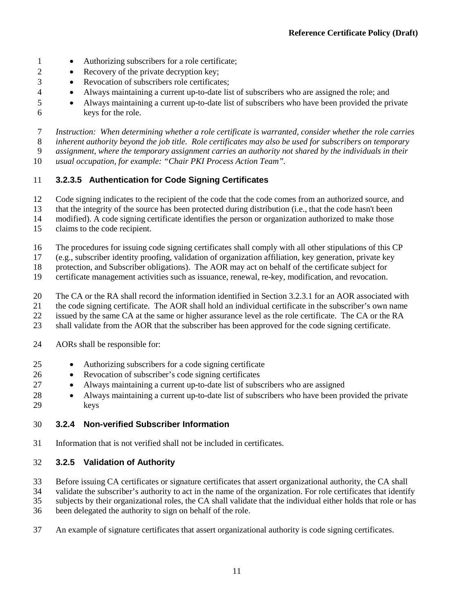- Authorizing subscribers for a role certificate;
- 2 Recovery of the private decryption key;
- Revocation of subscribers role certificates;
- Always maintaining a current up-to-date list of subscribers who are assigned the role; and
- Always maintaining a current up-to-date list of subscribers who have been provided the private keys for the role.

 *Instruction: When determining whether a role certificate is warranted, consider whether the role carries inherent authority beyond the job title. Role certificates may also be used for subscribers on temporary assignment, where the temporary assignment carries an authority not shared by the individuals in their* 

*usual occupation, for example: "Chair PKI Process Action Team".*

#### **3.2.3.5 Authentication for Code Signing Certificates**

Code signing indicates to the recipient of the code that the code comes from an authorized source, and

that the integrity of the source has been protected during distribution (i.e., that the code hasn't been

modified). A code signing certificate identifies the person or organization authorized to make those

claims to the code recipient.

The procedures for issuing code signing certificates shall comply with all other stipulations of this CP

(e.g., subscriber identity proofing, validation of organization affiliation, key generation, private key

protection, and Subscriber obligations). The AOR may act on behalf of the certificate subject for

certificate management activities such as issuance, renewal, re-key, modification, and revocation.

The CA or the RA shall record the information identified in Section [3.2.3.1](#page-17-0) for an AOR associated with

the code signing certificate. The AOR shall hold an individual certificate in the subscriber's own name

issued by the same CA at the same or higher assurance level as the role certificate. The CA or the RA

shall validate from the AOR that the subscriber has been approved for the code signing certificate.

- AORs shall be responsible for:
- Authorizing subscribers for a code signing certificate
- Revocation of subscriber's code signing certificates
- Always maintaining a current up-to-date list of subscribers who are assigned
- Always maintaining a current up-to-date list of subscribers who have been provided the private keys

#### **3.2.4 Non-verified Subscriber Information**

Information that is not verified shall not be included in certificates.

#### **3.2.5 Validation of Authority**

Before issuing CA certificates or signature certificates that assert organizational authority, the CA shall

validate the subscriber's authority to act in the name of the organization. For role certificates that identify

subjects by their organizational roles, the CA shall validate that the individual either holds that role or has

- been delegated the authority to sign on behalf of the role.
- An example of signature certificates that assert organizational authority is code signing certificates.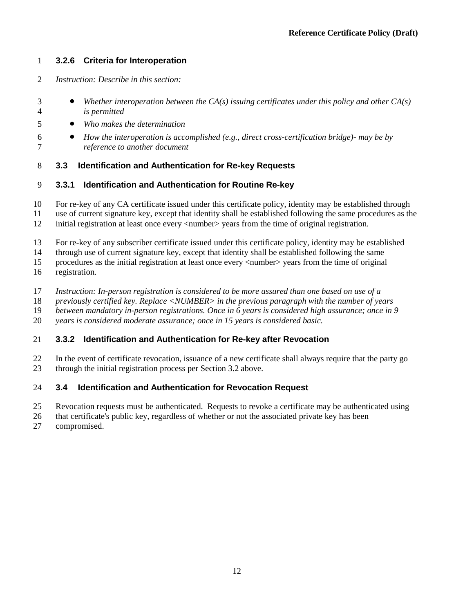## **3.2.6 Criteria for Interoperation**

- *Instruction: Describe in this section:*
- *Whether interoperation between the CA(s) issuing certificates under this policy and other CA(s) is permitted*
- *Who makes the determination*
- *How the interoperation is accomplished (e.g., direct cross-certification bridge)- may be by reference to another document*
- <span id="page-20-0"></span>**3.3 Identification and Authentication for Re-key Requests**
- <span id="page-20-1"></span>**3.3.1 Identification and Authentication for Routine Re-key**
- For re-key of any CA certificate issued under this certificate policy, identity may be established through
- use of current signature key, except that identity shall be established following the same procedures as the
- initial registration at least once every <number> years from the time of original registration.
- For re-key of any subscriber certificate issued under this certificate policy, identity may be established
- through use of current signature key, except that identity shall be established following the same
- procedures as the initial registration at least once every <number> years from the time of original
- registration.
- *Instruction: In-person registration is considered to be more assured than one based on use of a*
- *previously certified key. Replace <NUMBER> in the previous paragraph with the number of years*
- *between mandatory in-person registrations. Once in 6 years is considered high assurance; once in 9*
- *years is considered moderate assurance; once in 15 years is considered basic.*

#### **3.3.2 Identification and Authentication for Re-key after Revocation**

 In the event of certificate revocation, issuance of a new certificate shall always require that the party go through the initial registration process per Sectio[n 3.2](#page-16-0) above.

#### <span id="page-20-2"></span>**3.4 Identification and Authentication for Revocation Request**

- Revocation requests must be authenticated. Requests to revoke a certificate may be authenticated using
- that certificate's public key, regardless of whether or not the associated private key has been
- compromised.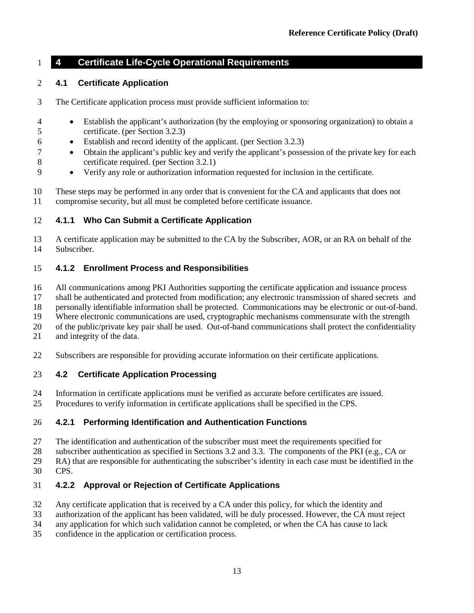## **4 Certificate Life-Cycle Operational Requirements**

## <span id="page-21-0"></span>**4.1 Certificate Application**

- The Certificate application process must provide sufficient information to:
- Establish the applicant's authorization (by the employing or sponsoring organization) to obtain a certificate. (per Sectio[n 3.2.3\)](#page-17-1)
- Establish and record identity of the applicant. (per Section [3.2.3\)](#page-17-1)
- Obtain the applicant's public key and verify the applicant's possession of the private key for each certificate required. (per Section [3.2.1\)](#page-16-1)
- Verify any role or authorization information requested for inclusion in the certificate.

 These steps may be performed in any order that is convenient for the CA and applicants that does not compromise security, but all must be completed before certificate issuance.

## **4.1.1 Who Can Submit a Certificate Application**

 A certificate application may be submitted to the CA by the Subscriber, AOR, or an RA on behalf of the Subscriber.

## **4.1.2 Enrollment Process and Responsibilities**

All communications among PKI Authorities supporting the certificate application and issuance process

shall be authenticated and protected from modification; any electronic transmission of shared secrets and

personally identifiable information shall be protected. Communications may be electronic or out-of-band.

Where electronic communications are used, cryptographic mechanisms commensurate with the strength

of the public/private key pair shall be used. Out-of-band communications shall protect the confidentiality

- and integrity of the data.
- Subscribers are responsible for providing accurate information on their certificate applications.

#### **4.2 Certificate Application Processing**

- Information in certificate applications must be verified as accurate before certificates are issued.
- Procedures to verify information in certificate applications shall be specified in the CPS.

#### **4.2.1 Performing Identification and Authentication Functions**

- The identification and authentication of the subscriber must meet the requirements specified for
- subscriber authentication as specified in Section[s 3.2](#page-16-0) and [3.3.](#page-20-0) The components of the PKI (e.g., CA or

RA) that are responsible for authenticating the subscriber's identity in each case must be identified in the

CPS.

## **4.2.2 Approval or Rejection of Certificate Applications**

- Any certificate application that is received by a CA under this policy, for which the identity and
- 33 authorization of the applicant has been validated, will be duly processed. However, the CA must reject any application for which such validation cannot be completed, or when the CA has cause to lack
- any application for which such validation cannot be completed, or when the CA has cause to lack
- confidence in the application or certification process.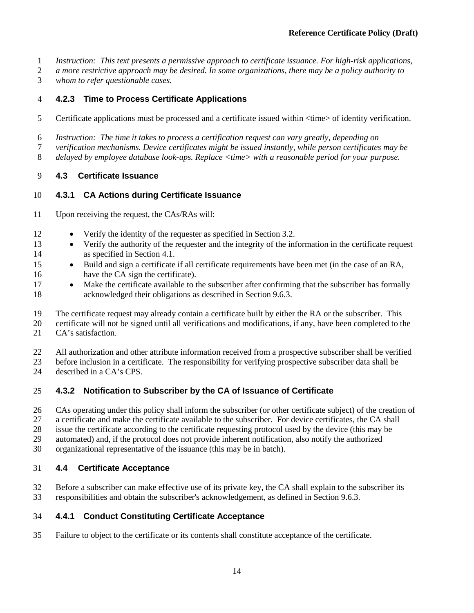- *Instruction: This text presents a permissive approach to certificate issuance. For high-risk applications,*
- *a more restrictive approach may be desired. In some organizations, there may be a policy authority to*
- *whom to refer questionable cases.*

## **4.2.3 Time to Process Certificate Applications**

- 5 Certificate applications must be processed and a certificate issued within  $\langle$ time> of identity verification.
- *Instruction: The time it takes to process a certification request can vary greatly, depending on*
- *verification mechanisms. Device certificates might be issued instantly, while person certificates may be*
- *delayed by employee database look-ups. Replace <time> with a reasonable period for your purpose.*

## **4.3 Certificate Issuance**

## **4.3.1 CA Actions during Certificate Issuance**

- Upon receiving the request, the CAs/RAs will:
- 12 Verify the identity of the requester as specified in Section [3.2.](#page-16-0)
- 13 Verify the authority of the requester and the integrity of the information in the certificate request as specified in Section [4.1.](#page-21-0)
- Build and sign a certificate if all certificate requirements have been met (in the case of an RA, 16 have the CA sign the certificate).
- 17 Make the certificate available to the subscriber after confirming that the subscriber has formally acknowledged their obligations as described in Sectio[n 9.6.3.](#page-76-0)
- The certificate request may already contain a certificate built by either the RA or the subscriber. This
- certificate will not be signed until all verifications and modifications, if any, have been completed to the CA's satisfaction.
- All authorization and other attribute information received from a prospective subscriber shall be verified
- before inclusion in a certificate. The responsibility for verifying prospective subscriber data shall be
- described in a CA's CPS.

## **4.3.2 Notification to Subscriber by the CA of Issuance of Certificate**

- CAs operating under this policy shall inform the subscriber (or other certificate subject) of the creation of
- a certificate and make the certificate available to the subscriber. For device certificates, the CA shall
- issue the certificate according to the certificate requesting protocol used by the device (this may be
- automated) and, if the protocol does not provide inherent notification, also notify the authorized
- organizational representative of the issuance (this may be in batch).

## **4.4 Certificate Acceptance**

 Before a subscriber can make effective use of its private key, the CA shall explain to the subscriber its responsibilities and obtain the subscriber's acknowledgement, as defined in Section [9.6.3.](#page-76-0)

## **4.4.1 Conduct Constituting Certificate Acceptance**

Failure to object to the certificate or its contents shall constitute acceptance of the certificate.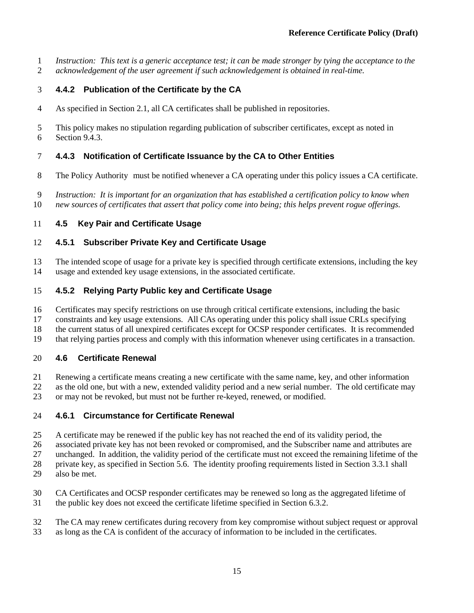*Instruction: This text is a generic acceptance test; it can be made stronger by tying the acceptance to the* 

*acknowledgement of the user agreement if such acknowledgement is obtained in real-time.*

## **4.4.2 Publication of the Certificate by the CA**

As specified in Section [2.1,](#page-14-0) all CA certificates shall be published in repositories.

 This policy makes no stipulation regarding publication of subscriber certificates, except as noted in Sectio[n 9.4.3.](#page-74-0)

## **4.4.3 Notification of Certificate Issuance by the CA to Other Entities**

- The Policy Authority must be notified whenever a CA operating under this policy issues a CA certificate.
- *Instruction: It is important for an organization that has established a certification policy to know when*
- *new sources of certificates that assert that policy come into being; this helps prevent rogue offerings.*

## **4.5 Key Pair and Certificate Usage**

## **4.5.1 Subscriber Private Key and Certificate Usage**

 The intended scope of usage for a private key is specified through certificate extensions, including the key usage and extended key usage extensions, in the associated certificate.

## **4.5.2 Relying Party Public key and Certificate Usage**

Certificates may specify restrictions on use through critical certificate extensions, including the basic

constraints and key usage extensions. All CAs operating under this policy shall issue CRLs specifying

the current status of all unexpired certificates except for OCSP responder certificates. It is recommended

that relying parties process and comply with this information whenever using certificates in a transaction.

## **4.6 Certificate Renewal**

- Renewing a certificate means creating a new certificate with the same name, key, and other information
- as the old one, but with a new, extended validity period and a new serial number. The old certificate may
- or may not be revoked, but must not be further re-keyed, renewed, or modified.

## **4.6.1 Circumstance for Certificate Renewal**

- A certificate may be renewed if the public key has not reached the end of its validity period, the
- associated private key has not been revoked or compromised, and the Subscriber name and attributes are
- unchanged. In addition, the validity period of the certificate must not exceed the remaining lifetime of the
- private key, as specified in Section 5.6. The identity proofing requirements listed in Sectio[n 3.3.1](#page-20-1) shall
- also be met.
- CA Certificates and OCSP responder certificates may be renewed so long as the aggregated lifetime of
- the public key does not exceed the certificate lifetime specified in Section [6.3.2.](#page-53-0)
- The CA may renew certificates during recovery from key compromise without subject request or approval
- as long as the CA is confident of the accuracy of information to be included in the certificates.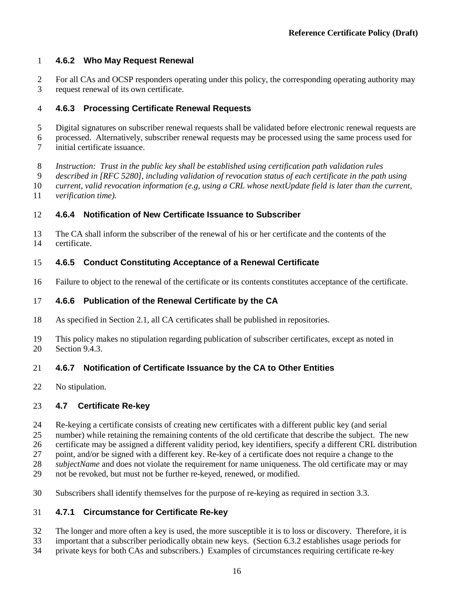## **4.6.2 Who May Request Renewal**

 For all CAs and OCSP responders operating under this policy, the corresponding operating authority may request renewal of its own certificate.

## **4.6.3 Processing Certificate Renewal Requests**

- Digital signatures on subscriber renewal requests shall be validated before electronic renewal requests are
- processed. Alternatively, subscriber renewal requests may be processed using the same process used for initial certificate issuance.
- *Instruction: Trust in the public key shall be established using certification path validation rules*
- *described in [RFC 5280], including validation of revocation status of each certificate in the path using*
- *current, valid revocation information (e.g, using a CRL whose nextUpdate field is later than the current,*
- *verification time).*

## **4.6.4 Notification of New Certificate Issuance to Subscriber**

 The CA shall inform the subscriber of the renewal of his or her certificate and the contents of the certificate.

#### **4.6.5 Conduct Constituting Acceptance of a Renewal Certificate**

Failure to object to the renewal of the certificate or its contents constitutes acceptance of the certificate.

## **4.6.6 Publication of the Renewal Certificate by the CA**

- As specified in Section [2.1,](#page-14-0) all CA certificates shall be published in repositories.
- This policy makes no stipulation regarding publication of subscriber certificates, except as noted in Sectio[n 9.4.3.](#page-74-0)

#### **4.6.7 Notification of Certificate Issuance by the CA to Other Entities**

No stipulation.

#### **4.7 Certificate Re-key**

- Re-keying a certificate consists of creating new certificates with a different public key (and serial
- number) while retaining the remaining contents of the old certificate that describe the subject. The new
- certificate may be assigned a different validity period, key identifiers, specify a different CRL distribution
- point, and/or be signed with a different key. Re-key of a certificate does not require a change to the
- *subjectName* and does not violate the requirement for name uniqueness. The old certificate may or may
- not be revoked, but must not be further re-keyed, renewed, or modified.
- Subscribers shall identify themselves for the purpose of re-keying as required in section [3.3.](#page-20-0)

#### **4.7.1 Circumstance for Certificate Re-key**

- The longer and more often a key is used, the more susceptible it is to loss or discovery. Therefore, it is
- important that a subscriber periodically obtain new keys. (Section [6.3.2](#page-53-0) establishes usage periods for
- private keys for both CAs and subscribers.) Examples of circumstances requiring certificate re-key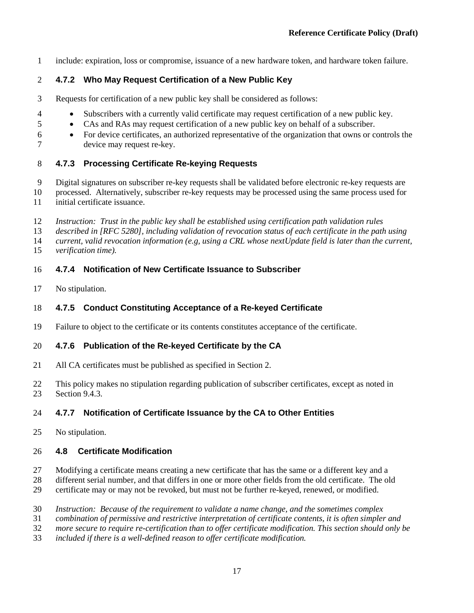include: expiration, loss or compromise, issuance of a new hardware token, and hardware token failure.

## **4.7.2 Who May Request Certification of a New Public Key**

- Requests for certification of a new public key shall be considered as follows:
- Subscribers with a currently valid certificate may request certification of a new public key.
- CAs and RAs may request certification of a new public key on behalf of a subscriber.
- For device certificates, an authorized representative of the organization that owns or controls the device may request re-key.

## <span id="page-25-0"></span>**4.7.3 Processing Certificate Re-keying Requests**

- Digital signatures on subscriber re-key requests shall be validated before electronic re-key requests are
- processed. Alternatively, subscriber re-key requests may be processed using the same process used for initial certificate issuance.
- *Instruction: Trust in the public key shall be established using certification path validation rules*
- *described in [RFC 5280], including validation of revocation status of each certificate in the path using*
- *current, valid revocation information (e.g, using a CRL whose nextUpdate field is later than the current,*
- *verification time).*
- **4.7.4 Notification of New Certificate Issuance to Subscriber**
- No stipulation.

#### **4.7.5 Conduct Constituting Acceptance of a Re-keyed Certificate**

Failure to object to the certificate or its contents constitutes acceptance of the certificate.

#### **4.7.6 Publication of the Re-keyed Certificate by the CA**

- All CA certificates must be published as specified in Section [2.](#page-14-1)
- This policy makes no stipulation regarding publication of subscriber certificates, except as noted in Sectio[n 9.4.3.](#page-74-0)

#### **4.7.7 Notification of Certificate Issuance by the CA to Other Entities**

No stipulation.

#### **4.8 Certificate Modification**

- Modifying a certificate means creating a new certificate that has the same or a different key and a
- different serial number, and that differs in one or more other fields from the old certificate. The old
- certificate may or may not be revoked, but must not be further re-keyed, renewed, or modified.
- *Instruction: Because of the requirement to validate a name change, and the sometimes complex*
- *combination of permissive and restrictive interpretation of certificate contents, it is often simpler and*
- *more secure to require re-certification than to offer certificate modification. This section should only be*
- *included if there is a well-defined reason to offer certificate modification.*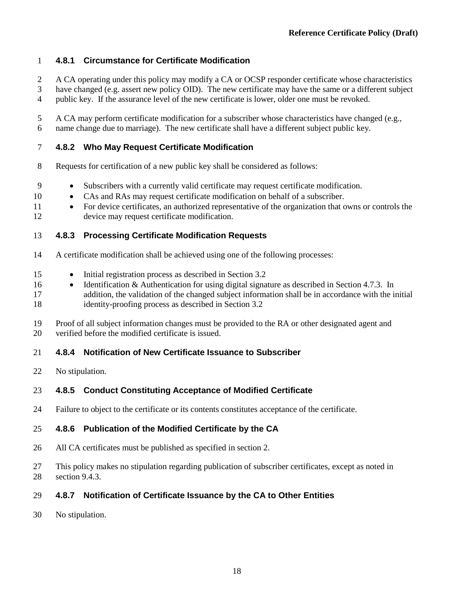## **4.8.1 Circumstance for Certificate Modification**

- A CA operating under this policy may modify a CA or OCSP responder certificate whose characteristics have changed (e.g. assert new policy OID). The new certificate may have the same or a different subject
- public key. If the assurance level of the new certificate is lower, older one must be revoked.
- A CA may perform certificate modification for a subscriber whose characteristics have changed (e.g., name change due to marriage). The new certificate shall have a different subject public key.

## **4.8.2 Who May Request Certificate Modification**

- Requests for certification of a new public key shall be considered as follows:
- Subscribers with a currently valid certificate may request certificate modification.
- CAs and RAs may request certificate modification on behalf of a subscriber.
- For device certificates, an authorized representative of the organization that owns or controls the device may request certificate modification.

## **4.8.3 Processing Certificate Modification Requests**

- A certificate modification shall be achieved using one of the following processes:
- Initial registration process as described in Section [3.2](#page-16-0)
- 16 Identification & Authentication for using digital signature as described in Section [4.7.3.](#page-25-0) In addition, the validation of the changed subject information shall be in accordance with the initial identity-proofing process as described in Section [3.2](#page-16-0)
- Proof of all subject information changes must be provided to the RA or other designated agent and verified before the modified certificate is issued.

#### **4.8.4 Notification of New Certificate Issuance to Subscriber**

No stipulation.

## **4.8.5 Conduct Constituting Acceptance of Modified Certificate**

Failure to object to the certificate or its contents constitutes acceptance of the certificate.

#### **4.8.6 Publication of the Modified Certificate by the CA**

- All CA certificates must be published as specified in section [2.](#page-14-1)
- This policy makes no stipulation regarding publication of subscriber certificates, except as noted in section [9.4.3.](#page-74-0)

## **4.8.7 Notification of Certificate Issuance by the CA to Other Entities**

No stipulation.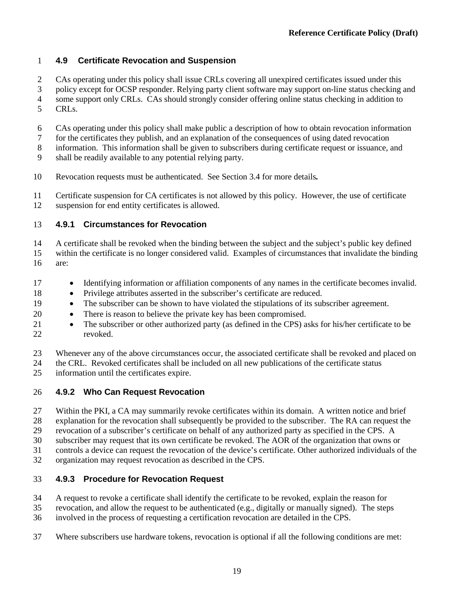## **4.9 Certificate Revocation and Suspension**

- CAs operating under this policy shall issue CRLs covering all unexpired certificates issued under this
- policy except for OCSP responder. Relying party client software may support on-line status checking and
- some support only CRLs. CAs should strongly consider offering online status checking in addition to CRLs.
- CAs operating under this policy shall make public a description of how to obtain revocation information
- for the certificates they publish, and an explanation of the consequences of using dated revocation
- information. This information shall be given to subscribers during certificate request or issuance, and
- shall be readily available to any potential relying party.
- Revocation requests must be authenticated. See Section [3.4](#page-20-2) for more details*.*
- Certificate suspension for CA certificates is not allowed by this policy. However, the use of certificate suspension for end entity certificates is allowed.

## **4.9.1 Circumstances for Revocation**

- A certificate shall be revoked when the binding between the subject and the subject's public key defined
- within the certificate is no longer considered valid. Examples of circumstances that invalidate the binding are:
- Identifying information or affiliation components of any names in the certificate becomes invalid.
- Privilege attributes asserted in the subscriber's certificate are reduced.
- The subscriber can be shown to have violated the stipulations of its subscriber agreement.
- There is reason to believe the private key has been compromised.
- 21 The subscriber or other authorized party (as defined in the CPS) asks for his/her certificate to be revoked.
- Whenever any of the above circumstances occur, the associated certificate shall be revoked and placed on
- the CRL. Revoked certificates shall be included on all new publications of the certificate status
- information until the certificates expire.

## **4.9.2 Who Can Request Revocation**

- Within the PKI, a CA may summarily revoke certificates within its domain. A written notice and brief
- explanation for the revocation shall subsequently be provided to the subscriber. The RA can request the
- revocation of a subscriber's certificate on behalf of any authorized party as specified in the CPS. A
- subscriber may request that its own certificate be revoked. The AOR of the organization that owns or
- controls a device can request the revocation of the device's certificate. Other authorized individuals of the
- organization may request revocation as described in the CPS.

## **4.9.3 Procedure for Revocation Request**

- A request to revoke a certificate shall identify the certificate to be revoked, explain the reason for
- revocation, and allow the request to be authenticated (e.g., digitally or manually signed). The steps
- involved in the process of requesting a certification revocation are detailed in the CPS.
- Where subscribers use hardware tokens, revocation is optional if all the following conditions are met: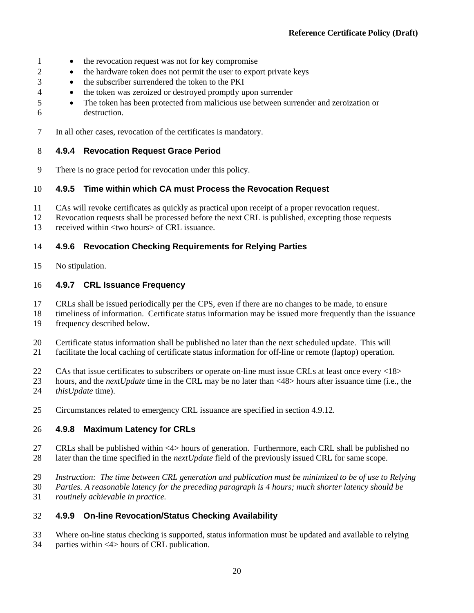- 1 the revocation request was not for key compromise
- 2 the hardware token does not permit the user to export private keys
- the subscriber surrendered the token to the PKI
- the token was zeroized or destroyed promptly upon surrender
- The token has been protected from malicious use between surrender and zeroization or destruction.
- In all other cases, revocation of the certificates is mandatory.

#### **4.9.4 Revocation Request Grace Period**

There is no grace period for revocation under this policy.

#### **4.9.5 Time within which CA must Process the Revocation Request**

- CAs will revoke certificates as quickly as practical upon receipt of a proper revocation request.
- Revocation requests shall be processed before the next CRL is published, excepting those requests
- received within <two hours> of CRL issuance.

#### **4.9.6 Revocation Checking Requirements for Relying Parties**

No stipulation.

#### <span id="page-28-0"></span>**4.9.7 CRL Issuance Frequency**

- CRLs shall be issued periodically per the CPS, even if there are no changes to be made, to ensure
- timeliness of information. Certificate status information may be issued more frequently than the issuance frequency described below.
- Certificate status information shall be published no later than the next scheduled update. This will
- facilitate the local caching of certificate status information for off-line or remote (laptop) operation.
- CAs that issue certificates to subscribers or operate on-line must issue CRLs at least once every <18>
- hours, and the *nextUpdate* time in the CRL may be no later than <48> hours after issuance time (i.e., the
- *thisUpdate* time).
- Circumstances related to emergency CRL issuance are specified in section [4.9.12.](#page-29-0)

#### <span id="page-28-1"></span>**4.9.8 Maximum Latency for CRLs**

- CRLs shall be published within <4> hours of generation. Furthermore, each CRL shall be published no later than the time specified in the *nextUpdate* field of the previously issued CRL for same scope.
- *Instruction: The time between CRL generation and publication must be minimized to be of use to Relying*
- *Parties. A reasonable latency for the preceding paragraph is 4 hours; much shorter latency should be*
- *routinely achievable in practice.*

#### **4.9.9 On-line Revocation/Status Checking Availability**

- Where on-line status checking is supported, status information must be updated and available to relying
- parties within <4> hours of CRL publication.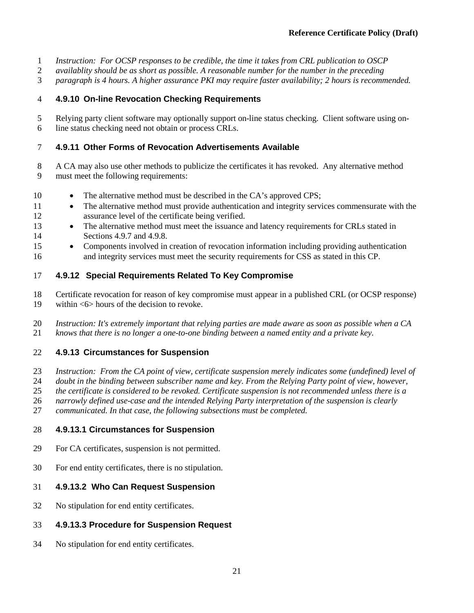- *Instruction: For OCSP responses to be credible, the time it takes from CRL publication to OSCP*
- *availablity should be as short as possible. A reasonable number for the number in the preceding*
- *paragraph is 4 hours. A higher assurance PKI may require faster availability; 2 hours is recommended.*

#### **4.9.10 On-line Revocation Checking Requirements**

 Relying party client software may optionally support on-line status checking. Client software using on-line status checking need not obtain or process CRLs.

#### **4.9.11 Other Forms of Revocation Advertisements Available**

- A CA may also use other methods to publicize the certificates it has revoked. Any alternative method must meet the following requirements:
- 10 The alternative method must be described in the CA's approved CPS;
- 11 The alternative method must provide authentication and integrity services commensurate with the assurance level of the certificate being verified.
- 13 The alternative method must meet the issuance and latency requirements for CRLs stated in Sections [4.9.7](#page-28-0) and [4.9.8.](#page-28-1)
- Components involved in creation of revocation information including providing authentication and integrity services must meet the security requirements for CSS as stated in this CP.

#### <span id="page-29-0"></span>**4.9.12 Special Requirements Related To Key Compromise**

- Certificate revocation for reason of key compromise must appear in a published CRL (or OCSP response)
- within <6> hours of the decision to revoke.
- *Instruction: It's extremely important that relying parties are made aware as soon as possible when a CA knows that there is no longer a one-to-one binding between a named entity and a private key.*

#### **4.9.13 Circumstances for Suspension**

- *Instruction: From the CA point of view, certificate suspension merely indicates some (undefined) level of*
- *doubt in the binding between subscriber name and key. From the Relying Party point of view, however,*
- *the certificate is considered to be revoked. Certificate suspension is not recommended unless there is a*
- *narrowly defined use-case and the intended Relying Party interpretation of the suspension is clearly*
- *communicated. In that case, the following subsections must be completed.*

#### **4.9.13.1 Circumstances for Suspension**

- For CA certificates, suspension is not permitted.
- For end entity certificates, there is no stipulation.

#### **4.9.13.2 Who Can Request Suspension**

No stipulation for end entity certificates.

#### **4.9.13.3 Procedure for Suspension Request**

No stipulation for end entity certificates.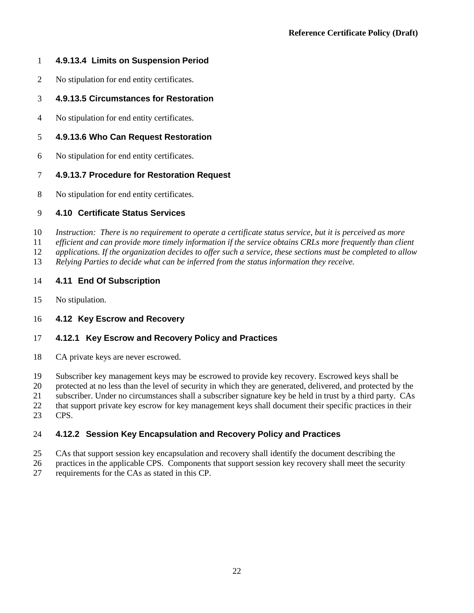## **4.9.13.4 Limits on Suspension Period**

- No stipulation for end entity certificates.
- **4.9.13.5 Circumstances for Restoration**
- No stipulation for end entity certificates.

## **4.9.13.6 Who Can Request Restoration**

No stipulation for end entity certificates.

## **4.9.13.7 Procedure for Restoration Request**

No stipulation for end entity certificates.

## **4.10 Certificate Status Services**

*Instruction: There is no requirement to operate a certificate status service, but it is perceived as more* 

- *efficient and can provide more timely information if the service obtains CRLs more frequently than client*
- *applications. If the organization decides to offer such a service, these sections must be completed to allow*
- *Relying Parties to decide what can be inferred from the status information they receive.*

#### **4.11 End Of Subscription**

No stipulation.

#### **4.12 Key Escrow and Recovery**

## **4.12.1 Key Escrow and Recovery Policy and Practices**

CA private keys are never escrowed.

Subscriber key management keys may be escrowed to provide key recovery. Escrowed keys shall be

20 protected at no less than the level of security in which they are generated, delivered, and protected by the<br>21 subscriber. Under no circumstances shall a subscriber signature key be held in trust by a third party. CAs

subscriber. Under no circumstances shall a subscriber signature key be held in trust by a third party. CAs

that support private key escrow for key management keys shall document their specific practices in their

CPS.

## **4.12.2 Session Key Encapsulation and Recovery Policy and Practices**

- CAs that support session key encapsulation and recovery shall identify the document describing the
- practices in the applicable CPS. Components that support session key recovery shall meet the security
- requirements for the CAs as stated in this CP.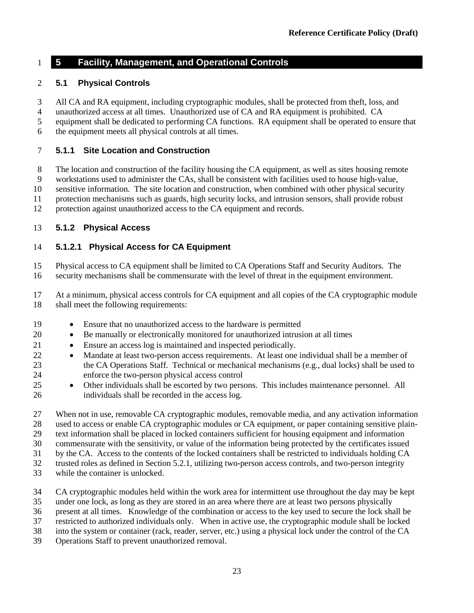## **5 Facility, Management, and Operational Controls**

#### **5.1 Physical Controls**

- All CA and RA equipment, including cryptographic modules, shall be protected from theft, loss, and
- unauthorized access at all times. Unauthorized use of CA and RA equipment is prohibited. CA
- equipment shall be dedicated to performing CA functions. RA equipment shall be operated to ensure that
- the equipment meets all physical controls at all times.

#### **5.1.1 Site Location and Construction**

The location and construction of the facility housing the CA equipment, as well as sites housing remote

workstations used to administer the CAs, shall be consistent with facilities used to house high-value,

sensitive information. The site location and construction, when combined with other physical security

protection mechanisms such as guards, high security locks, and intrusion sensors, shall provide robust

protection against unauthorized access to the CA equipment and records.

#### <span id="page-31-1"></span>**5.1.2 Physical Access**

#### <span id="page-31-0"></span>**5.1.2.1 Physical Access for CA Equipment**

Physical access to CA equipment shall be limited to CA Operations Staff and Security Auditors. The

security mechanisms shall be commensurate with the level of threat in the equipment environment.

 At a minimum, physical access controls for CA equipment and all copies of the CA cryptographic module shall meet the following requirements:

- Ensure that no unauthorized access to the hardware is permitted
- Be manually or electronically monitored for unauthorized intrusion at all times
- Ensure an access log is maintained and inspected periodically.
- 22 Mandate at least two-person access requirements. At least one individual shall be a member of the CA Operations Staff. Technical or mechanical mechanisms (e.g., dual locks) shall be used to enforce the two-person physical access control
- Other individuals shall be escorted by two persons. This includes maintenance personnel. All individuals shall be recorded in the access log.

 When not in use, removable CA cryptographic modules, removable media, and any activation information used to access or enable CA cryptographic modules or CA equipment, or paper containing sensitive plain- text information shall be placed in locked containers sufficient for housing equipment and information commensurate with the sensitivity, or value of the information being protected by the certificates issued by the CA. Access to the contents of the locked containers shall be restricted to individuals holding CA trusted roles as defined in Section [5.2.1,](#page-33-0) utilizing two-person access controls, and two-person integrity

- while the container is unlocked.
- CA cryptographic modules held within the work area for intermittent use throughout the day may be kept
- under one lock, as long as they are stored in an area where there are at least two persons physically
- present at all times. Knowledge of the combination or access to the key used to secure the lock shall be
- restricted to authorized individuals only. When in active use, the cryptographic module shall be locked
- into the system or container (rack, reader, server, etc.) using a physical lock under the control of the CA
- Operations Staff to prevent unauthorized removal.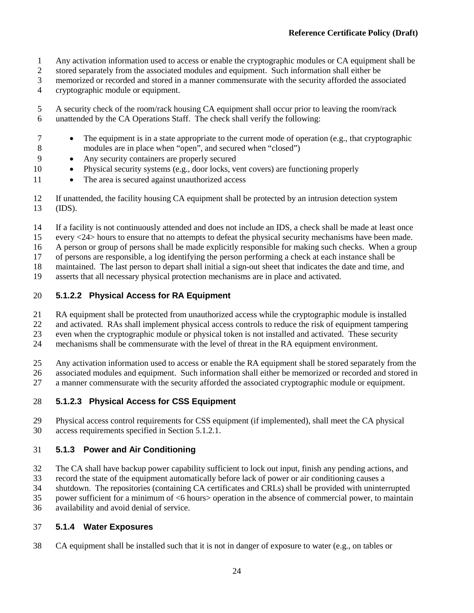- Any activation information used to access or enable the cryptographic modules or CA equipment shall be
- stored separately from the associated modules and equipment. Such information shall either be
- memorized or recorded and stored in a manner commensurate with the security afforded the associated
- cryptographic module or equipment.
- A security check of the room/rack housing CA equipment shall occur prior to leaving the room/rack unattended by the CA Operations Staff. The check shall verify the following:
- The equipment is in a state appropriate to the current mode of operation (e.g., that cryptographic modules are in place when "open", and secured when "closed")
- Any security containers are properly secured
- Physical security systems (e.g., door locks, vent covers) are functioning properly
- 11 The area is secured against unauthorized access
- If unattended, the facility housing CA equipment shall be protected by an intrusion detection system (IDS).
- If a facility is not continuously attended and does not include an IDS, a check shall be made at least once
- every <24> hours to ensure that no attempts to defeat the physical security mechanisms have been made.
- A person or group of persons shall be made explicitly responsible for making such checks. When a group
- of persons are responsible, a log identifying the person performing a check at each instance shall be
- maintained. The last person to depart shall initial a sign-out sheet that indicates the date and time, and
- asserts that all necessary physical protection mechanisms are in place and activated.

## **5.1.2.2 Physical Access for RA Equipment**

- RA equipment shall be protected from unauthorized access while the cryptographic module is installed
- and activated. RAs shall implement physical access controls to reduce the risk of equipment tampering
- even when the cryptographic module or physical token is not installed and activated. These security mechanisms shall be commensurate with the level of threat in the RA equipment environment.
- Any activation information used to access or enable the RA equipment shall be stored separately from the
- associated modules and equipment. Such information shall either be memorized or recorded and stored in
- a manner commensurate with the security afforded the associated cryptographic module or equipment.

## **5.1.2.3 Physical Access for CSS Equipment**

- 29 Physical access control requirements for CSS equipment (if implemented), shall meet the CA physical access requirements specified in Section 5.1.2.1.
- access requirements specified in Section [5.1.2.1.](#page-31-0)

## **5.1.3 Power and Air Conditioning**

- The CA shall have backup power capability sufficient to lock out input, finish any pending actions, and
- record the state of the equipment automatically before lack of power or air conditioning causes a
- shutdown. The repositories (containing CA certificates and CRLs) shall be provided with uninterrupted
- power sufficient for a minimum of <6 hours> operation in the absence of commercial power, to maintain
- availability and avoid denial of service.

## **5.1.4 Water Exposures**

CA equipment shall be installed such that it is not in danger of exposure to water (e.g., on tables or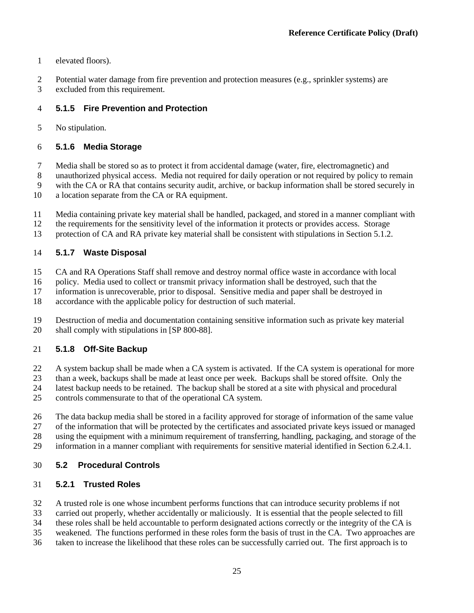- elevated floors).
- Potential water damage from fire prevention and protection measures (e.g., sprinkler systems) are
- excluded from this requirement.

## **5.1.5 Fire Prevention and Protection**

No stipulation.

## **5.1.6 Media Storage**

Media shall be stored so as to protect it from accidental damage (water, fire, electromagnetic) and

unauthorized physical access. Media not required for daily operation or not required by policy to remain

with the CA or RA that contains security audit, archive, or backup information shall be stored securely in

- a location separate from the CA or RA equipment.
- Media containing private key material shall be handled, packaged, and stored in a manner compliant with
- the requirements for the sensitivity level of the information it protects or provides access. Storage
- protection of CA and RA private key material shall be consistent with stipulations in Section [5.1.2.](#page-31-1)

## **5.1.7 Waste Disposal**

- CA and RA Operations Staff shall remove and destroy normal office waste in accordance with local
- policy. Media used to collect or transmit privacy information shall be destroyed, such that the
- information is unrecoverable, prior to disposal. Sensitive media and paper shall be destroyed in
- accordance with the applicable policy for destruction of such material.
- Destruction of media and documentation containing sensitive information such as private key material shall comply with stipulations in [SP 800-88].

## **5.1.8 Off-Site Backup**

- A system backup shall be made when a CA system is activated. If the CA system is operational for more
- than a week, backups shall be made at least once per week. Backups shall be stored offsite. Only the
- latest backup needs to be retained. The backup shall be stored at a site with physical and procedural
- controls commensurate to that of the operational CA system.
- The data backup media shall be stored in a facility approved for storage of information of the same value of the information that will be protected by the certificates and associated private keys issued or managed
- using the equipment with a minimum requirement of transferring, handling, packaging, and storage of the
- information in a manner compliant with requirements for sensitive material identified in Section [6.2.4.1.](#page-51-0)

## <span id="page-33-1"></span>**5.2 Procedural Controls**

## <span id="page-33-0"></span>**5.2.1 Trusted Roles**

- A trusted role is one whose incumbent performs functions that can introduce security problems if not
- carried out properly, whether accidentally or maliciously. It is essential that the people selected to fill
- these roles shall be held accountable to perform designated actions correctly or the integrity of the CA is
- weakened. The functions performed in these roles form the basis of trust in the CA. Two approaches are
- taken to increase the likelihood that these roles can be successfully carried out. The first approach is to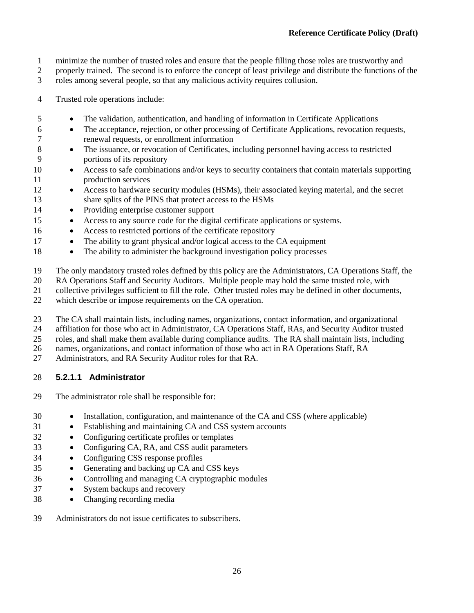- minimize the number of trusted roles and ensure that the people filling those roles are trustworthy and
- properly trained. The second is to enforce the concept of least privilege and distribute the functions of the
- roles among several people, so that any malicious activity requires collusion.
- Trusted role operations include:
- The validation, authentication, and handling of information in Certificate Applications
- The acceptance, rejection, or other processing of Certificate Applications, revocation requests, renewal requests, or enrollment information
- The issuance, or revocation of Certificates, including personnel having access to restricted portions of its repository
- Access to safe combinations and/or keys to security containers that contain materials supporting production services
- 12 Access to hardware security modules (HSMs), their associated keying material, and the secret share splits of the PINS that protect access to the HSMs
- Providing enterprise customer support
- Access to any source code for the digital certificate applications or systems.
- 16 Access to restricted portions of the certificate repository
- The ability to grant physical and/or logical access to the CA equipment
- The ability to administer the background investigation policy processes
- The only mandatory trusted roles defined by this policy are the Administrators, CA Operations Staff, the
- RA Operations Staff and Security Auditors. Multiple people may hold the same trusted role, with
- collective privileges sufficient to fill the role. Other trusted roles may be defined in other documents,
- which describe or impose requirements on the CA operation.
- The CA shall maintain lists, including names, organizations, contact information, and organizational
- affiliation for those who act in Administrator, CA Operations Staff, RAs, and Security Auditor trusted
- roles, and shall make them available during compliance audits. The RA shall maintain lists, including
- names, organizations, and contact information of those who act in RA Operations Staff, RA
- Administrators, and RA Security Auditor roles for that RA.

## **5.2.1.1 Administrator**

- The administrator role shall be responsible for:
- Installation, configuration, and maintenance of the CA and CSS (where applicable)
- Establishing and maintaining CA and CSS system accounts
- Configuring certificate profiles or templates
- Configuring CA, RA, and CSS audit parameters
- Configuring CSS response profiles
- Generating and backing up CA and CSS keys
- Controlling and managing CA cryptographic modules
- System backups and recovery
- Changing recording media
- Administrators do not issue certificates to subscribers.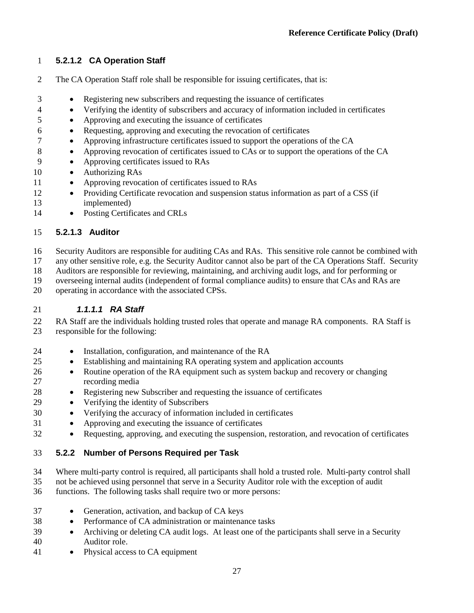## **5.2.1.2 CA Operation Staff**

- The CA Operation Staff role shall be responsible for issuing certificates, that is:
- Registering new subscribers and requesting the issuance of certificates
- Verifying the identity of subscribers and accuracy of information included in certificates
- Approving and executing the issuance of certificates
- Requesting, approving and executing the revocation of certificates
- Approving infrastructure certificates issued to support the operations of the CA
- Approving revocation of certificates issued to CAs or to support the operations of the CA
- Approving certificates issued to RAs
- Authorizing RAs
- 11 Approving revocation of certificates issued to RAs
- Providing Certificate revocation and suspension status information as part of a CSS (if implemented)
- 14 Posting Certificates and CRLs

## **5.2.1.3 Auditor**

Security Auditors are responsible for auditing CAs and RAs. This sensitive role cannot be combined with

any other sensitive role, e.g. the Security Auditor cannot also be part of the CA Operations Staff. Security

Auditors are responsible for reviewing, maintaining, and archiving audit logs, and for performing or

overseeing internal audits (independent of formal compliance audits) to ensure that CAs and RAs are

operating in accordance with the associated CPSs.

## *1.1.1.1 RA Staff*

 RA Staff are the individuals holding trusted roles that operate and manage RA components. RA Staff is responsible for the following:

- Installation, configuration, and maintenance of the RA
- Establishing and maintaining RA operating system and application accounts
- 26 Routine operation of the RA equipment such as system backup and recovery or changing recording media
- Registering new Subscriber and requesting the issuance of certificates
- Verifying the identity of Subscribers
- Verifying the accuracy of information included in certificates
- Approving and executing the issuance of certificates
- Requesting, approving, and executing the suspension, restoration, and revocation of certificates

## **5.2.2 Number of Persons Required per Task**

Where multi-party control is required, all participants shall hold a trusted role. Multi-party control shall

not be achieved using personnel that serve in a Security Auditor role with the exception of audit

- functions. The following tasks shall require two or more persons:
- Generation, activation, and backup of CA keys
- Performance of CA administration or maintenance tasks
- 39 Archiving or deleting CA audit logs. At least one of the participants shall serve in a Security Auditor role.
- 41 Physical access to CA equipment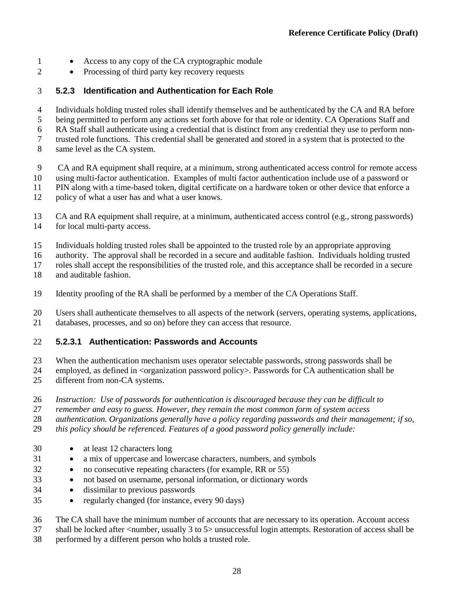- 1 Access to any copy of the CA cryptographic module
- Processing of third party key recovery requests

### **5.2.3 Identification and Authentication for Each Role**

- Individuals holding trusted roles shall identify themselves and be authenticated by the CA and RA before
- being permitted to perform any actions set forth above for that role or identity. CA Operations Staff and RA Staff shall authenticate using a credential that is distinct from any credential they use to perform non-

7 trusted role functions. This credential shall be generated and stored in a system that is protected to the same level as the CA system.

- same level as the CA system.
- CA and RA equipment shall require, at a minimum, strong authenticated access control for remote access
- using multi-factor authentication. Examples of multi factor authentication include use of a password or
- PIN along with a time-based token, digital certificate on a hardware token or other device that enforce a
- policy of what a user has and what a user knows.
- CA and RA equipment shall require, at a minimum, authenticated access control (e.g., strong passwords) for local multi-party access.
- Individuals holding trusted roles shall be appointed to the trusted role by an appropriate approving

authority. The approval shall be recorded in a secure and auditable fashion. Individuals holding trusted

roles shall accept the responsibilities of the trusted role, and this acceptance shall be recorded in a secure

- and auditable fashion.
- Identity proofing of the RA shall be performed by a member of the CA Operations Staff.
- Users shall authenticate themselves to all aspects of the network (servers, operating systems, applications, databases, processes, and so on) before they can access that resource.

## **5.2.3.1 Authentication: Passwords and Accounts**

When the authentication mechanism uses operator selectable passwords, strong passwords shall be

- 24 employed, as defined in <organization password policy>. Passwords for CA authentication shall be different from non-CA systems.
- *Instruction: Use of passwords for authentication is discouraged because they can be difficult to*
- *remember and easy to guess. However, they remain the most common form of system access*

*authentication. Organizations generally have a policy regarding passwords and their management; if so,* 

- *this policy should be referenced. Features of a good password policy generally include:*
- at least 12 characters long
- a mix of uppercase and lowercase characters, numbers, and symbols
- no consecutive repeating characters (for example, RR or 55)
- not based on username, personal information, or dictionary words
- dissimilar to previous passwords
- regularly changed (for instance, every 90 days)

The CA shall have the minimum number of accounts that are necessary to its operation. Account access

- shall be locked after <number, usually 3 to 5> unsuccessful login attempts. Restoration of access shall be
- performed by a different person who holds a trusted role.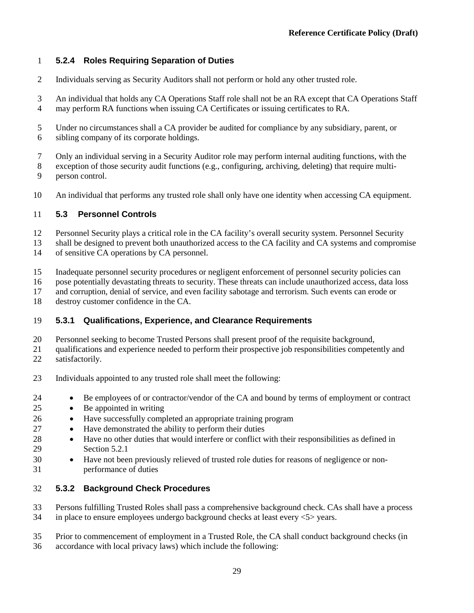## **5.2.4 Roles Requiring Separation of Duties**

- Individuals serving as Security Auditors shall not perform or hold any other trusted role.
- An individual that holds any CA Operations Staff role shall not be an RA except that CA Operations Staff may perform RA functions when issuing CA Certificates or issuing certificates to RA.
- Under no circumstances shall a CA provider be audited for compliance by any subsidiary, parent, or sibling company of its corporate holdings.
- Only an individual serving in a Security Auditor role may perform internal auditing functions, with the
- exception of those security audit functions (e.g., configuring, archiving, deleting) that require multi-person control.
- An individual that performs any trusted role shall only have one identity when accessing CA equipment.

### **5.3 Personnel Controls**

- Personnel Security plays a critical role in the CA facility's overall security system. Personnel Security
- 13 shall be designed to prevent both unauthorized access to the CA facility and CA systems and compromise<br>14 of sensitive CA operations by CA personnel. of sensitive CA operations by CA personnel.
- Inadequate personnel security procedures or negligent enforcement of personnel security policies can
- pose potentially devastating threats to security. These threats can include unauthorized access, data loss
- and corruption, denial of service, and even facility sabotage and terrorism. Such events can erode or
- destroy customer confidence in the CA.

### **5.3.1 Qualifications, Experience, and Clearance Requirements**

- 
- 20 Personnel seeking to become Trusted Persons shall present proof of the requisite background,<br>21 qualifications and experience needed to perform their prospective job responsibilities compete qualifications and experience needed to perform their prospective job responsibilities competently and satisfactorily.
- Individuals appointed to any trusted role shall meet the following:
- Be employees of or contractor/vendor of the CA and bound by terms of employment or contract
- Be appointed in writing
- Have successfully completed an appropriate training program
- Have demonstrated the ability to perform their duties
- Have no other duties that would interfere or conflict with their responsibilities as defined in Sectio[n 5.2.1](#page-33-0)
- Have not been previously relieved of trusted role duties for reasons of negligence or non-performance of duties

### **5.3.2 Background Check Procedures**

- Persons fulfilling Trusted Roles shall pass a comprehensive background check. CAs shall have a process in place to ensure employees undergo background checks at least every <5> years.
- Prior to commencement of employment in a Trusted Role, the CA shall conduct background checks (in
- accordance with local privacy laws) which include the following: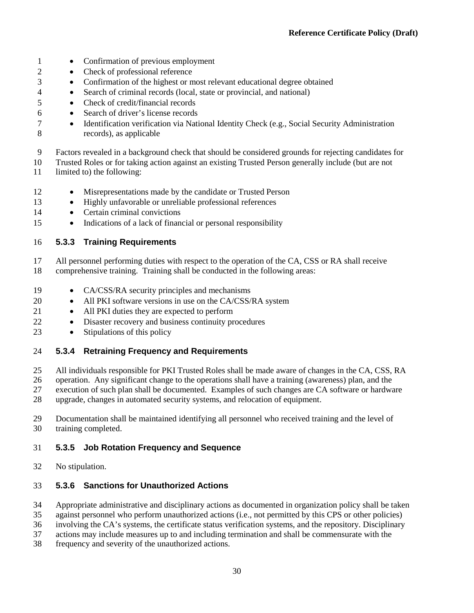- Confirmation of previous employment
- 2 Check of professional reference
- Confirmation of the highest or most relevant educational degree obtained
- Search of criminal records (local, state or provincial, and national)
- Check of credit/financial records
- Search of driver's license records
- 7 Identification verification via National Identity Check (e.g., Social Security Administration records), as applicable
- Factors revealed in a background check that should be considered grounds for rejecting candidates for
- Trusted Roles or for taking action against an existing Trusted Person generally include (but are not
- limited to) the following:
- Misrepresentations made by the candidate or Trusted Person
- Highly unfavorable or unreliable professional references
- 14 Certain criminal convictions
- Indications of a lack of financial or personal responsibility

**5.3.3 Training Requirements**

- All personnel performing duties with respect to the operation of the CA, CSS or RA shall receive comprehensive training. Training shall be conducted in the following areas:
- CA/CSS/RA security principles and mechanisms
- 20 All PKI software versions in use on the CA/CSS/RA system
- 21 All PKI duties they are expected to perform
- Disaster recovery and business continuity procedures
- Stipulations of this policy

## **5.3.4 Retraining Frequency and Requirements**

All individuals responsible for PKI Trusted Roles shall be made aware of changes in the CA, CSS, RA

- operation. Any significant change to the operations shall have a training (awareness) plan, and the
- execution of such plan shall be documented. Examples of such changes are CA software or hardware
- upgrade, changes in automated security systems, and relocation of equipment.
- Documentation shall be maintained identifying all personnel who received training and the level of training completed.

## **5.3.5 Job Rotation Frequency and Sequence**

No stipulation.

## **5.3.6 Sanctions for Unauthorized Actions**

- Appropriate administrative and disciplinary actions as documented in organization policy shall be taken
- against personnel who perform unauthorized actions (i.e., not permitted by this CPS or other policies)
- involving the CA's systems, the certificate status verification systems, and the repository. Disciplinary
- actions may include measures up to and including termination and shall be commensurate with the
- frequency and severity of the unauthorized actions.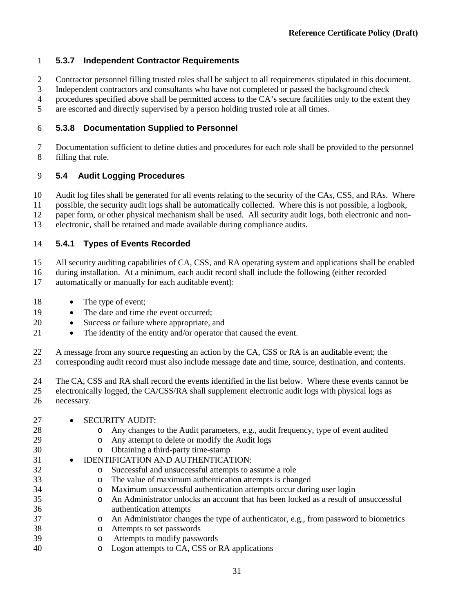## **5.3.7 Independent Contractor Requirements**

- Contractor personnel filling trusted roles shall be subject to all requirements stipulated in this document.
- Independent contractors and consultants who have not completed or passed the background check
- procedures specified above shall be permitted access to the CA's secure facilities only to the extent they
- are escorted and directly supervised by a person holding trusted role at all times.

## **5.3.8 Documentation Supplied to Personnel**

 Documentation sufficient to define duties and procedures for each role shall be provided to the personnel filling that role.

## <span id="page-39-0"></span>**5.4 Audit Logging Procedures**

Audit log files shall be generated for all events relating to the security of the CAs, CSS, and RAs. Where

possible, the security audit logs shall be automatically collected. Where this is not possible, a logbook,

paper form, or other physical mechanism shall be used. All security audit logs, both electronic and non-

electronic, shall be retained and made available during compliance audits.

### <span id="page-39-1"></span>**5.4.1 Types of Events Recorded**

All security auditing capabilities of CA, CSS, and RA operating system and applications shall be enabled

 during installation. At a minimum, each audit record shall include the following (either recorded automatically or manually for each auditable event):

- 18 The type of event;
- 19 The date and time the event occurred:
- Success or failure where appropriate, and
- 21 The identity of the entity and/or operator that caused the event.
- 22 A message from any source requesting an action by the CA, CSS or RA is an auditable event; the corresponding audit record must also include message date and time, source, destination, and cont corresponding audit record must also include message date and time, source, destination, and contents.
- The CA, CSS and RA shall record the events identified in the list below. Where these events cannot be electronically logged, the CA/CSS/RA shall supplement electronic audit logs with physical logs as necessary.

| 27<br>28<br>29 | $\bullet$ | $\circ$<br>$\circ$ | <b>SECURITY AUDIT:</b><br>Any changes to the Audit parameters, e.g., audit frequency, type of event audited<br>Any attempt to delete or modify the Audit logs |
|----------------|-----------|--------------------|---------------------------------------------------------------------------------------------------------------------------------------------------------------|
| 30             |           | $\circ$            | Obtaining a third-party time-stamp                                                                                                                            |
| 31             |           |                    | IDENTIFICATION AND AUTHENTICATION:                                                                                                                            |
| 32             |           | $\circ$            | Successful and unsuccessful attempts to assume a role                                                                                                         |
| 33             |           | $\circ$            | The value of maximum authentication attempts is changed                                                                                                       |
| 34             |           | $\circ$            | Maximum unsuccessful authentication attempts occur during user login                                                                                          |
| 35             |           | $\circ$            | An Administrator unlocks an account that has been locked as a result of unsuccessful                                                                          |
| 36             |           |                    | authentication attempts                                                                                                                                       |
| 37             |           | $\circ$            | An Administrator changes the type of authenticator, e.g., from password to biometrics                                                                         |
| 38             |           | $\circ$            | Attempts to set passwords                                                                                                                                     |
| 39             |           | $\circ$            | Attempts to modify passwords                                                                                                                                  |
| 40             |           | O                  | Logon attempts to CA, CSS or RA applications                                                                                                                  |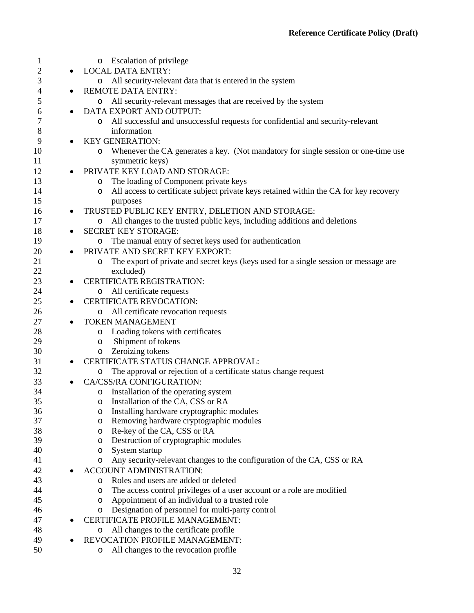| 1  |           | <b>Escalation of privilege</b><br>O                                                         |
|----|-----------|---------------------------------------------------------------------------------------------|
| 2  |           | <b>LOCAL DATA ENTRY:</b>                                                                    |
| 3  |           | All security-relevant data that is entered in the system<br>$\circ$                         |
| 4  |           | <b>REMOTE DATA ENTRY:</b>                                                                   |
| 5  |           | All security-relevant messages that are received by the system<br>O                         |
| 6  |           | DATA EXPORT AND OUTPUT:                                                                     |
| 7  |           | All successful and unsuccessful requests for confidential and security-relevant<br>O        |
| 8  |           | information                                                                                 |
| 9  | $\bullet$ | <b>KEY GENERATION:</b>                                                                      |
| 10 |           | Whenever the CA generates a key. (Not mandatory for single session or one-time use<br>O     |
| 11 |           | symmetric keys)                                                                             |
| 12 |           | PRIVATE KEY LOAD AND STORAGE:                                                               |
| 13 |           | The loading of Component private keys<br>O                                                  |
| 14 |           | All access to certificate subject private keys retained within the CA for key recovery<br>O |
| 15 |           | purposes                                                                                    |
| 16 | $\bullet$ | TRUSTED PUBLIC KEY ENTRY, DELETION AND STORAGE:                                             |
| 17 |           | All changes to the trusted public keys, including additions and deletions<br>O              |
| 18 |           | <b>SECRET KEY STORAGE:</b>                                                                  |
| 19 |           | The manual entry of secret keys used for authentication<br>O                                |
| 20 |           | PRIVATE AND SECRET KEY EXPORT:                                                              |
| 21 |           | The export of private and secret keys (keys used for a single session or message are<br>O   |
| 22 |           | excluded)                                                                                   |
| 23 |           | <b>CERTIFICATE REGISTRATION:</b>                                                            |
| 24 |           | All certificate requests<br>$\circ$                                                         |
| 25 |           | <b>CERTIFICATE REVOCATION:</b>                                                              |
| 26 |           | All certificate revocation requests<br>O                                                    |
| 27 | $\bullet$ | <b>TOKEN MANAGEMENT</b>                                                                     |
| 28 |           | Loading tokens with certificates<br>O                                                       |
| 29 |           | Shipment of tokens<br>O                                                                     |
| 30 |           | Zeroizing tokens<br>$\circ$                                                                 |
| 31 |           | CERTIFICATE STATUS CHANGE APPROVAL:                                                         |
| 32 |           | The approval or rejection of a certificate status change request<br>O                       |
| 33 |           | CA/CSS/RA CONFIGURATION:                                                                    |
| 34 |           | Installation of the operating system<br>O                                                   |
| 35 |           | Installation of the CA, CSS or RA<br>$\circ$                                                |
| 36 |           | Installing hardware cryptographic modules<br>O                                              |
| 37 |           | Removing hardware cryptographic modules<br>O                                                |
| 38 |           | Re-key of the CA, CSS or RA<br>O                                                            |
| 39 |           | Destruction of cryptographic modules<br>O                                                   |
| 40 |           | System startup<br>O                                                                         |
| 41 |           | Any security-relevant changes to the configuration of the CA, CSS or RA<br>O                |
| 42 |           | ACCOUNT ADMINISTRATION:                                                                     |
| 43 |           | Roles and users are added or deleted<br>$\circ$                                             |
| 44 |           | The access control privileges of a user account or a role are modified<br>O                 |
| 45 |           | Appointment of an individual to a trusted role<br>O                                         |
| 46 |           | Designation of personnel for multi-party control<br>O                                       |
| 47 |           | <b>CERTIFICATE PROFILE MANAGEMENT:</b>                                                      |
| 48 |           | All changes to the certificate profile<br>O                                                 |
| 49 |           | REVOCATION PROFILE MANAGEMENT:                                                              |
| 50 |           | All changes to the revocation profile<br>O                                                  |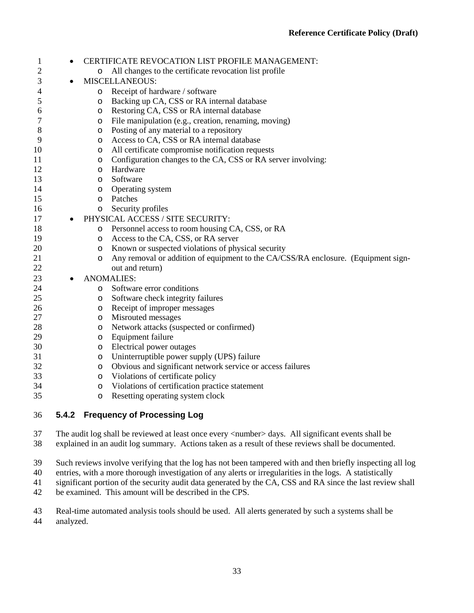| 1  | $\bullet$ |                                  | CERTIFICATE REVOCATION LIST PROFILE MANAGEMENT:                                   |  |
|----|-----------|----------------------------------|-----------------------------------------------------------------------------------|--|
| 2  |           | O                                | All changes to the certificate revocation list profile                            |  |
| 3  |           | <b>MISCELLANEOUS:</b>            |                                                                                   |  |
| 4  |           | $\circ$                          | Receipt of hardware / software                                                    |  |
| 5  |           | $\circ$                          | Backing up CA, CSS or RA internal database                                        |  |
| 6  |           | $\circ$                          | Restoring CA, CSS or RA internal database                                         |  |
| 7  |           | O                                | File manipulation (e.g., creation, renaming, moving)                              |  |
| 8  |           | $\circ$                          | Posting of any material to a repository                                           |  |
| 9  |           | $\circ$                          | Access to CA, CSS or RA internal database                                         |  |
| 10 |           | O                                | All certificate compromise notification requests                                  |  |
| 11 |           | $\circ$                          | Configuration changes to the CA, CSS or RA server involving:                      |  |
| 12 |           | O                                | Hardware                                                                          |  |
| 13 |           | $\circ$                          | Software                                                                          |  |
| 14 |           | $\circ$                          | Operating system                                                                  |  |
| 15 |           | $\circ$                          | Patches                                                                           |  |
| 16 |           | $\circ$                          | Security profiles                                                                 |  |
| 17 |           | PHYSICAL ACCESS / SITE SECURITY: |                                                                                   |  |
| 18 |           |                                  | o Personnel access to room housing CA, CSS, or RA                                 |  |
| 19 |           | $\circ$                          | Access to the CA, CSS, or RA server                                               |  |
| 20 |           |                                  | o Known or suspected violations of physical security                              |  |
| 21 |           | $\circ$                          | Any removal or addition of equipment to the CA/CSS/RA enclosure. (Equipment sign- |  |
| 22 |           |                                  | out and return)                                                                   |  |
| 23 |           |                                  | <b>ANOMALIES:</b>                                                                 |  |
| 24 |           | O                                | Software error conditions                                                         |  |
| 25 |           | O                                | Software check integrity failures                                                 |  |
| 26 |           | $\circ$                          | Receipt of improper messages                                                      |  |
| 27 |           | O                                | Misrouted messages                                                                |  |
| 28 |           | $\circ$                          | Network attacks (suspected or confirmed)                                          |  |
| 29 |           | $\circ$                          | Equipment failure                                                                 |  |
| 30 |           | $\circ$                          | Electrical power outages                                                          |  |
| 31 |           | $\circ$                          | Uninterruptible power supply (UPS) failure                                        |  |
| 32 |           | $\circ$                          | Obvious and significant network service or access failures                        |  |
| 33 |           | $\circ$                          | Violations of certificate policy                                                  |  |
| 34 |           | $\circ$                          | Violations of certification practice statement                                    |  |
| 35 |           | $\circ$                          | Resetting operating system clock                                                  |  |
| 36 | 5.4.2     |                                  | <b>Frequency of Processing Log</b>                                                |  |

 The audit log shall be reviewed at least once every <number> days. All significant events shall be explained in an audit log summary. Actions taken as a result of these reviews shall be documented.

Such reviews involve verifying that the log has not been tampered with and then briefly inspecting all log

entries, with a more thorough investigation of any alerts or irregularities in the logs. A statistically

significant portion of the security audit data generated by the CA, CSS and RA since the last review shall

be examined. This amount will be described in the CPS.

 Real-time automated analysis tools should be used. All alerts generated by such a systems shall be analyzed.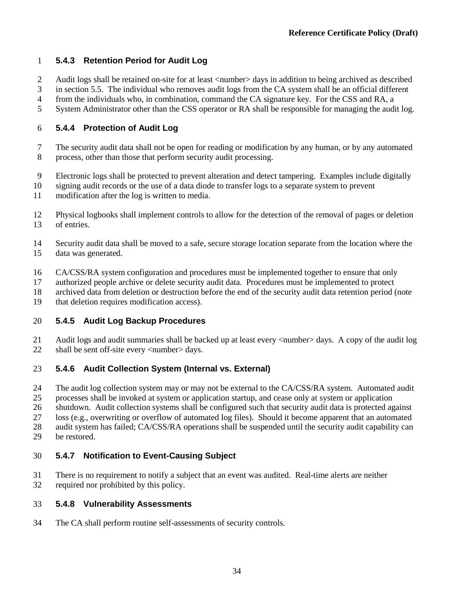## **5.4.3 Retention Period for Audit Log**

- 2 Audit logs shall be retained on-site for at least <number> days in addition to being archived as described
- in section [5.5.](#page-43-0) The individual who removes audit logs from the CA system shall be an official different
- from the individuals who, in combination, command the CA signature key. For the CSS and RA, a
- System Administrator other than the CSS operator or RA shall be responsible for managing the audit log.

### **5.4.4 Protection of Audit Log**

- The security audit data shall not be open for reading or modification by any human, or by any automated process, other than those that perform security audit processing.
- Electronic logs shall be protected to prevent alteration and detect tampering. Examples include digitally
- signing audit records or the use of a data diode to transfer logs to a separate system to prevent
- modification after the log is written to media.
- Physical logbooks shall implement controls to allow for the detection of the removal of pages or deletion of entries.
- Security audit data shall be moved to a safe, secure storage location separate from the location where the data was generated.
- CA/CSS/RA system configuration and procedures must be implemented together to ensure that only
- authorized people archive or delete security audit data. Procedures must be implemented to protect
- archived data from deletion or destruction before the end of the security audit data retention period (note
- that deletion requires modification access).

## **5.4.5 Audit Log Backup Procedures**

 Audit logs and audit summaries shall be backed up at least every <number> days. A copy of the audit log 22 shall be sent off-site every  $\langle$  number  $>$  days.

## **5.4.6 Audit Collection System (Internal vs. External)**

- The audit log collection system may or may not be external to the CA/CSS/RA system. Automated audit
- processes shall be invoked at system or application startup, and cease only at system or application
- shutdown. Audit collection systems shall be configured such that security audit data is protected against
- loss (e.g., overwriting or overflow of automated log files). Should it become apparent that an automated
- audit system has failed; CA/CSS/RA operations shall be suspended until the security audit capability can
- be restored.

## **5.4.7 Notification to Event-Causing Subject**

 There is no requirement to notify a subject that an event was audited. Real-time alerts are neither required nor prohibited by this policy.

### **5.4.8 Vulnerability Assessments**

The CA shall perform routine self-assessments of security controls.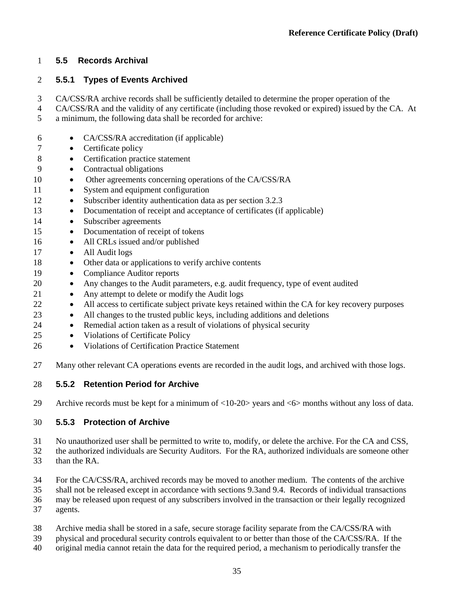### <span id="page-43-0"></span>**5.5 Records Archival**

### **5.5.1 Types of Events Archived**

CA/CSS/RA archive records shall be sufficiently detailed to determine the proper operation of the

- CA/CSS/RA and the validity of any certificate (including those revoked or expired) issued by the CA. At
- a minimum, the following data shall be recorded for archive:
- CA/CSS/RA accreditation (if applicable)
- Certificate policy
- 8 Certification practice statement
- Contractual obligations
- 10 Other agreements concerning operations of the CA/CSS/RA
- 11 System and equipment configuration
- Subscriber identity authentication data as per section [3.2.3](#page-17-0)
- Documentation of receipt and acceptance of certificates (if applicable)
- 14 Subscriber agreements
- Documentation of receipt of tokens
- 16 All CRLs issued and/or published
- 17 All Audit logs
- Other data or applications to verify archive contents
- Compliance Auditor reports
- Any changes to the Audit parameters, e.g. audit frequency, type of event audited
- 21 Any attempt to delete or modify the Audit logs
- 22 All access to certificate subject private keys retained within the CA for key recovery purposes
- 23 All changes to the trusted public keys, including additions and deletions
- Remedial action taken as a result of violations of physical security
- Violations of Certificate Policy
- Violations of Certification Practice Statement
- 27 Many other relevant CA operations events are recorded in the audit logs, and archived with those logs.

### **5.5.2 Retention Period for Archive**

Archive records must be kept for a minimum of <10-20> years and <6> months without any loss of data.

### **5.5.3 Protection of Archive**

No unauthorized user shall be permitted to write to, modify, or delete the archive. For the CA and CSS,

- the authorized individuals are Security Auditors. For the RA, authorized individuals are someone other than the RA.
- For the CA/CSS/RA, archived records may be moved to another medium. The contents of the archive
- shall not be released except in accordance with section[s 9.3a](#page-73-0)nd [9.4.](#page-74-0) Records of individual transactions
- may be released upon request of any subscribers involved in the transaction or their legally recognized
- agents.
- Archive media shall be stored in a safe, secure storage facility separate from the CA/CSS/RA with
- physical and procedural security controls equivalent to or better than those of the CA/CSS/RA. If the
- original media cannot retain the data for the required period, a mechanism to periodically transfer the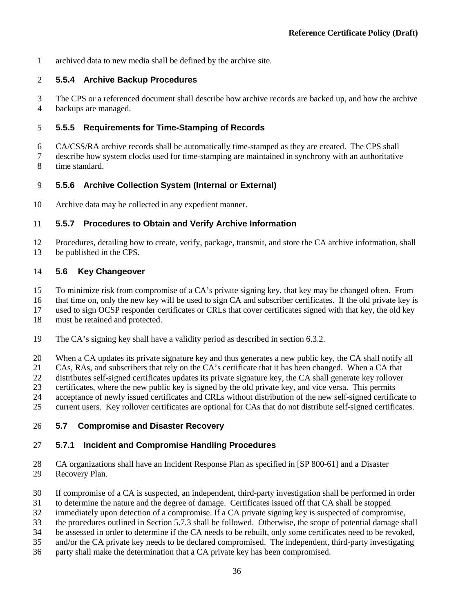archived data to new media shall be defined by the archive site.

### **5.5.4 Archive Backup Procedures**

 The CPS or a referenced document shall describe how archive records are backed up, and how the archive backups are managed.

### **5.5.5 Requirements for Time-Stamping of Records**

 CA/CSS/RA archive records shall be automatically time-stamped as they are created. The CPS shall describe how system clocks used for time-stamping are maintained in synchrony with an authoritative time standard.

### **5.5.6 Archive Collection System (Internal or External)**

Archive data may be collected in any expedient manner.

### **5.5.7 Procedures to Obtain and Verify Archive Information**

 Procedures, detailing how to create, verify, package, transmit, and store the CA archive information, shall be published in the CPS.

### **5.6 Key Changeover**

- To minimize risk from compromise of a CA's private signing key, that key may be changed often. From
- that time on, only the new key will be used to sign CA and subscriber certificates. If the old private key is
- used to sign OCSP responder certificates or CRLs that cover certificates signed with that key, the old key

must be retained and protected.

- The CA's signing key shall have a validity period as described in section [6.3.2.](#page-53-0)
- When a CA updates its private signature key and thus generates a new public key, the CA shall notify all
- CAs, RAs, and subscribers that rely on the CA's certificate that it has been changed. When a CA that
- distributes self-signed certificates updates its private signature key, the CA shall generate key rollover
- certificates, where the new public key is signed by the old private key, and vice versa. This permits
- acceptance of newly issued certificates and CRLs without distribution of the new self-signed certificate to
- current users. Key rollover certificates are optional for CAs that do not distribute self-signed certificates.

### <span id="page-44-0"></span>**5.7 Compromise and Disaster Recovery**

### **5.7.1 Incident and Compromise Handling Procedures**

- CA organizations shall have an Incident Response Plan as specified in [SP 800-61] and a Disaster Recovery Plan.
- If compromise of a CA is suspected, an independent, third-party investigation shall be performed in order
- to determine the nature and the degree of damage. Certificates issued off that CA shall be stopped
- immediately upon detection of a compromise. If a CA private signing key is suspected of compromise,
- the procedures outlined in Section [5.7.3](#page-45-0) shall be followed. Otherwise, the scope of potential damage shall
- be assessed in order to determine if the CA needs to be rebuilt, only some certificates need to be revoked,
- and/or the CA private key needs to be declared compromised. The independent, third-party investigating
- party shall make the determination that a CA private key has been compromised.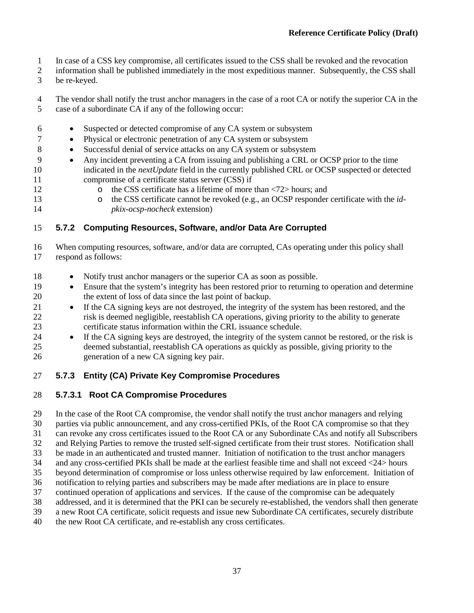- In case of a CSS key compromise, all certificates issued to the CSS shall be revoked and the revocation
- information shall be published immediately in the most expeditious manner. Subsequently, the CSS shall
- be re-keyed.

 The vendor shall notify the trust anchor managers in the case of a root CA or notify the superior CA in the case of a subordinate CA if any of the following occur:

- Suspected or detected compromise of any CA system or subsystem
- Physical or electronic penetration of any CA system or subsystem
- Successful denial of service attacks on any CA system or subsystem
- Any incident preventing a CA from issuing and publishing a CRL or OCSP prior to the time indicated in the *nextUpdate* field in the currently published CRL or OCSP suspected or detected compromise of a certificate status server (CSS) if
- 
- 12 o the CSS certificate has a lifetime of more than  $\langle 72 \rangle$  hours; and<br>13 o the CSS certificate cannot be revoked (e.g., an OCSP responder
- o the CSS certificate cannot be revoked (e.g., an OCSP responder certificate with the *id-pkix-ocsp-nocheck* extension)

## **5.7.2 Computing Resources, Software, and/or Data Are Corrupted**

 When computing resources, software, and/or data are corrupted, CAs operating under this policy shall respond as follows:

- 18 Notify trust anchor managers or the superior CA as soon as possible.
- Ensure that the system's integrity has been restored prior to returning to operation and determine the extent of loss of data since the last point of backup.
- 21 If the CA signing keys are not destroyed, the integrity of the system has been restored, and the risk is deemed negligible, reestablish CA operations, giving priority to the ability to generate certificate status information within the CRL issuance schedule.
- <sup>24</sup> If the CA signing keys are destroyed, the integrity of the system cannot be restored, or the risk is deemed substantial, reestablish CA operations as quickly as possible, giving priority to the generation of a new CA signing key pair.

## <span id="page-45-0"></span>**5.7.3 Entity (CA) Private Key Compromise Procedures**

## **5.7.3.1 Root CA Compromise Procedures**

In the case of the Root CA compromise, the vendor shall notify the trust anchor managers and relying

parties via public announcement, and any cross-certified PKIs, of the Root CA compromise so that they

can revoke any cross certificates issued to the Root CA or any Subordinate CAs and notify all Subscribers

- and Relying Parties to remove the trusted self-signed certificate from their trust stores. Notification shall
- be made in an authenticated and trusted manner. Initiation of notification to the trust anchor managers and any cross-certified PKIs shall be made at the earliest feasible time and shall not exceed <24> hours
- beyond determination of compromise or loss unless otherwise required by law enforcement. Initiation of
- notification to relying parties and subscribers may be made after mediations are in place to ensure
- continued operation of applications and services. If the cause of the compromise can be adequately
- 
- 38 addressed, and it is determined that the PKI can be securely re-established, the vendors shall then generate a new Root CA certificate, solicit requests and issue new Subordinate CA certificates, securely distribute a new Root CA certificate, solicit requests and issue new Subordinate CA certificates, securely distribute
- the new Root CA certificate, and re-establish any cross certificates.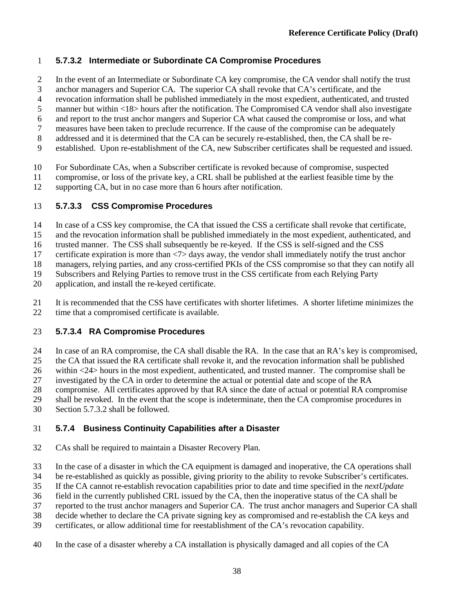## **5.7.3.2 Intermediate or Subordinate CA Compromise Procedures**

- In the event of an Intermediate or Subordinate CA key compromise, the CA vendor shall notify the trust
- anchor managers and Superior CA. The superior CA shall revoke that CA's certificate, and the
- revocation information shall be published immediately in the most expedient, authenticated, and trusted
- manner but within <18> hours after the notification. The Compromised CA vendor shall also investigate
- and report to the trust anchor mangers and Superior CA what caused the compromise or loss, and what measures have been taken to preclude recurrence. If the cause of the compromise can be adequately
- addressed and it is determined that the CA can be securely re-established, then, the CA shall be re-
- established. Upon re-establishment of the CA, new Subscriber certificates shall be requested and issued.
- For Subordinate CAs, when a Subscriber certificate is revoked because of compromise, suspected
- compromise, or loss of the private key, a CRL shall be published at the earliest feasible time by the
- supporting CA, but in no case more than 6 hours after notification.

### **5.7.3.3 CSS Compromise Procedures**

- In case of a CSS key compromise, the CA that issued the CSS a certificate shall revoke that certificate,
- and the revocation information shall be published immediately in the most expedient, authenticated, and
- trusted manner. The CSS shall subsequently be re-keyed. If the CSS is self-signed and the CSS
- certificate expiration is more than <7> days away, the vendor shall immediately notify the trust anchor
- managers, relying parties, and any cross-certified PKIs of the CSS compromise so that they can notify all
- Subscribers and Relying Parties to remove trust in the CSS certificate from each Relying Party
- application, and install the re-keyed certificate.
- It is recommended that the CSS have certificates with shorter lifetimes. A shorter lifetime minimizes the 22 time that a compromised certificate is available.

## **5.7.3.4 RA Compromise Procedures**

- In case of an RA compromise, the CA shall disable the RA. In the case that an RA's key is compromised,
- the CA that issued the RA certificate shall revoke it, and the revocation information shall be published
- within <24> hours in the most expedient, authenticated, and trusted manner. The compromise shall be
- investigated by the CA in order to determine the actual or potential date and scope of the RA
- compromise. All certificates approved by that RA since the date of actual or potential RA compromise
- shall be revoked. In the event that the scope is indeterminate, then the CA compromise procedures in
- Section 5.7.3.2 shall be followed.

## **5.7.4 Business Continuity Capabilities after a Disaster**

- CAs shall be required to maintain a Disaster Recovery Plan.
- In the case of a disaster in which the CA equipment is damaged and inoperative, the CA operations shall
- be re-established as quickly as possible, giving priority to the ability to revoke Subscriber's certificates.
- If the CA cannot re-establish revocation capabilities prior to date and time specified in the *nextUpdate*
- field in the currently published CRL issued by the CA, then the inoperative status of the CA shall be
- reported to the trust anchor managers and Superior CA. The trust anchor managers and Superior CA shall
- decide whether to declare the CA private signing key as compromised and re-establish the CA keys and
- certificates, or allow additional time for reestablishment of the CA's revocation capability.
- In the case of a disaster whereby a CA installation is physically damaged and all copies of the CA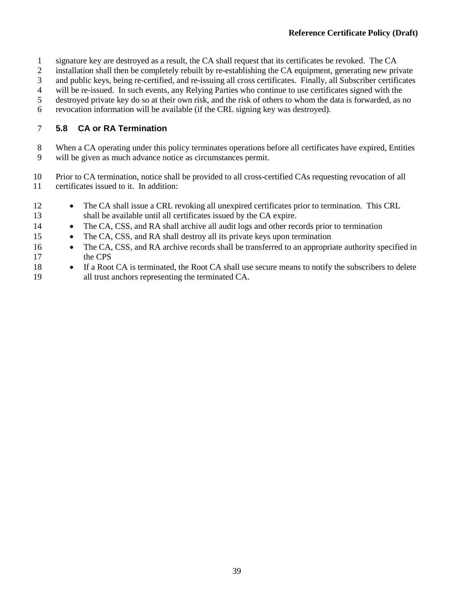- signature key are destroyed as a result, the CA shall request that its certificates be revoked. The CA
- installation shall then be completely rebuilt by re-establishing the CA equipment, generating new private
- and public keys, being re-certified, and re-issuing all cross certificates. Finally, all Subscriber certificates
- will be re-issued. In such events, any Relying Parties who continue to use certificates signed with the
- destroyed private key do so at their own risk, and the risk of others to whom the data is forwarded, as no
- revocation information will be available (if the CRL signing key was destroyed).

### **5.8 CA or RA Termination**

- When a CA operating under this policy terminates operations before all certificates have expired, Entities will be given as much advance notice as circumstances permit.
- Prior to CA termination, notice shall be provided to all cross-certified CAs requesting revocation of all certificates issued to it. In addition:
- The CA shall issue a CRL revoking all unexpired certificates prior to termination. This CRL shall be available until all certificates issued by the CA expire.
- 14 The CA, CSS, and RA shall archive all audit logs and other records prior to termination
- The CA, CSS, and RA shall destroy all its private keys upon termination
- The CA, CSS, and RA archive records shall be transferred to an appropriate authority specified in the CPS
- If a Root CA is terminated, the Root CA shall use secure means to notify the subscribers to delete all trust anchors representing the terminated CA.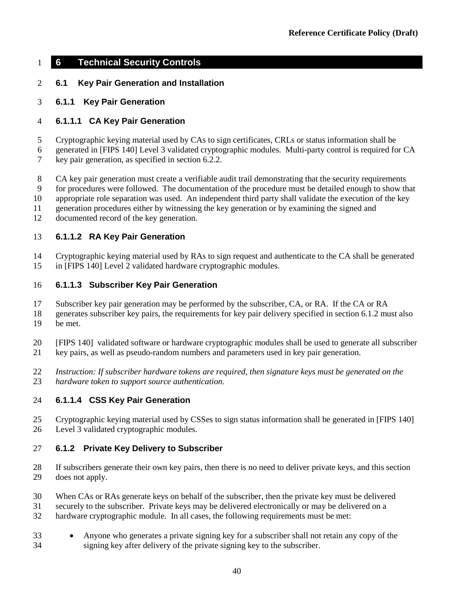### **6 Technical Security Controls**

### **6.1 Key Pair Generation and Installation**

#### **6.1.1 Key Pair Generation**

#### **6.1.1.1 CA Key Pair Generation**

Cryptographic keying material used by CAs to sign certificates, CRLs or status information shall be

 generated in [FIPS 140] Level 3 validated cryptographic modules. Multi-party control is required for CA key pair generation, as specified in section [6.2.2.](#page-51-0)

8 CA key pair generation must create a verifiable audit trail demonstrating that the security requirements

for procedures were followed. The documentation of the procedure must be detailed enough to show that

appropriate role separation was used. An independent third party shall validate the execution of the key

generation procedures either by witnessing the key generation or by examining the signed and

documented record of the key generation.

#### **6.1.1.2 RA Key Pair Generation**

 Cryptographic keying material used by RAs to sign request and authenticate to the CA shall be generated in [FIPS 140] Level 2 validated hardware cryptographic modules.

#### **6.1.1.3 Subscriber Key Pair Generation**

Subscriber key pair generation may be performed by the subscriber, CA, or RA. If the CA or RA

 generates subscriber key pairs, the requirements for key pair delivery specified in sectio[n 6.1.2](#page-48-0) must also be met.

[FIPS 140] validated software or hardware cryptographic modules shall be used to generate all subscriber

key pairs, as well as pseudo-random numbers and parameters used in key pair generation.

 *Instruction: If subscriber hardware tokens are required, then signature keys must be generated on the hardware token to support source authentication.*

### **6.1.1.4 CSS Key Pair Generation**

 Cryptographic keying material used by CSSes to sign status information shall be generated in [FIPS 140] Level 3 validated cryptographic modules.

#### <span id="page-48-0"></span>**6.1.2 Private Key Delivery to Subscriber**

 If subscribers generate their own key pairs, then there is no need to deliver private keys, and this section does not apply.

When CAs or RAs generate keys on behalf of the subscriber, then the private key must be delivered

31 securely to the subscriber. Private keys may be delivered electronically or may be delivered on a<br>32 hardware cryptographic module. In all cases, the following requirements must be met:

hardware cryptographic module. In all cases, the following requirements must be met:

 • Anyone who generates a private signing key for a subscriber shall not retain any copy of the signing key after delivery of the private signing key to the subscriber.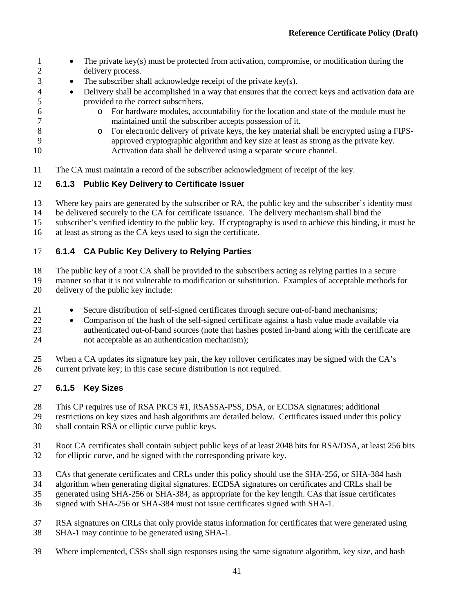- **1** The private key(s) must be protected from activation, compromise, or modification during the delivery process. • The subscriber shall acknowledge receipt of the private key(s). • Delivery shall be accomplished in a way that ensures that the correct keys and activation data are provided to the correct subscribers. 6 o For hardware modules, accountability for the location and state of the module must be maintained until the subscriber accepts possession of it. maintained until the subscriber accepts possession of it.
- 8 o For electronic delivery of private keys, the key material shall be encrypted using a FIPS-<br>9 approved cryptographic algorithm and key size at least as strong as the private key. approved cryptographic algorithm and key size at least as strong as the private key. Activation data shall be delivered using a separate secure channel.
- The CA must maintain a record of the subscriber acknowledgment of receipt of the key.

## **6.1.3 Public Key Delivery to Certificate Issuer**

Where key pairs are generated by the subscriber or RA, the public key and the subscriber's identity must

be delivered securely to the CA for certificate issuance. The delivery mechanism shall bind the

- subscriber's verified identity to the public key. If cryptography is used to achieve this binding, it must be at least as strong as the CA keys used to sign the certificate.
- 

## **6.1.4 CA Public Key Delivery to Relying Parties**

The public key of a root CA shall be provided to the subscribers acting as relying parties in a secure

manner so that it is not vulnerable to modification or substitution. Examples of acceptable methods for

- delivery of the public key include:
- 21 Secure distribution of self-signed certificates through secure out-of-band mechanisms;
- Comparison of the hash of the self-signed certificate against a hash value made available via authenticated out-of-band sources (note that hashes posted in-band along with the certificate are not acceptable as an authentication mechanism);

 When a CA updates its signature key pair, the key rollover certificates may be signed with the CA's current private key; in this case secure distribution is not required.

## **6.1.5 Key Sizes**

This CP requires use of RSA PKCS #1, RSASSA-PSS, DSA, or ECDSA signatures; additional

- restrictions on key sizes and hash algorithms are detailed below. Certificates issued under this policy shall contain RSA or elliptic curve public keys.
- Root CA certificates shall contain subject public keys of at least 2048 bits for RSA/DSA, at least 256 bits
- for elliptic curve, and be signed with the corresponding private key.
- CAs that generate certificates and CRLs under this policy should use the SHA-256, or SHA-384 hash
- algorithm when generating digital signatures. ECDSA signatures on certificates and CRLs shall be
- generated using SHA-256 or SHA-384, as appropriate for the key length. CAs that issue certificates
- signed with SHA-256 or SHA-384 must not issue certificates signed with SHA-1.
- 37 RSA signatures on CRLs that only provide status information for certificates that were generated using SHA-1 may continue to be generated using SHA-1. SHA-1 may continue to be generated using SHA-1.
- Where implemented, CSSs shall sign responses using the same signature algorithm, key size, and hash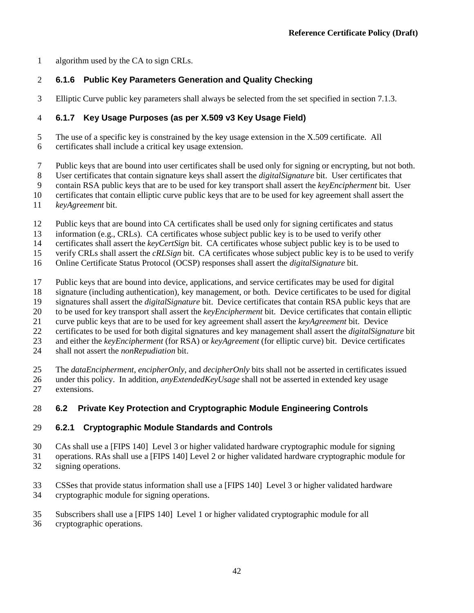algorithm used by the CA to sign CRLs.

## **6.1.6 Public Key Parameters Generation and Quality Checking**

Elliptic Curve public key parameters shall always be selected from the set specified in sectio[n 7.1.3.](#page-67-0)

## **6.1.7 Key Usage Purposes (as per X.509 v3 Key Usage Field)**

The use of a specific key is constrained by the key usage extension in the X.509 certificate. All

- certificates shall include a critical key usage extension.
- Public keys that are bound into user certificates shall be used only for signing or encrypting, but not both.

User certificates that contain signature keys shall assert the *digitalSignature* bit. User certificates that

contain RSA public keys that are to be used for key transport shall assert the *keyEncipherment* bit. User

certificates that contain elliptic curve public keys that are to be used for key agreement shall assert the

- *keyAgreement* bit.
- Public keys that are bound into CA certificates shall be used only for signing certificates and status
- information (e.g., CRLs). CA certificates whose subject public key is to be used to verify other

certificates shall assert the *keyCertSign* bit. CA certificates whose subject public key is to be used to

- verify CRLs shall assert the *cRLSign* bit. CA certificates whose subject public key is to be used to verify
- Online Certificate Status Protocol (OCSP) responses shall assert the *digitalSignature* bit.
- Public keys that are bound into device, applications, and service certificates may be used for digital
- signature (including authentication), key management, or both. Device certificates to be used for digital
- signatures shall assert the *digitalSignature* bit. Device certificates that contain RSA public keys that are
- to be used for key transport shall assert the *keyEncipherment* bit. Device certificates that contain elliptic
- curve public keys that are to be used for key agreement shall assert the *keyAgreement* bit. Device
- certificates to be used for both digital signatures and key management shall assert the *digitalSignature* bit
- and either the *keyEncipherment* (for RSA) or *keyAgreement* (for elliptic curve) bit. Device certificates
- shall not assert the *nonRepudiation* bit.

The *dataEncipherment*, *encipherOnly*, and *decipherOnly* bits shall not be asserted in certificates issued

 under this policy. In addition, *anyExtendedKeyUsage* shall not be asserted in extended key usage extensions.

# **6.2 Private Key Protection and Cryptographic Module Engineering Controls**

# <span id="page-50-0"></span>**6.2.1 Cryptographic Module Standards and Controls**

- CAs shall use a [FIPS 140] Level 3 or higher validated hardware cryptographic module for signing
- operations. RAs shall use a [FIPS 140] Level 2 or higher validated hardware cryptographic module for
- signing operations.
- CSSes that provide status information shall use a [FIPS 140] Level 3 or higher validated hardware cryptographic module for signing operations.
- Subscribers shall use a [FIPS 140] Level 1 or higher validated cryptographic module for all
- cryptographic operations.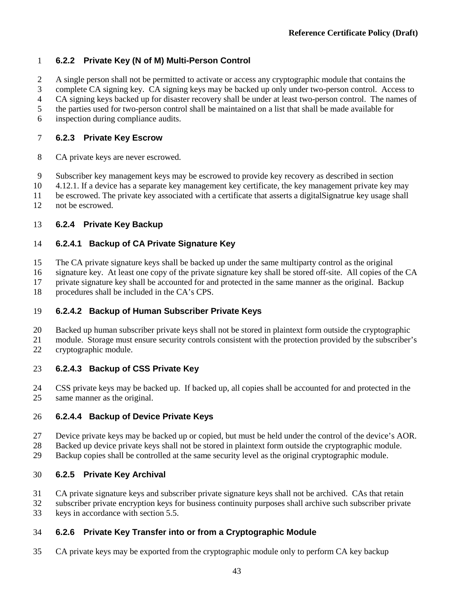## <span id="page-51-0"></span>**6.2.2 Private Key (N of M) Multi-Person Control**

A single person shall not be permitted to activate or access any cryptographic module that contains the

complete CA signing key. CA signing keys may be backed up only under two-person control. Access to

CA signing keys backed up for disaster recovery shall be under at least two-person control. The names of

the parties used for two-person control shall be maintained on a list that shall be made available for

inspection during compliance audits.

## **6.2.3 Private Key Escrow**

- CA private keys are never escrowed.
- Subscriber key management keys may be escrowed to provide key recovery as described in section

4.12.1. If a device has a separate key management key certificate, the key management private key may

be escrowed. The private key associated with a certificate that asserts a digitalSignatrue key usage shall

not be escrowed.

# **6.2.4 Private Key Backup**

# <span id="page-51-1"></span>**6.2.4.1 Backup of CA Private Signature Key**

The CA private signature keys shall be backed up under the same multiparty control as the original

signature key. At least one copy of the private signature key shall be stored off-site. All copies of the CA

private signature key shall be accounted for and protected in the same manner as the original. Backup

procedures shall be included in the CA's CPS.

# **6.2.4.2 Backup of Human Subscriber Private Keys**

Backed up human subscriber private keys shall not be stored in plaintext form outside the cryptographic

 module. Storage must ensure security controls consistent with the protection provided by the subscriber's cryptographic module.

# **6.2.4.3 Backup of CSS Private Key**

 CSS private keys may be backed up. If backed up, all copies shall be accounted for and protected in the same manner as the original.

# **6.2.4.4 Backup of Device Private Keys**

Device private keys may be backed up or copied, but must be held under the control of the device's AOR.

28 Backed up device private keys shall not be stored in plaintext form outside the cryptographic module.<br>29 Backup copies shall be controlled at the same security level as the original cryptographic module.

Backup copies shall be controlled at the same security level as the original cryptographic module.

# **6.2.5 Private Key Archival**

CA private signature keys and subscriber private signature keys shall not be archived. CAs that retain

subscriber private encryption keys for business continuity purposes shall archive such subscriber private

keys in accordance with section [5.5.](#page-43-0)

# **6.2.6 Private Key Transfer into or from a Cryptographic Module**

CA private keys may be exported from the cryptographic module only to perform CA key backup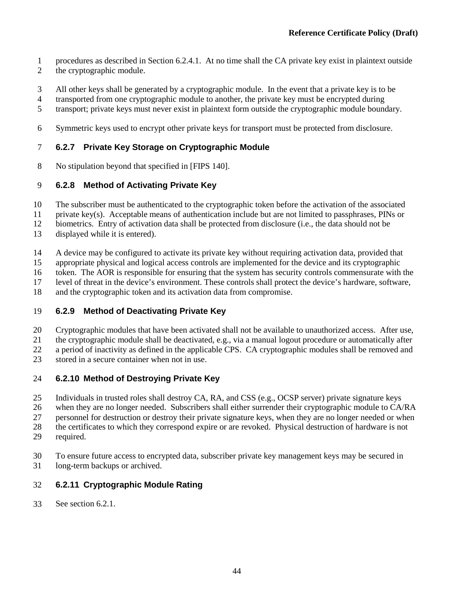- procedures as described in Section [6.2.4.1.](#page-51-1) At no time shall the CA private key exist in plaintext outside
- the cryptographic module.
- All other keys shall be generated by a cryptographic module. In the event that a private key is to be
- transported from one cryptographic module to another, the private key must be encrypted during
- transport; private keys must never exist in plaintext form outside the cryptographic module boundary.
- Symmetric keys used to encrypt other private keys for transport must be protected from disclosure.

# **6.2.7 Private Key Storage on Cryptographic Module**

No stipulation beyond that specified in [FIPS 140].

# **6.2.8 Method of Activating Private Key**

- The subscriber must be authenticated to the cryptographic token before the activation of the associated
- private key(s). Acceptable means of authentication include but are not limited to passphrases, PINs or
- biometrics. Entry of activation data shall be protected from disclosure (i.e., the data should not be
- displayed while it is entered).
- A device may be configured to activate its private key without requiring activation data, provided that
- appropriate physical and logical access controls are implemented for the device and its cryptographic
- token. The AOR is responsible for ensuring that the system has security controls commensurate with the
- level of threat in the device's environment. These controls shall protect the device's hardware, software,
- and the cryptographic token and its activation data from compromise.

# **6.2.9 Method of Deactivating Private Key**

- Cryptographic modules that have been activated shall not be available to unauthorized access. After use,
- the cryptographic module shall be deactivated, e.g., via a manual logout procedure or automatically after
- a period of inactivity as defined in the applicable CPS. CA cryptographic modules shall be removed and
- stored in a secure container when not in use.

# **6.2.10 Method of Destroying Private Key**

- Individuals in trusted roles shall destroy CA, RA, and CSS (e.g., OCSP server) private signature keys
- when they are no longer needed. Subscribers shall either surrender their cryptographic module to CA/RA
- personnel for destruction or destroy their private signature keys, when they are no longer needed or when
- the certificates to which they correspond expire or are revoked. Physical destruction of hardware is not
- required.
- To ensure future access to encrypted data, subscriber private key management keys may be secured in
- long-term backups or archived.

# **6.2.11 Cryptographic Module Rating**

See section [6.2.1.](#page-50-0)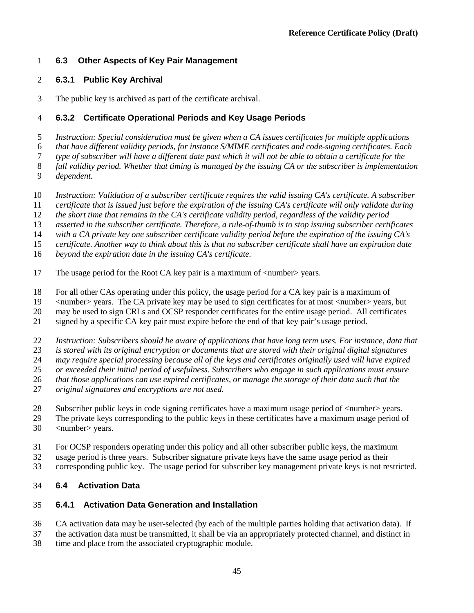### **6.3 Other Aspects of Key Pair Management**

### **6.3.1 Public Key Archival**

The public key is archived as part of the certificate archival.

### <span id="page-53-0"></span>**6.3.2 Certificate Operational Periods and Key Usage Periods**

*Instruction: Special consideration must be given when a CA issues certificates for multiple applications* 

*that have different validity periods, for instance S/MIME certificates and code-signing certificates. Each* 

*type of subscriber will have a different date past which it will not be able to obtain a certificate for the* 

*full validity period. Whether that timing is managed by the issuing CA or the subscriber is implementation* 

- *dependent.*
- *Instruction: Validation of a subscriber certificate requires the valid issuing CA's certificate. A subscriber*
- *certificate that is issued just before the expiration of the issuing CA's certificate will only validate during*
- *the short time that remains in the CA's certificate validity period, regardless of the validity period*
- *asserted in the subscriber certificate. Therefore, a rule-of-thumb is to stop issuing subscriber certificates*
- with a CA private key one subscriber certificate validity period before the expiration of the issuing CA's
- *certificate. Another way to think about this is that no subscriber certificate shall have an expiration date*
- *beyond the expiration date in the issuing CA's certificate.*
- 17 The usage period for the Root CA key pair is a maximum of  $\langle$  number > years.
- For all other CAs operating under this policy, the usage period for a CA key pair is a maximum of

<number> years. The CA private key may be used to sign certificates for at most <number> years, but

may be used to sign CRLs and OCSP responder certificates for the entire usage period. All certificates

- signed by a specific CA key pair must expire before the end of that key pair's usage period.
- *Instruction: Subscribers should be aware of applications that have long term uses. For instance, data that*
- *is stored with its original encryption or documents that are stored with their original digital signatures*
- *may require special processing because all of the keys and certificates originally used will have expired*
- *or exceeded their initial period of usefulness. Subscribers who engage in such applications must ensure*
- *that those applications can use expired certificates, or manage the storage of their data such that the*
- *original signatures and encryptions are not used.*
- Subscriber public keys in code signing certificates have a maximum usage period of <number> years.
- The private keys corresponding to the public keys in these certificates have a maximum usage period of <number> years.
- For OCSP responders operating under this policy and all other subscriber public keys, the maximum
- usage period is three years. Subscriber signature private keys have the same usage period as their
- corresponding public key. The usage period for subscriber key management private keys is not restricted.

## **6.4 Activation Data**

### **6.4.1 Activation Data Generation and Installation**

- CA activation data may be user-selected (by each of the multiple parties holding that activation data). If
- the activation data must be transmitted, it shall be via an appropriately protected channel, and distinct in time and place from the associated cryptographic module.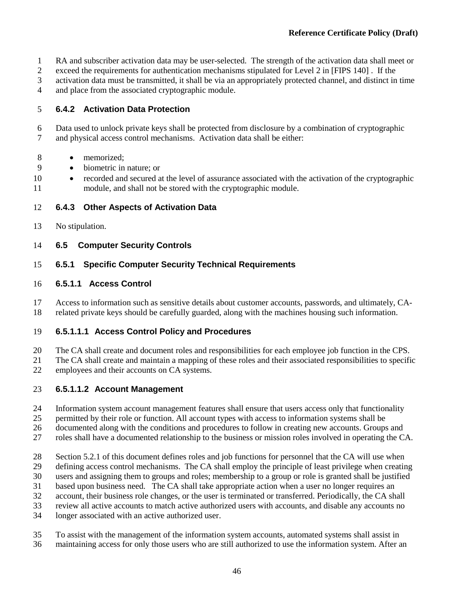- RA and subscriber activation data may be user-selected. The strength of the activation data shall meet or
- exceed the requirements for authentication mechanisms stipulated for Level 2 in [FIPS 140] . If the
- activation data must be transmitted, it shall be via an appropriately protected channel, and distinct in time
- and place from the associated cryptographic module.

## **6.4.2 Activation Data Protection**

 Data used to unlock private keys shall be protected from disclosure by a combination of cryptographic and physical access control mechanisms. Activation data shall be either:

- 8 memorized:
- biometric in nature; or
- recorded and secured at the level of assurance associated with the activation of the cryptographic module, and shall not be stored with the cryptographic module.

## **6.4.3 Other Aspects of Activation Data**

No stipulation.

## **6.5 Computer Security Controls**

## **6.5.1 Specific Computer Security Technical Requirements**

## <span id="page-54-0"></span>**6.5.1.1 Access Control**

 Access to information such as sensitive details about customer accounts, passwords, and ultimately, CA-related private keys should be carefully guarded, along with the machines housing such information.

## **6.5.1.1.1 Access Control Policy and Procedures**

- The CA shall create and document roles and responsibilities for each employee job function in the CPS.
- The CA shall create and maintain a mapping of these roles and their associated responsibilities to specific
- employees and their accounts on CA systems.

## **6.5.1.1.2 Account Management**

- Information system account management features shall ensure that users access only that functionality
- permitted by their role or function. All account types with access to information systems shall be
- documented along with the conditions and procedures to follow in creating new accounts. Groups and
- roles shall have a documented relationship to the business or mission roles involved in operating the CA.
- Section [5.2.1](#page-33-0) of this document defines roles and job functions for personnel that the CA will use when
- defining access control mechanisms. The CA shall employ the principle of least privilege when creating
- users and assigning them to groups and roles; membership to a group or role is granted shall be justified
- based upon business need. The CA shall take appropriate action when a user no longer requires an
- account, their business role changes, or the user is terminated or transferred. Periodically, the CA shall
- review all active accounts to match active authorized users with accounts, and disable any accounts no
- longer associated with an active authorized user.
- To assist with the management of the information system accounts, automated systems shall assist in
- maintaining access for only those users who are still authorized to use the information system. After an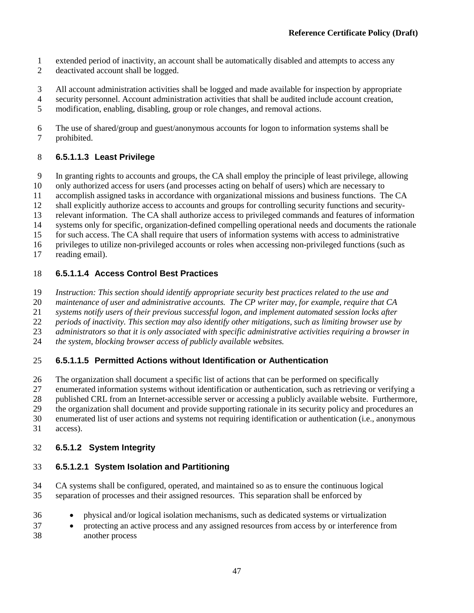- extended period of inactivity, an account shall be automatically disabled and attempts to access any
- deactivated account shall be logged.
- All account administration activities shall be logged and made available for inspection by appropriate
- security personnel. Account administration activities that shall be audited include account creation,
- modification, enabling, disabling, group or role changes, and removal actions.

 The use of shared/group and guest/anonymous accounts for logon to information systems shall be prohibited.

# **6.5.1.1.3 Least Privilege**

In granting rights to accounts and groups, the CA shall employ the principle of least privilege, allowing

- only authorized access for users (and processes acting on behalf of users) which are necessary to
- accomplish assigned tasks in accordance with organizational missions and business functions. The CA
- shall explicitly authorize access to accounts and groups for controlling security functions and security-
- relevant information. The CA shall authorize access to privileged commands and features of information
- systems only for specific, organization-defined compelling operational needs and documents the rationale
- for such access. The CA shall require that users of information systems with access to administrative
- privileges to utilize non-privileged accounts or roles when accessing non-privileged functions (such as
- reading email).

# **6.5.1.1.4 Access Control Best Practices**

- *Instruction: This section should identify appropriate security best practices related to the use and*
- *maintenance of user and administrative accounts. The CP writer may, for example, require that CA*
- *systems notify users of their previous successful logon, and implement automated session locks after*
- *periods of inactivity. This section may also identify other mitigations, such as limiting browser use by*
- *administrators so that it is only associated with specific administrative activities requiring a browser in*
- *the system, blocking browser access of publicly available websites.*

# **6.5.1.1.5 Permitted Actions without Identification or Authentication**

- The organization shall document a specific list of actions that can be performed on specifically
- enumerated information systems without identification or authentication, such as retrieving or verifying a
- published CRL from an Internet-accessible server or accessing a publicly available website. Furthermore,
- the organization shall document and provide supporting rationale in its security policy and procedures an
- enumerated list of user actions and systems not requiring identification or authentication (i.e., anonymous
- access).

# **6.5.1.2 System Integrity**

# <span id="page-55-0"></span>**6.5.1.2.1 System Isolation and Partitioning**

- CA systems shall be configured, operated, and maintained so as to ensure the continuous logical separation of processes and their assigned resources. This separation shall be enforced by
- physical and/or logical isolation mechanisms, such as dedicated systems or virtualization
- protecting an active process and any assigned resources from access by or interference from another process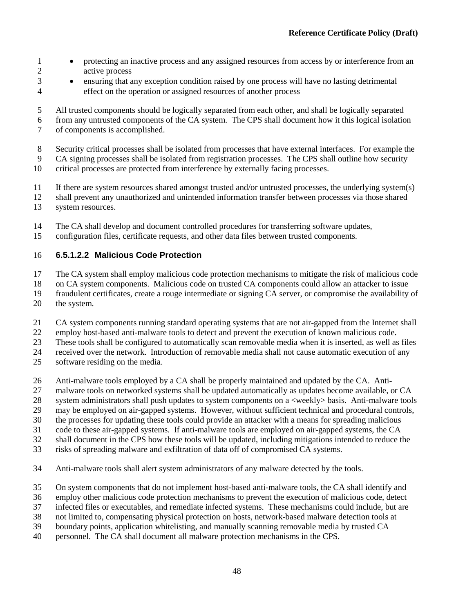- 1 protecting an inactive process and any assigned resources from access by or interference from an active process
- ensuring that any exception condition raised by one process will have no lasting detrimental effect on the operation or assigned resources of another process

All trusted components should be logically separated from each other, and shall be logically separated

- from any untrusted components of the CA system. The CPS shall document how it this logical isolation of components is accomplished.
- Security critical processes shall be isolated from processes that have external interfaces. For example the

CA signing processes shall be isolated from registration processes. The CPS shall outline how security

critical processes are protected from interference by externally facing processes.

- If there are system resources shared amongst trusted and/or untrusted processes, the underlying system(s)
- shall prevent any unauthorized and unintended information transfer between processes via those shared
- system resources.
- The CA shall develop and document controlled procedures for transferring software updates,
- configuration files, certificate requests, and other data files between trusted components.

### **6.5.1.2.2 Malicious Code Protection**

The CA system shall employ malicious code protection mechanisms to mitigate the risk of malicious code

on CA system components. Malicious code on trusted CA components could allow an attacker to issue

fraudulent certificates, create a rouge intermediate or signing CA server, or compromise the availability of

the system.

CA system components running standard operating systems that are not air-gapped from the Internet shall

employ host-based anti-malware tools to detect and prevent the execution of known malicious code.

These tools shall be configured to automatically scan removable media when it is inserted, as well as files

received over the network. Introduction of removable media shall not cause automatic execution of any

- software residing on the media.
- Anti-malware tools employed by a CA shall be properly maintained and updated by the CA. Anti-
- malware tools on networked systems shall be updated automatically as updates become available, or CA
- system administrators shall push updates to system components on a <weekly> basis. Anti-malware tools
- may be employed on air-gapped systems. However, without sufficient technical and procedural controls,
- the processes for updating these tools could provide an attacker with a means for spreading malicious
- code to these air-gapped systems. If anti-malware tools are employed on air-gapped systems, the CA
- shall document in the CPS how these tools will be updated, including mitigations intended to reduce the
- risks of spreading malware and exfiltration of data off of compromised CA systems.
- Anti-malware tools shall alert system administrators of any malware detected by the tools.
- On system components that do not implement host-based anti-malware tools, the CA shall identify and
- employ other malicious code protection mechanisms to prevent the execution of malicious code, detect
- infected files or executables, and remediate infected systems. These mechanisms could include, but are
- not limited to, compensating physical protection on hosts, network-based malware detection tools at
- boundary points, application whitelisting, and manually scanning removable media by trusted CA
- personnel. The CA shall document all malware protection mechanisms in the CPS.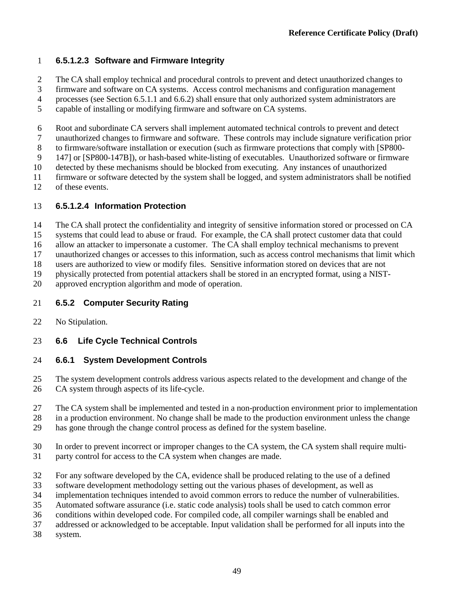## **6.5.1.2.3 Software and Firmware Integrity**

- The CA shall employ technical and procedural controls to prevent and detect unauthorized changes to
- firmware and software on CA systems. Access control mechanisms and configuration management
- processes (see Section [6.5.1.1](#page-54-0) an[d 6.6.2\)](#page-58-0) shall ensure that only authorized system administrators are
- capable of installing or modifying firmware and software on CA systems.
- 
- 6 Root and subordinate CA servers shall implement automated technical controls to prevent and detect<br>7 unauthorized changes to firmware and software. These controls may include signature verification pr unauthorized changes to firmware and software. These controls may include signature verification prior
- to firmware/software installation or execution (such as firmware protections that comply with [SP800-
- 147] or [SP800-147B]), or hash-based white-listing of executables. Unauthorized software or firmware
- detected by these mechanisms should be blocked from executing. Any instances of unauthorized
- firmware or software detected by the system shall be logged, and system administrators shall be notified
- of these events.

## **6.5.1.2.4 Information Protection**

- The CA shall protect the confidentiality and integrity of sensitive information stored or processed on CA
- systems that could lead to abuse or fraud. For example, the CA shall protect customer data that could
- allow an attacker to impersonate a customer. The CA shall employ technical mechanisms to prevent
- unauthorized changes or accesses to this information, such as access control mechanisms that limit which
- users are authorized to view or modify files. Sensitive information stored on devices that are not
- physically protected from potential attackers shall be stored in an encrypted format, using a NIST-
- approved encryption algorithm and mode of operation.

## **6.5.2 Computer Security Rating**

No Stipulation.

# **6.6 Life Cycle Technical Controls**

## **6.6.1 System Development Controls**

- The system development controls address various aspects related to the development and change of the CA system through aspects of its life-cycle.
- The CA system shall be implemented and tested in a non-production environment prior to implementation
- in a production environment. No change shall be made to the production environment unless the change
- has gone through the change control process as defined for the system baseline.
- In order to prevent incorrect or improper changes to the CA system, the CA system shall require multi-
- party control for access to the CA system when changes are made.
- For any software developed by the CA, evidence shall be produced relating to the use of a defined
- software development methodology setting out the various phases of development, as well as
- implementation techniques intended to avoid common errors to reduce the number of vulnerabilities.
- Automated software assurance (i.e. static code analysis) tools shall be used to catch common error
- conditions within developed code. For compiled code, all compiler warnings shall be enabled and
- addressed or acknowledged to be acceptable. Input validation shall be performed for all inputs into the
- system.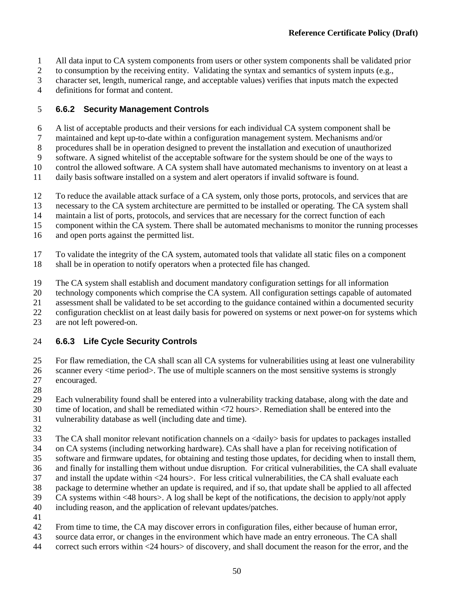- All data input to CA system components from users or other system components shall be validated prior
- to consumption by the receiving entity. Validating the syntax and semantics of system inputs (e.g.,
- character set, length, numerical range, and acceptable values) verifies that inputs match the expected
- definitions for format and content.

### <span id="page-58-0"></span>**6.6.2 Security Management Controls**

- A list of acceptable products and their versions for each individual CA system component shall be
- maintained and kept up-to-date within a configuration management system. Mechanisms and/or
- procedures shall be in operation designed to prevent the installation and execution of unauthorized
- software. A signed whitelist of the acceptable software for the system should be one of the ways to
- control the allowed software. A CA system shall have automated mechanisms to inventory on at least a
- daily basis software installed on a system and alert operators if invalid software is found.
- To reduce the available attack surface of a CA system, only those ports, protocols, and services that are
- necessary to the CA system architecture are permitted to be installed or operating. The CA system shall
- maintain a list of ports, protocols, and services that are necessary for the correct function of each
- component within the CA system. There shall be automated mechanisms to monitor the running processes
- and open ports against the permitted list.
- To validate the integrity of the CA system, automated tools that validate all static files on a component
- shall be in operation to notify operators when a protected file has changed.
- The CA system shall establish and document mandatory configuration settings for all information
- technology components which comprise the CA system. All configuration settings capable of automated
- assessment shall be validated to be set according to the guidance contained within a documented security
- configuration checklist on at least daily basis for powered on systems or next power-on for systems which
- are not left powered-on.

### **6.6.3 Life Cycle Security Controls**

 For flaw remediation, the CA shall scan all CA systems for vulnerabilities using at least one vulnerability scanner every <time period>. The use of multiple scanners on the most sensitive systems is strongly encouraged.

Each vulnerability found shall be entered into a vulnerability tracking database, along with the date and

- time of location, and shall be remediated within <72 hours>. Remediation shall be entered into the
- vulnerability database as well (including date and time).
- 
- The CA shall monitor relevant notification channels on a <daily> basis for updates to packages installed
- on CA systems (including networking hardware). CAs shall have a plan for receiving notification of
- software and firmware updates, for obtaining and testing those updates, for deciding when to install them,
- and finally for installing them without undue disruption. For critical vulnerabilities, the CA shall evaluate
- and install the update within <24 hours>. For less critical vulnerabilities, the CA shall evaluate each
- package to determine whether an update is required, and if so, that update shall be applied to all affected
- CA systems within <48 hours>. A log shall be kept of the notifications, the decision to apply/not apply
- including reason, and the application of relevant updates/patches.
- 
- 42 From time to time, the CA may discover errors in configuration files, either because of human error,<br>43 source data error, or changes in the environment which have made an entry erroneous. The CA shall
- source data error, or changes in the environment which have made an entry erroneous. The CA shall
- correct such errors within <24 hours> of discovery, and shall document the reason for the error, and the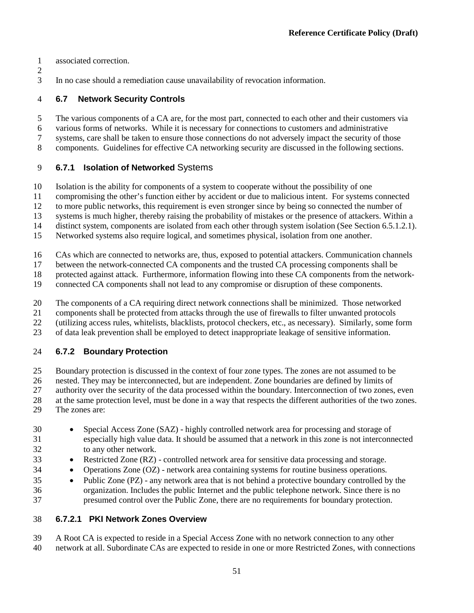- associated correction.
- 
- In no case should a remediation cause unavailability of revocation information.

### **6.7 Network Security Controls**

 The various components of a CA are, for the most part, connected to each other and their customers via various forms of networks. While it is necessary for connections to customers and administrative systems, care shall be taken to ensure those connections do not adversely impact the security of those components. Guidelines for effective CA networking security are discussed in the following sections.

### **6.7.1 Isolation of Networked** Systems

- Isolation is the ability for components of a system to cooperate without the possibility of one
- compromising the other's function either by accident or due to malicious intent. For systems connected
- to more public networks, this requirement is even stronger since by being so connected the number of
- systems is much higher, thereby raising the probability of mistakes or the presence of attackers. Within a
- distinct system, components are isolated from each other through system isolation (See Sectio[n 6.5.1.2.1\)](#page-55-0).
- Networked systems also require logical, and sometimes physical, isolation from one another.
- CAs which are connected to networks are, thus, exposed to potential attackers. Communication channels
- between the network-connected CA components and the trusted CA processing components shall be
- protected against attack. Furthermore, information flowing into these CA components from the network-
- connected CA components shall not lead to any compromise or disruption of these components.
- The components of a CA requiring direct network connections shall be minimized. Those networked
- components shall be protected from attacks through the use of firewalls to filter unwanted protocols
- (utilizing access rules, whitelists, blacklists, protocol checkers, etc., as necessary). Similarly, some form
- of data leak prevention shall be employed to detect inappropriate leakage of sensitive information.

## **6.7.2 Boundary Protection**

- Boundary protection is discussed in the context of four zone types. The zones are not assumed to be
- nested. They may be interconnected, but are independent. Zone boundaries are defined by limits of
- authority over the security of the data processed within the boundary. Interconnection of two zones, even
- at the same protection level, must be done in a way that respects the different authorities of the two zones.
- The zones are:
- Special Access Zone (SAZ) highly controlled network area for processing and storage of especially high value data. It should be assumed that a network in this zone is not interconnected to any other network.
- Restricted Zone (RZ) controlled network area for sensitive data processing and storage.
- Operations Zone (OZ) network area containing systems for routine business operations.
- Public Zone (PZ) any network area that is not behind a protective boundary controlled by the organization. Includes the public Internet and the public telephone network. Since there is no presumed control over the Public Zone, there are no requirements for boundary protection.

## **6.7.2.1 PKI Network Zones Overview**

 A Root CA is expected to reside in a Special Access Zone with no network connection to any other network at all. Subordinate CAs are expected to reside in one or more Restricted Zones, with connections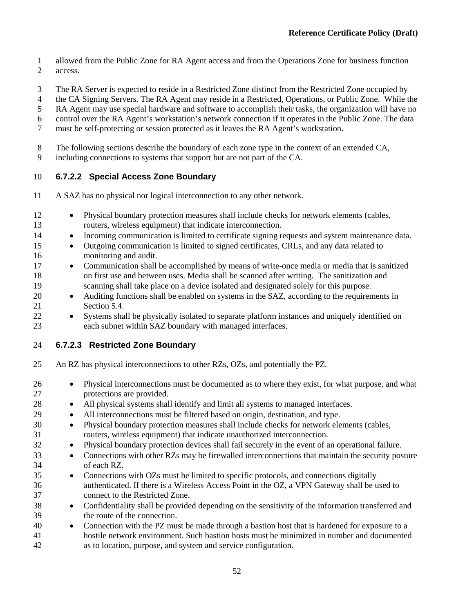- allowed from the Public Zone for RA Agent access and from the Operations Zone for business function access.
- The RA Server is expected to reside in a Restricted Zone distinct from the Restricted Zone occupied by
- the CA Signing Servers. The RA Agent may reside in a Restricted, Operations, or Public Zone. While the
- RA Agent may use special hardware and software to accomplish their tasks, the organization will have no
- control over the RA Agent's workstation's network connection if it operates in the Public Zone. The data
- must be self-protecting or session protected as it leaves the RA Agent's workstation.
- The following sections describe the boundary of each zone type in the context of an extended CA,
- including connections to systems that support but are not part of the CA.

## **6.7.2.2 Special Access Zone Boundary**

- A SAZ has no physical nor logical interconnection to any other network.
- Physical boundary protection measures shall include checks for network elements (cables, routers, wireless equipment) that indicate interconnection.
- Incoming communication is limited to certificate signing requests and system maintenance data.
- Outgoing communication is limited to signed certificates, CRLs, and any data related to monitoring and audit.
- Communication shall be accomplished by means of write-once media or media that is sanitized on first use and between uses. Media shall be scanned after writing. The sanitization and scanning shall take place on a device isolated and designated solely for this purpose.
- Auditing functions shall be enabled on systems in the SAZ, according to the requirements in Section 5.4.
- Systems shall be physically isolated to separate platform instances and uniquely identified on each subnet within SAZ boundary with managed interfaces.

## **6.7.2.3 Restricted Zone Boundary**

- An RZ has physical interconnections to other RZs, OZs, and potentially the PZ.
- Physical interconnections must be documented as to where they exist, for what purpose, and what protections are provided.
- All physical systems shall identify and limit all systems to managed interfaces.
- All interconnections must be filtered based on origin, destination, and type.
- Physical boundary protection measures shall include checks for network elements (cables, routers, wireless equipment) that indicate unauthorized interconnection.
- Physical boundary protection devices shall fail securely in the event of an operational failure.
- Connections with other RZs may be firewalled interconnections that maintain the security posture of each RZ.
- Connections with OZs must be limited to specific protocols, and connections digitally authenticated. If there is a Wireless Access Point in the OZ, a VPN Gateway shall be used to connect to the Restricted Zone.
- Confidentiality shall be provided depending on the sensitivity of the information transferred and the route of the connection.
- Connection with the PZ must be made through a bastion host that is hardened for exposure to a hostile network environment. Such bastion hosts must be minimized in number and documented as to location, purpose, and system and service configuration.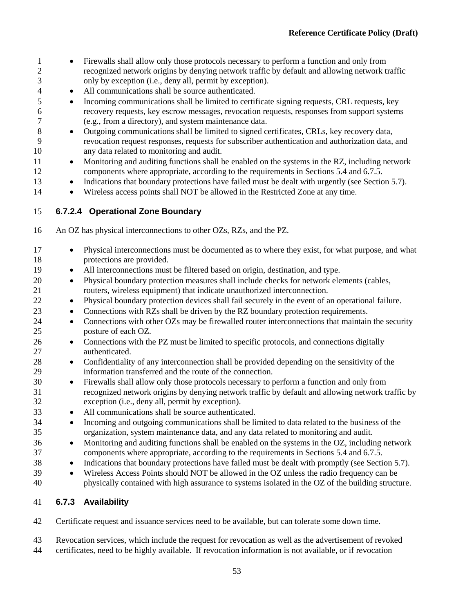- Firewalls shall allow only those protocols necessary to perform a function and only from recognized network origins by denying network traffic by default and allowing network traffic only by exception (i.e., deny all, permit by exception).
- All communications shall be source authenticated.
- Incoming communications shall be limited to certificate signing requests, CRL requests, key recovery requests, key escrow messages, revocation requests, responses from support systems (e.g., from a directory), and system maintenance data.
- Outgoing communications shall be limited to signed certificates, CRLs, key recovery data, revocation request responses, requests for subscriber authentication and authorization data, and any data related to monitoring and audit.
- 11 Monitoring and auditing functions shall be enabled on the systems in the RZ, including network components where appropriate, according to the requirements in Sections [5.4](#page-39-0) and [6.7.5.](#page-64-0)
- Indications that boundary protections have failed must be dealt with urgently (see Section [5.7\)](#page-44-0).
- Wireless access points shall NOT be allowed in the Restricted Zone at any time.

## **6.7.2.4 Operational Zone Boundary**

- An OZ has physical interconnections to other OZs, RZs, and the PZ.
- Physical interconnections must be documented as to where they exist, for what purpose, and what protections are provided. • All interconnections must be filtered based on origin, destination, and type. • Physical boundary protection measures shall include checks for network elements (cables, routers, wireless equipment) that indicate unauthorized interconnection. • Physical boundary protection devices shall fail securely in the event of an operational failure. • Connections with RZs shall be driven by the RZ boundary protection requirements. 24 • Connections with other OZs may be firewalled router interconnections that maintain the security posture of each OZ. 26 • Connections with the PZ must be limited to specific protocols, and connections digitally authenticated. • Confidentiality of any interconnection shall be provided depending on the sensitivity of the information transferred and the route of the connection. • Firewalls shall allow only those protocols necessary to perform a function and only from recognized network origins by denying network traffic by default and allowing network traffic by exception (i.e., deny all, permit by exception). • All communications shall be source authenticated. • Incoming and outgoing communications shall be limited to data related to the business of the organization, system maintenance data, and any data related to monitoring and audit. • Monitoring and auditing functions shall be enabled on the systems in the OZ, including network components where appropriate, according to the requirements in Sections 5.4 and 6.7.5. • Indications that boundary protections have failed must be dealt with promptly (see Section 5.7).
- Wireless Access Points should NOT be allowed in the OZ unless the radio frequency can be physically contained with high assurance to systems isolated in the OZ of the building structure.

## **6.7.3 Availability**

Certificate request and issuance services need to be available, but can tolerate some down time.

 Revocation services, which include the request for revocation as well as the advertisement of revoked certificates, need to be highly available. If revocation information is not available, or if revocation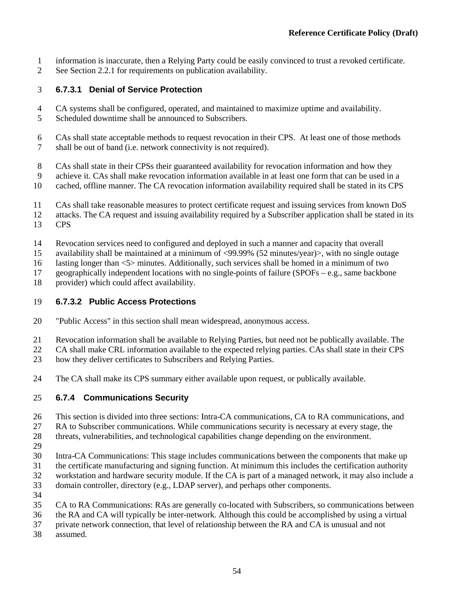- information is inaccurate, then a Relying Party could be easily convinced to trust a revoked certificate.
- See Section [2.2.1](#page-14-0) for requirements on publication availability.

## **6.7.3.1 Denial of Service Protection**

- CA systems shall be configured, operated, and maintained to maximize uptime and availability.
- Scheduled downtime shall be announced to Subscribers.
- CAs shall state acceptable methods to request revocation in their CPS. At least one of those methods shall be out of band (i.e. network connectivity is not required).
- CAs shall state in their CPSs their guaranteed availability for revocation information and how they
- achieve it. CAs shall make revocation information available in at least one form that can be used in a
- cached, offline manner. The CA revocation information availability required shall be stated in its CPS
- CAs shall take reasonable measures to protect certificate request and issuing services from known DoS
- attacks. The CA request and issuing availability required by a Subscriber application shall be stated in its
- CPS
- Revocation services need to configured and deployed in such a manner and capacity that overall
- availability shall be maintained at a minimum of <99.99% (52 minutes/year)>, with no single outage

lasting longer than <5> minutes. Additionally, such services shall be homed in a minimum of two

geographically independent locations with no single-points of failure (SPOFs – e.g., same backbone

provider) which could affect availability.

## **6.7.3.2 Public Access Protections**

- "Public Access" in this section shall mean widespread, anonymous access.
- Revocation information shall be available to Relying Parties, but need not be publically available. The
- CA shall make CRL information available to the expected relying parties. CAs shall state in their CPS
- how they deliver certificates to Subscribers and Relying Parties.
- The CA shall make its CPS summary either available upon request, or publically available.

## **6.7.4 Communications Security**

- This section is divided into three sections: Intra-CA communications, CA to RA communications, and
- RA to Subscriber communications. While communications security is necessary at every stage, the
- threats, vulnerabilities, and technological capabilities change depending on the environment.
- 
- Intra-CA Communications: This stage includes communications between the components that make up
- the certificate manufacturing and signing function. At minimum this includes the certification authority
- workstation and hardware security module. If the CA is part of a managed network, it may also include a
- domain controller, directory (e.g., LDAP server), and perhaps other components.
- 
- CA to RA Communications: RAs are generally co-located with Subscribers, so communications between
- the RA and CA will typically be inter-network. Although this could be accomplished by using a virtual
- private network connection, that level of relationship between the RA and CA is unusual and not
- assumed.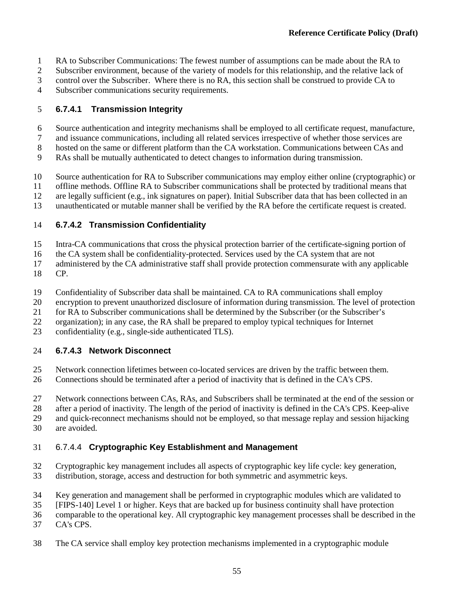- RA to Subscriber Communications: The fewest number of assumptions can be made about the RA to
- Subscriber environment, because of the variety of models for this relationship, and the relative lack of
- control over the Subscriber. Where there is no RA, this section shall be construed to provide CA to
- Subscriber communications security requirements.

# **6.7.4.1 Transmission Integrity**

- Source authentication and integrity mechanisms shall be employed to all certificate request, manufacture,
- and issuance communications, including all related services irrespective of whether those services are
- hosted on the same or different platform than the CA workstation. Communications between CAs and
- RAs shall be mutually authenticated to detect changes to information during transmission.
- Source authentication for RA to Subscriber communications may employ either online (cryptographic) or
- offline methods. Offline RA to Subscriber communications shall be protected by traditional means that
- are legally sufficient (e.g., ink signatures on paper). Initial Subscriber data that has been collected in an
- unauthenticated or mutable manner shall be verified by the RA before the certificate request is created.

# **6.7.4.2 Transmission Confidentiality**

- Intra-CA communications that cross the physical protection barrier of the certificate-signing portion of
- the CA system shall be confidentiality-protected. Services used by the CA system that are not
- administered by the CA administrative staff shall provide protection commensurate with any applicable
- CP.
- Confidentiality of Subscriber data shall be maintained. CA to RA communications shall employ
- encryption to prevent unauthorized disclosure of information during transmission. The level of protection
- for RA to Subscriber communications shall be determined by the Subscriber (or the Subscriber's
- organization); in any case, the RA shall be prepared to employ typical techniques for Internet
- confidentiality (e.g., single-side authenticated TLS).

# **6.7.4.3 Network Disconnect**

- Network connection lifetimes between co-located services are driven by the traffic between them.
- Connections should be terminated after a period of inactivity that is defined in the CA's CPS.
- Network connections between CAs, RAs, and Subscribers shall be terminated at the end of the session or
- after a period of inactivity. The length of the period of inactivity is defined in the CA's CPS. Keep-alive
- and quick-reconnect mechanisms should not be employed, so that message replay and session hijacking are avoided.

# 6.7.4.4 **Cryptographic Key Establishment and Management**

- Cryptographic key management includes all aspects of cryptographic key life cycle: key generation,
- distribution, storage, access and destruction for both symmetric and asymmetric keys.
- Key generation and management shall be performed in cryptographic modules which are validated to
- [FIPS-140] Level 1 or higher. Keys that are backed up for business continuity shall have protection
- comparable to the operational key. All cryptographic key management processes shall be described in the
- CA's CPS.
- The CA service shall employ key protection mechanisms implemented in a cryptographic module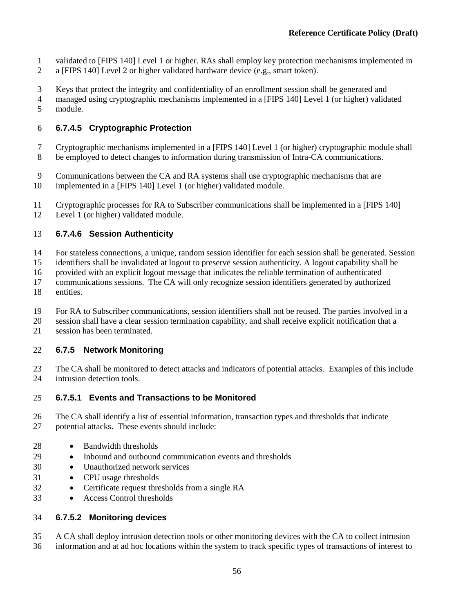- validated to [FIPS 140] Level 1 or higher. RAs shall employ key protection mechanisms implemented in
- a [FIPS 140] Level 2 or higher validated hardware device (e.g., smart token).
- Keys that protect the integrity and confidentiality of an enrollment session shall be generated and
- managed using cryptographic mechanisms implemented in a [FIPS 140] Level 1 (or higher) validated module.

# <span id="page-64-1"></span>**6.7.4.5 Cryptographic Protection**

- Cryptographic mechanisms implemented in a [FIPS 140] Level 1 (or higher) cryptographic module shall
- be employed to detect changes to information during transmission of Intra-CA communications.
- Communications between the CA and RA systems shall use cryptographic mechanisms that are
- implemented in a [FIPS 140] Level 1 (or higher) validated module.
- Cryptographic processes for RA to Subscriber communications shall be implemented in a [FIPS 140] Level 1 (or higher) validated module.

# <span id="page-64-2"></span>**6.7.4.6 Session Authenticity**

- For stateless connections, a unique, random session identifier for each session shall be generated. Session
- identifiers shall be invalidated at logout to preserve session authenticity. A logout capability shall be
- provided with an explicit logout message that indicates the reliable termination of authenticated
- communications sessions. The CA will only recognize session identifiers generated by authorized
- entities.
- For RA to Subscriber communications, session identifiers shall not be reused. The parties involved in a
- 20 session shall have a clear session termination capability, and shall receive explicit notification that a<br>21 session has been terminated.
- session has been terminated.

# <span id="page-64-0"></span>**6.7.5 Network Monitoring**

- The CA shall be monitored to detect attacks and indicators of potential attacks. Examples of this include intrusion detection tools.
- **6.7.5.1 Events and Transactions to be Monitored**
- The CA shall identify a list of essential information, transaction types and thresholds that indicate
- potential attacks. These events should include:
- 28 Bandwidth thresholds
- Inbound and outbound communication events and thresholds
- Unauthorized network services
- CPU usage thresholds
- Certificate request thresholds from a single RA
- Access Control thresholds

# **6.7.5.2 Monitoring devices**

 A CA shall deploy intrusion detection tools or other monitoring devices with the CA to collect intrusion information and at ad hoc locations within the system to track specific types of transactions of interest to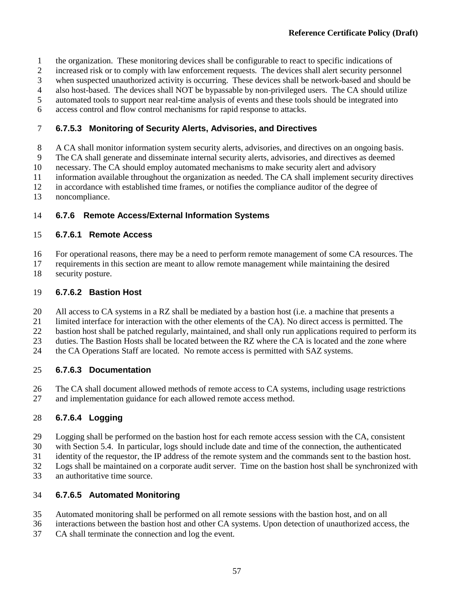- the organization. These monitoring devices shall be configurable to react to specific indications of
- increased risk or to comply with law enforcement requests. The devices shall alert security personnel
- when suspected unauthorized activity is occurring. These devices shall be network-based and should be
- also host-based. The devices shall NOT be bypassable by non-privileged users. The CA should utilize
- automated tools to support near real-time analysis of events and these tools should be integrated into
- access control and flow control mechanisms for rapid response to attacks.

## **6.7.5.3 Monitoring of Security Alerts, Advisories, and Directives**

- A CA shall monitor information system security alerts, advisories, and directives on an ongoing basis.
- The CA shall generate and disseminate internal security alerts, advisories, and directives as deemed
- necessary. The CA should employ automated mechanisms to make security alert and advisory
- information available throughout the organization as needed. The CA shall implement security directives
- in accordance with established time frames, or notifies the compliance auditor of the degree of
- noncompliance.

# **6.7.6 Remote Access/External Information Systems**

## **6.7.6.1 Remote Access**

For operational reasons, there may be a need to perform remote management of some CA resources. The

- requirements in this section are meant to allow remote management while maintaining the desired
- security posture.

## **6.7.6.2 Bastion Host**

- All access to CA systems in a RZ shall be mediated by a bastion host (i.e. a machine that presents a
- limited interface for interaction with the other elements of the CA). No direct access is permitted. The
- bastion host shall be patched regularly, maintained, and shall only run applications required to perform its
- duties. The Bastion Hosts shall be located between the RZ where the CA is located and the zone where
- the CA Operations Staff are located. No remote access is permitted with SAZ systems.

# **6.7.6.3 Documentation**

- The CA shall document allowed methods of remote access to CA systems, including usage restrictions
- and implementation guidance for each allowed remote access method.

# **6.7.6.4 Logging**

- Logging shall be performed on the bastion host for each remote access session with the CA, consistent
- with Section [5.4.](#page-39-0) In particular, logs should include date and time of the connection, the authenticated
- identity of the requestor, the IP address of the remote system and the commands sent to the bastion host.
- Logs shall be maintained on a corporate audit server. Time on the bastion host shall be synchronized with
- an authoritative time source.

# **6.7.6.5 Automated Monitoring**

- Automated monitoring shall be performed on all remote sessions with the bastion host, and on all
- interactions between the bastion host and other CA systems. Upon detection of unauthorized access, the
- CA shall terminate the connection and log the event.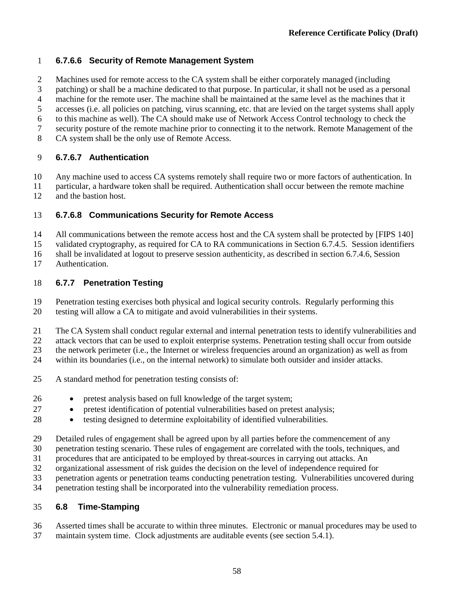## **6.7.6.6 Security of Remote Management System**

Machines used for remote access to the CA system shall be either corporately managed (including

patching) or shall be a machine dedicated to that purpose. In particular, it shall not be used as a personal

machine for the remote user. The machine shall be maintained at the same level as the machines that it

accesses (i.e. all policies on patching, virus scanning, etc. that are levied on the target systems shall apply

to this machine as well). The CA should make use of Network Access Control technology to check the

- security posture of the remote machine prior to connecting it to the network. Remote Management of the
- CA system shall be the only use of Remote Access.

# **6.7.6.7 Authentication**

Any machine used to access CA systems remotely shall require two or more factors of authentication. In

 particular, a hardware token shall be required. Authentication shall occur between the remote machine and the bastion host.

# **6.7.6.8 Communications Security for Remote Access**

All communications between the remote access host and the CA system shall be protected by [FIPS 140]

validated cryptography, as required for CA to RA communications in Section [6.7.4.5.](#page-64-1) Session identifiers

shall be invalidated at logout to preserve session authenticity, as described in section [6.7.4.6,](#page-64-2) Session

Authentication.

# **6.7.7 Penetration Testing**

Penetration testing exercises both physical and logical security controls. Regularly performing this

testing will allow a CA to mitigate and avoid vulnerabilities in their systems.

The CA System shall conduct regular external and internal penetration tests to identify vulnerabilities and

attack vectors that can be used to exploit enterprise systems. Penetration testing shall occur from outside

the network perimeter (i.e., the Internet or wireless frequencies around an organization) as well as from

- within its boundaries (i.e., on the internal network) to simulate both outsider and insider attacks.
- A standard method for penetration testing consists of:
- pretest analysis based on full knowledge of the target system;
- pretest identification of potential vulnerabilities based on pretest analysis;
- testing designed to determine exploitability of identified vulnerabilities.
- Detailed rules of engagement shall be agreed upon by all parties before the commencement of any
- penetration testing scenario. These rules of engagement are correlated with the tools, techniques, and
- procedures that are anticipated to be employed by threat-sources in carrying out attacks. An
- organizational assessment of risk guides the decision on the level of independence required for
- penetration agents or penetration teams conducting penetration testing. Vulnerabilities uncovered during
- penetration testing shall be incorporated into the vulnerability remediation process.

# **6.8 Time-Stamping**

Asserted times shall be accurate to within three minutes. Electronic or manual procedures may be used to

maintain system time. Clock adjustments are auditable events (see section [5.4.1\)](#page-39-1).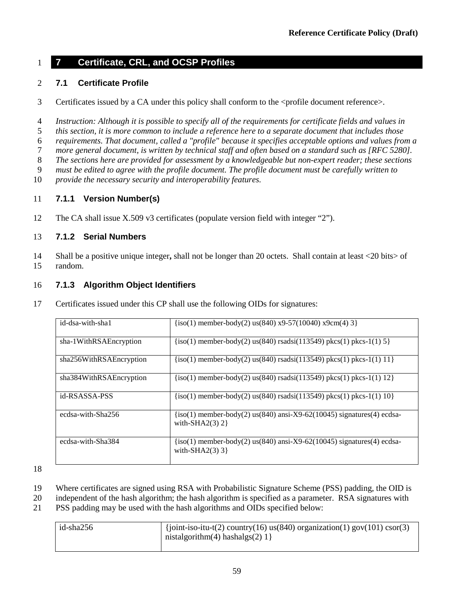# **7 Certificate, CRL, and OCSP Profiles**

## **7.1 Certificate Profile**

- 3 Certificates issued by a CA under this policy shall conform to the <profile document reference>.
- *Instruction: Although it is possible to specify all of the requirements for certificate fields and values in*
- *this section, it is more common to include a reference here to a separate document that includes those*
- *requirements. That document, called a "profile" because it specifies acceptable options and values from a*
- *more general document, is written by technical staff and often based on a standard such as [RFC 5280].*
- *The sections here are provided for assessment by a knowledgeable but non-expert reader; these sections*
- *must be edited to agree with the profile document. The profile document must be carefully written to*
- *provide the necessary security and interoperability features.*

# **7.1.1 Version Number(s)**

The CA shall issue X.509 v3 certificates (populate version field with integer "2").

# **7.1.2 Serial Numbers**

 Shall be a positive unique integer**,** shall not be longer than 20 octets. Shall contain at least <20 bits> of random.

# <span id="page-67-0"></span>**7.1.3 Algorithm Object Identifiers**

Certificates issued under this CP shall use the following OIDs for signatures:

| id-dsa-with-sha1        | $\{iso(1)$ member-body(2) us(840) x9-57(10040) x9cm(4) 3}                                      |
|-------------------------|------------------------------------------------------------------------------------------------|
| sha-1WithRSAEncryption  | $\{iso(1)$ member-body(2) us(840) rsadsi(113549) pkcs(1) pkcs-1(1) 5 $\}$                      |
| sha256WithRSAEncryption | $\{iso(1)$ member-body(2) us(840) rsadsi(113549) pkcs(1) pkcs-1(1) 11}                         |
| sha384WithRSAEncryption | $\{iso(1)$ member-body(2) us(840) rsadsi(113549) pkcs(1) pkcs-1(1) 12}                         |
| id-RSASSA-PSS           | $\{iso(1)$ member-body(2) us(840) rsadsi(113549) pkcs(1) pkcs-1(1) 10}                         |
| ecdsa-with-Sha256       | $\{iso(1)$ member-body(2) us(840) ansi-X9-62(10045) signatures(4) ecdsa-<br>with-SHA2 $(3)$ 2} |
| ecdsa-with-Sha384       | $\{iso(1)$ member-body(2) us(840) ansi-X9-62(10045) signatures(4) ecdsa-<br>with-SHA2 $(3)$ 3} |

- Where certificates are signed using RSA with Probabilistic Signature Scheme (PSS) padding, the OID is
- independent of the hash algorithm; the hash algorithm is specified as a parameter. RSA signatures with
- PSS padding may be used with the hash algorithms and OIDs specified below:

| id-sha256 | $\frac{1}{2}$ (joint-iso-itu-t(2) country(16) us(840) organization(1) gov(101) csor(3) |
|-----------|----------------------------------------------------------------------------------------|
|           | nistalgorithm(4) hashalgs(2) $1$ }                                                     |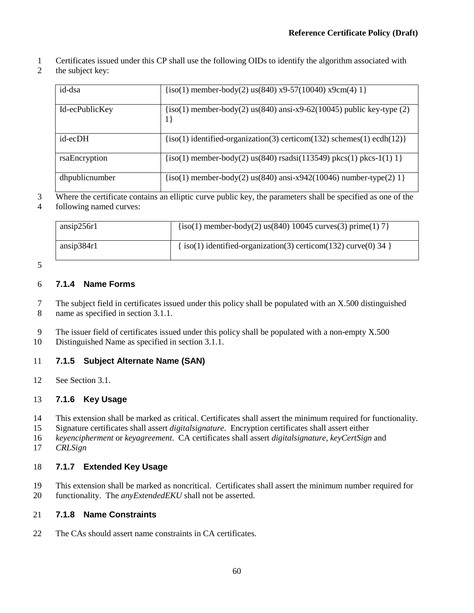- Certificates issued under this CP shall use the following OIDs to identify the algorithm associated with
- 2 the subject key:

| id-dsa         | $\{iso(1)$ member-body(2) us(840) x9-57(10040) x9cm(4) 1}                        |
|----------------|----------------------------------------------------------------------------------|
| Id-ecPublicKey | $(iso(1)$ member-body(2) us(840) ansi-x9-62(10045) public key-type (2)<br>$1\}$  |
| id-ecDH        | $\{iso(1)$ identified-organization(3) certicom(132) schemes(1) ecdh(12) $\}$     |
| rsaEncryption  | $\{iso(1)$ member-body(2) us(840) rsadsi(113549) pkcs(1) pkcs-1(1) 1}            |
| dhpublicnumber | ${\rm (iso(1) \ member-body(2) \ us(840) \ ansi-x942(10046) \ number-type(2) 1}$ |

 Where the certificate contains an elliptic curve public key, the parameters shall be specified as one of the following named curves:

| ansip256r1 | $\{iso(1)$ member-body(2) us(840) 10045 curves(3) prime(1) 7 $\}$    |
|------------|----------------------------------------------------------------------|
| ansip384r1 | $\{iso(1)$ identified-organization(3) certicom(132) curve(0) 34 $\}$ |

## **7.1.4 Name Forms**

 The subject field in certificates issued under this policy shall be populated with an X.500 distinguished name as specified in section 3.1.1.

- The issuer field of certificates issued under this policy shall be populated with a non-empty X.500
- Distinguished Name as specified in section 3.1.1.

## **7.1.5 Subject Alternate Name (SAN)**

See Section [3.1.](#page-15-0)

## **7.1.6 Key Usage**

- This extension shall be marked as critical. Certificates shall assert the minimum required for functionality.
- Signature certificates shall assert *digitalsignature*. Encryption certificates shall assert either
- *keyencipherment* or *keyagreement*. CA certificates shall assert *digitalsignature*, *keyCertSign* and
- *CRLSign*

## **7.1.7 Extended Key Usage**

- This extension shall be marked as noncritical. Certificates shall assert the minimum number required for
- functionality. The *anyExtendedEKU* shall not be asserted.

## **7.1.8 Name Constraints**

22 The CAs should assert name constraints in CA certificates.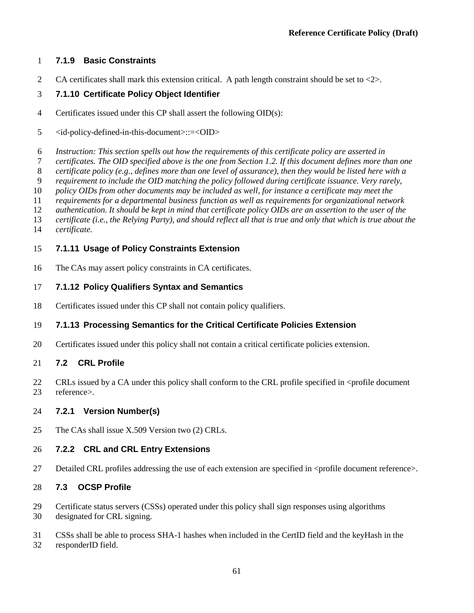#### **7.1.9 Basic Constraints**

2 CA certificates shall mark this extension critical. A path length constraint should be set to <2>.

#### **7.1.10 Certificate Policy Object Identifier**

- Certificates issued under this CP shall assert the following OID(s):
- <id-policy-defined-in-this-document>::=<OID>
- *Instruction: This section spells out how the requirements of this certificate policy are asserted in*
- *certificates. The OID specified above is the one from Section [1.2.](#page-10-0) If this document defines more than one*
- *certificate policy (e.g., defines more than one level of assurance), then they would be listed here with a*
- *requirement to include the OID matching the policy followed during certificate issuance. Very rarely,*
- *policy OIDs from other documents may be included as well, for instance a certificate may meet the*
- *requirements for a departmental business function as well as requirements for organizational network*
- *authentication. It should be kept in mind that certificate policy OIDs are an assertion to the user of the*
- *certificate (i.e., the Relying Party), and should reflect all that is true and only that which is true about the*
- $c$ *ertificate.*

#### **7.1.11 Usage of Policy Constraints Extension**

The CAs may assert policy constraints in CA certificates.

#### **7.1.12 Policy Qualifiers Syntax and Semantics**

Certificates issued under this CP shall not contain policy qualifiers.

### **7.1.13 Processing Semantics for the Critical Certificate Policies Extension**

Certificates issued under this policy shall not contain a critical certificate policies extension.

#### **7.2 CRL Profile**

22 CRLs issued by a CA under this policy shall conform to the CRL profile specified in  $\leq$  sprofile document reference>.

#### **7.2.1 Version Number(s)**

25 The CAs shall issue X.509 Version two (2) CRLs.

#### **7.2.2 CRL and CRL Entry Extensions**

27 Detailed CRL profiles addressing the use of each extension are specified in <profile document reference>.

#### **7.3 OCSP Profile**

- Certificate status servers (CSSs) operated under this policy shall sign responses using algorithms
- designated for CRL signing.
- CSSs shall be able to process SHA-1 hashes when included in the CertID field and the keyHash in the responderID field.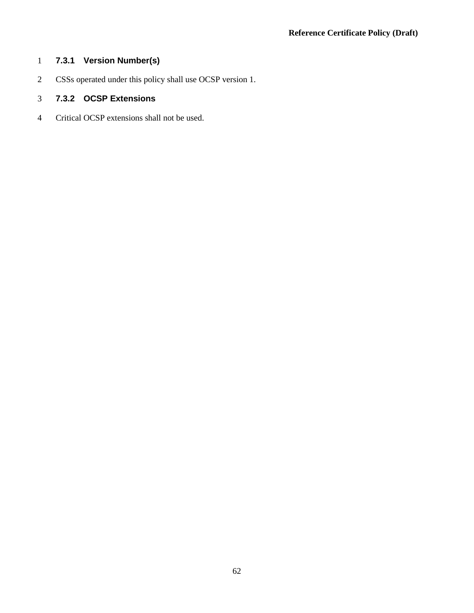## **7.3.1 Version Number(s)**

CSSs operated under this policy shall use OCSP version 1.

## **7.3.2 OCSP Extensions**

Critical OCSP extensions shall not be used.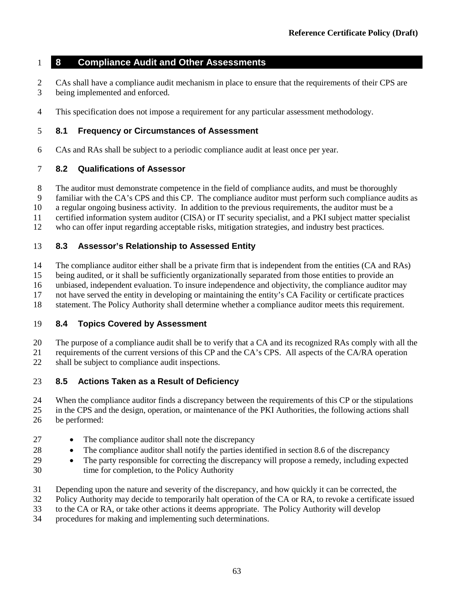### **8 Compliance Audit and Other Assessments**

- CAs shall have a compliance audit mechanism in place to ensure that the requirements of their CPS are being implemented and enforced.
- This specification does not impose a requirement for any particular assessment methodology.

#### **8.1 Frequency or Circumstances of Assessment**

CAs and RAs shall be subject to a periodic compliance audit at least once per year.

#### **8.2 Qualifications of Assessor**

- The auditor must demonstrate competence in the field of compliance audits, and must be thoroughly
- familiar with the CA's CPS and this CP. The compliance auditor must perform such compliance audits as
- a regular ongoing business activity. In addition to the previous requirements, the auditor must be a
- certified information system auditor (CISA) or IT security specialist, and a PKI subject matter specialist
- who can offer input regarding acceptable risks, mitigation strategies, and industry best practices.

#### **8.3 Assessor's Relationship to Assessed Entity**

- The compliance auditor either shall be a private firm that is independent from the entities (CA and RAs)
- being audited, or it shall be sufficiently organizationally separated from those entities to provide an
- unbiased, independent evaluation. To insure independence and objectivity, the compliance auditor may
- not have served the entity in developing or maintaining the entity's CA Facility or certificate practices
- statement. The Policy Authority shall determine whether a compliance auditor meets this requirement.

### **8.4 Topics Covered by Assessment**

- The purpose of a compliance audit shall be to verify that a CA and its recognized RAs comply with all the
- requirements of the current versions of this CP and the CA's CPS. All aspects of the CA/RA operation shall be subject to compliance audit inspections.

### **8.5 Actions Taken as a Result of Deficiency**

- 24 When the compliance auditor finds a discrepancy between the requirements of this CP or the stipulations<br>25 in the CPS and the design, operation, or maintenance of the PKI Authorities, the following actions shall in the CPS and the design, operation, or maintenance of the PKI Authorities, the following actions shall be performed:
- 27 The compliance auditor shall note the discrepancy
- 28 The compliance auditor shall notify the parties identified in section 8.6 of the discrepancy
- The party responsible for correcting the discrepancy will propose a remedy, including expected time for completion, to the Policy Authority
- Depending upon the nature and severity of the discrepancy, and how quickly it can be corrected, the
- Policy Authority may decide to temporarily halt operation of the CA or RA, to revoke a certificate issued
- to the CA or RA, or take other actions it deems appropriate. The Policy Authority will develop
- procedures for making and implementing such determinations.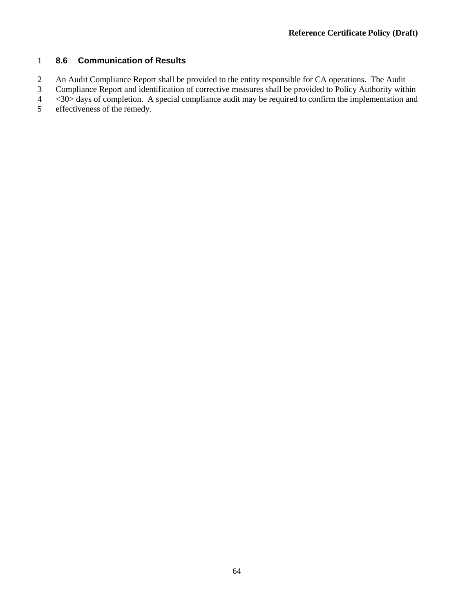# 1 **8.6 Communication of Results**

2 An Audit Compliance Report shall be provided to the entity responsible for CA operations. The Audit<br>2 Compliance Report and identification of corrective measures shall be provided to Policy Authority with

3 Compliance Report and identification of corrective measures shall be provided to Policy Authority within <30> days of completion. A special compliance audit may be required to confirm the implementation and

4 <30> days of completion. A special compliance audit may be required to confirm the implementation and

5 effectiveness of the remedy.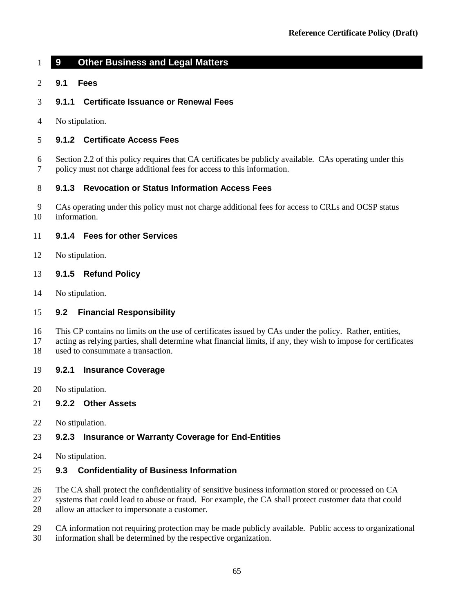# **9 Other Business and Legal Matters**

- **9.1 Fees**
- **9.1.1 Certificate Issuance or Renewal Fees**
- No stipulation.

# **9.1.2 Certificate Access Fees**

 Sectio[n 2.2](#page-14-0) of this policy requires that CA certificates be publicly available. CAs operating under this policy must not charge additional fees for access to this information.

# **9.1.3 Revocation or Status Information Access Fees**

 CAs operating under this policy must not charge additional fees for access to CRLs and OCSP status information.

# **9.1.4 Fees for other Services**

No stipulation.

#### **9.1.5 Refund Policy**

No stipulation.

#### **9.2 Financial Responsibility**

- This CP contains no limits on the use of certificates issued by CAs under the policy. Rather, entities,
- acting as relying parties, shall determine what financial limits, if any, they wish to impose for certificates used to consummate a transaction.
- 

# **9.2.1 Insurance Coverage**

No stipulation.

#### **9.2.2 Other Assets**

No stipulation.

#### **9.2.3 Insurance or Warranty Coverage for End-Entities**

No stipulation.

#### **9.3 Confidentiality of Business Information**

- The CA shall protect the confidentiality of sensitive business information stored or processed on CA
- systems that could lead to abuse or fraud. For example, the CA shall protect customer data that could allow an attacker to impersonate a customer.
- CA information not requiring protection may be made publicly available. Public access to organizational
- information shall be determined by the respective organization.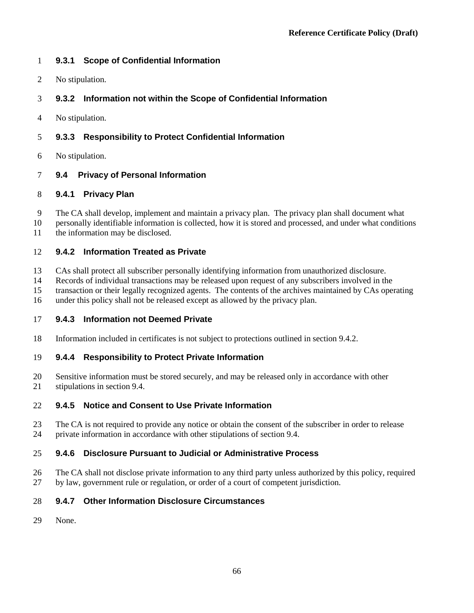### **9.3.1 Scope of Confidential Information**

No stipulation.

# **9.3.2 Information not within the Scope of Confidential Information**

No stipulation.

### **9.3.3 Responsibility to Protect Confidential Information**

No stipulation.

#### **9.4 Privacy of Personal Information**

#### **9.4.1 Privacy Plan**

- The CA shall develop, implement and maintain a privacy plan. The privacy plan shall document what
- personally identifiable information is collected, how it is stored and processed, and under what conditions the information may be disclosed.

#### **9.4.2 Information Treated as Private**

- CAs shall protect all subscriber personally identifying information from unauthorized disclosure.
- Records of individual transactions may be released upon request of any subscribers involved in the
- transaction or their legally recognized agents. The contents of the archives maintained by CAs operating
- under this policy shall not be released except as allowed by the privacy plan.

#### **9.4.3 Information not Deemed Private**

Information included in certificates is not subject to protections outlined in section 9.4.2.

#### **9.4.4 Responsibility to Protect Private Information**

 Sensitive information must be stored securely, and may be released only in accordance with other stipulations in section 9.4.

#### **9.4.5 Notice and Consent to Use Private Information**

 The CA is not required to provide any notice or obtain the consent of the subscriber in order to release private information in accordance with other stipulations of section 9.4.

#### **9.4.6 Disclosure Pursuant to Judicial or Administrative Process**

 The CA shall not disclose private information to any third party unless authorized by this policy, required by law, government rule or regulation, or order of a court of competent jurisdiction.

#### **9.4.7 Other Information Disclosure Circumstances**

None.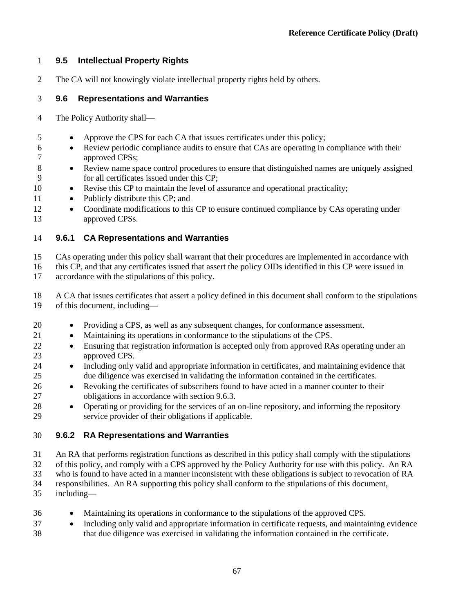# **9.5 Intellectual Property Rights**

The CA will not knowingly violate intellectual property rights held by others.

### **9.6 Representations and Warranties**

- The Policy Authority shall—
- Approve the CPS for each CA that issues certificates under this policy;
- Review periodic compliance audits to ensure that CAs are operating in compliance with their approved CPSs;
- Review name space control procedures to ensure that distinguished names are uniquely assigned for all certificates issued under this CP;
- Revise this CP to maintain the level of assurance and operational practicality;
- 11 Publicly distribute this CP; and
- 12 Coordinate modifications to this CP to ensure continued compliance by CAs operating under approved CPSs.

# **9.6.1 CA Representations and Warranties**

CAs operating under this policy shall warrant that their procedures are implemented in accordance with

16 this CP, and that any certificates issued that assert the policy OIDs identified in this CP were issued in accordance with the stipulations of this policy. accordance with the stipulations of this policy.

 A CA that issues certificates that assert a policy defined in this document shall conform to the stipulations of this document, including—

- Providing a CPS, as well as any subsequent changes, for conformance assessment.
- Maintaining its operations in conformance to the stipulations of the CPS.
- 22 Ensuring that registration information is accepted only from approved RAs operating under an approved CPS.
- Including only valid and appropriate information in certificates, and maintaining evidence that due diligence was exercised in validating the information contained in the certificates.
- Revoking the certificates of subscribers found to have acted in a manner counter to their obligations in accordance with section 9.6.3.
- Operating or providing for the services of an on-line repository, and informing the repository service provider of their obligations if applicable.

# **9.6.2 RA Representations and Warranties**

An RA that performs registration functions as described in this policy shall comply with the stipulations

of this policy, and comply with a CPS approved by the Policy Authority for use with this policy. An RA

who is found to have acted in a manner inconsistent with these obligations is subject to revocation of RA

responsibilities. An RA supporting this policy shall conform to the stipulations of this document,

- including—
- Maintaining its operations in conformance to the stipulations of the approved CPS.
- Including only valid and appropriate information in certificate requests, and maintaining evidence that due diligence was exercised in validating the information contained in the certificate.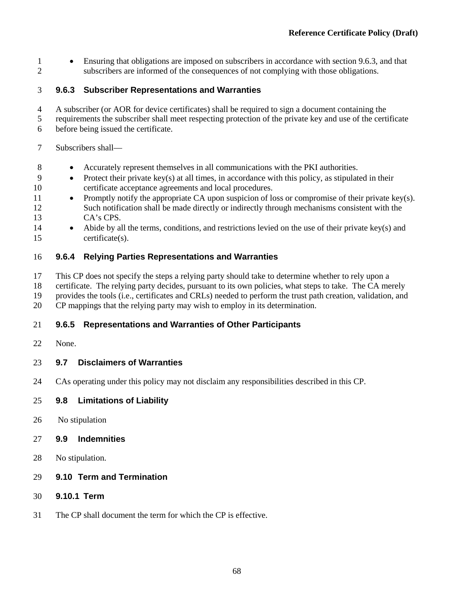• Ensuring that obligations are imposed on subscribers in accordance with section 9.6.3, and that subscribers are informed of the consequences of not complying with those obligations.

# **9.6.3 Subscriber Representations and Warranties**

- A subscriber (or AOR for device certificates) shall be required to sign a document containing the
- requirements the subscriber shall meet respecting protection of the private key and use of the certificate before being issued the certificate.
- Subscribers shall—
- Accurately represent themselves in all communications with the PKI authorities.
- Protect their private key(s) at all times, in accordance with this policy, as stipulated in their certificate acceptance agreements and local procedures.
- Promptly notify the appropriate CA upon suspicion of loss or compromise of their private key(s). Such notification shall be made directly or indirectly through mechanisms consistent with the CA's CPS.
- Abide by all the terms, conditions, and restrictions levied on the use of their private key(s) and certificate(s).

#### **9.6.4 Relying Parties Representations and Warranties**

- This CP does not specify the steps a relying party should take to determine whether to rely upon a
- certificate. The relying party decides, pursuant to its own policies, what steps to take. The CA merely
- provides the tools (i.e., certificates and CRLs) needed to perform the trust path creation, validation, and
- CP mappings that the relying party may wish to employ in its determination.

#### **9.6.5 Representations and Warranties of Other Participants**

None.

#### **9.7 Disclaimers of Warranties**

CAs operating under this policy may not disclaim any responsibilities described in this CP.

#### **9.8 Limitations of Liability**

No stipulation

#### **9.9 Indemnities**

- No stipulation.
- **9.10 Term and Termination**
- **9.10.1 Term**
- The CP shall document the term for which the CP is effective.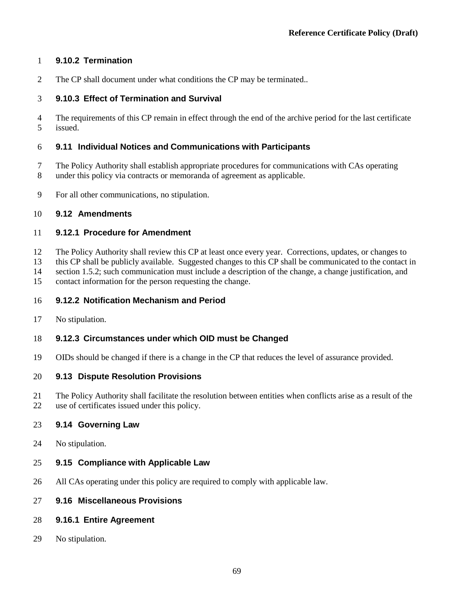#### **9.10.2 Termination**

The CP shall document under what conditions the CP may be terminated..

#### **9.10.3 Effect of Termination and Survival**

 The requirements of this CP remain in effect through the end of the archive period for the last certificate issued.

#### **9.11 Individual Notices and Communications with Participants**

- The Policy Authority shall establish appropriate procedures for communications with CAs operating under this policy via contracts or memoranda of agreement as applicable.
- For all other communications, no stipulation.

#### **9.12 Amendments**

#### **9.12.1 Procedure for Amendment**

The Policy Authority shall review this CP at least once every year. Corrections, updates, or changes to

this CP shall be publicly available. Suggested changes to this CP shall be communicated to the contact in

section 1.5.2; such communication must include a description of the change, a change justification, and

contact information for the person requesting the change.

#### **9.12.2 Notification Mechanism and Period**

No stipulation.

#### **9.12.3 Circumstances under which OID must be Changed**

OIDs should be changed if there is a change in the CP that reduces the level of assurance provided.

#### **9.13 Dispute Resolution Provisions**

 The Policy Authority shall facilitate the resolution between entities when conflicts arise as a result of the use of certificates issued under this policy.

#### **9.14 Governing Law**

No stipulation.

#### **9.15 Compliance with Applicable Law**

All CAs operating under this policy are required to comply with applicable law.

#### **9.16 Miscellaneous Provisions**

- **9.16.1 Entire Agreement**
- No stipulation.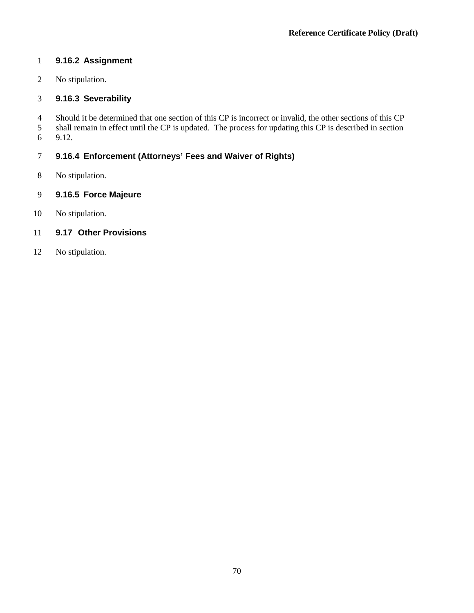# **9.16.2 Assignment**

No stipulation.

# **9.16.3 Severability**

4 Should it be determined that one section of this CP is incorrect or invalid, the other sections of this CP shall remain in effect until the CP is updated. The process for updating this CP is described in section shall remain in effect until the CP is updated. The process for updating this CP is described in section

9.12.

# **9.16.4 Enforcement (Attorneys' Fees and Waiver of Rights)**

No stipulation.

# **9.16.5 Force Majeure**

No stipulation.

# **9.17 Other Provisions**

No stipulation.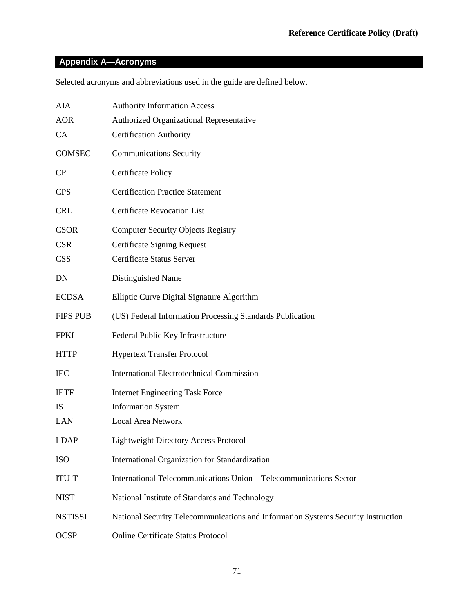# **Appendix A—Acronyms**

Selected acronyms and abbreviations used in the guide are defined below.

| AIA             | <b>Authority Information Access</b>                                               |
|-----------------|-----------------------------------------------------------------------------------|
| <b>AOR</b>      | Authorized Organizational Representative                                          |
| CA              | <b>Certification Authority</b>                                                    |
| COMSEC          | <b>Communications Security</b>                                                    |
| $\rm CP$        | <b>Certificate Policy</b>                                                         |
| <b>CPS</b>      | <b>Certification Practice Statement</b>                                           |
| <b>CRL</b>      | <b>Certificate Revocation List</b>                                                |
| <b>CSOR</b>     | <b>Computer Security Objects Registry</b>                                         |
| <b>CSR</b>      | <b>Certificate Signing Request</b>                                                |
| <b>CSS</b>      | <b>Certificate Status Server</b>                                                  |
| DN              | Distinguished Name                                                                |
| <b>ECDSA</b>    | Elliptic Curve Digital Signature Algorithm                                        |
| <b>FIPS PUB</b> | (US) Federal Information Processing Standards Publication                         |
| <b>FPKI</b>     | Federal Public Key Infrastructure                                                 |
| <b>HTTP</b>     | <b>Hypertext Transfer Protocol</b>                                                |
| <b>IEC</b>      | <b>International Electrotechnical Commission</b>                                  |
| <b>IETF</b>     | <b>Internet Engineering Task Force</b>                                            |
| IS              | <b>Information System</b>                                                         |
| LAN             | <b>Local Area Network</b>                                                         |
| <b>LDAP</b>     | <b>Lightweight Directory Access Protocol</b>                                      |
| <b>ISO</b>      | International Organization for Standardization                                    |
| <b>ITU-T</b>    | International Telecommunications Union - Telecommunications Sector                |
| <b>NIST</b>     | National Institute of Standards and Technology                                    |
| <b>NSTISSI</b>  | National Security Telecommunications and Information Systems Security Instruction |
| <b>OCSP</b>     | Online Certificate Status Protocol                                                |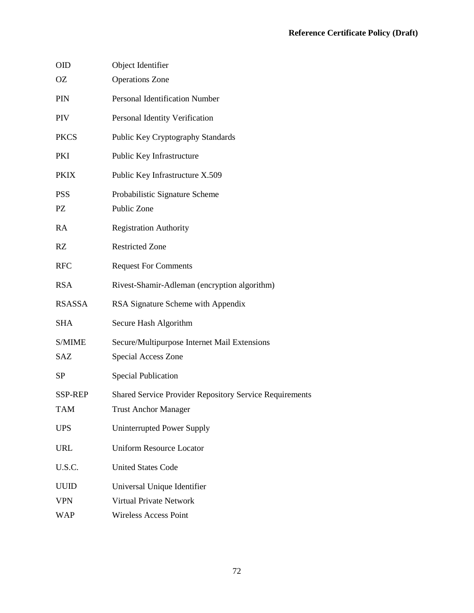| <b>OID</b>                | Object Identifier                                                                      |
|---------------------------|----------------------------------------------------------------------------------------|
| OZ                        | <b>Operations Zone</b>                                                                 |
| PIN                       | <b>Personal Identification Number</b>                                                  |
| PIV                       | Personal Identity Verification                                                         |
| <b>PKCS</b>               | Public Key Cryptography Standards                                                      |
| PKI                       | Public Key Infrastructure                                                              |
| <b>PKIX</b>               | Public Key Infrastructure X.509                                                        |
| <b>PSS</b><br>PZ          | Probabilistic Signature Scheme<br>Public Zone                                          |
| RA                        | <b>Registration Authority</b>                                                          |
| RZ                        | <b>Restricted Zone</b>                                                                 |
| <b>RFC</b>                | <b>Request For Comments</b>                                                            |
| <b>RSA</b>                | Rivest-Shamir-Adleman (encryption algorithm)                                           |
| <b>RSASSA</b>             | RSA Signature Scheme with Appendix                                                     |
| <b>SHA</b>                | Secure Hash Algorithm                                                                  |
| S/MIME<br>SAZ             | Secure/Multipurpose Internet Mail Extensions<br>Special Access Zone                    |
| <b>SP</b>                 | <b>Special Publication</b>                                                             |
| SSP-REP<br><b>TAM</b>     | Shared Service Provider Repository Service Requirements<br><b>Trust Anchor Manager</b> |
| <b>UPS</b>                | Uninterrupted Power Supply                                                             |
| <b>URL</b>                | <b>Uniform Resource Locator</b>                                                        |
| U.S.C.                    | <b>United States Code</b>                                                              |
| <b>UUID</b><br><b>VPN</b> | Universal Unique Identifier<br><b>Virtual Private Network</b>                          |
| <b>WAP</b>                | <b>Wireless Access Point</b>                                                           |
|                           |                                                                                        |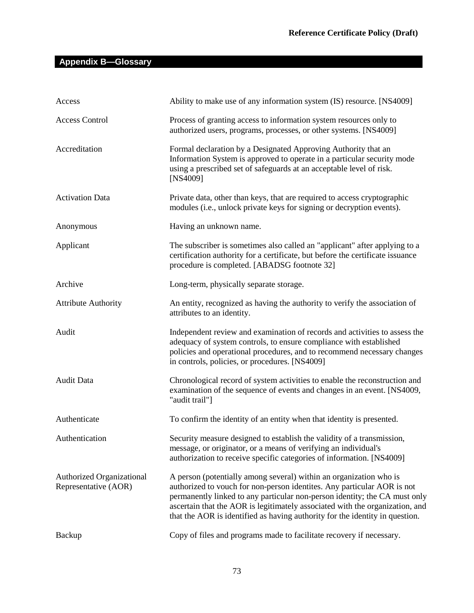# **Appendix B—Glossary**

| Access                                                   | Ability to make use of any information system (IS) resource. [NS4009]                                                                                                                                                                                                                                                                                                                       |
|----------------------------------------------------------|---------------------------------------------------------------------------------------------------------------------------------------------------------------------------------------------------------------------------------------------------------------------------------------------------------------------------------------------------------------------------------------------|
| <b>Access Control</b>                                    | Process of granting access to information system resources only to<br>authorized users, programs, processes, or other systems. [NS4009]                                                                                                                                                                                                                                                     |
| Accreditation                                            | Formal declaration by a Designated Approving Authority that an<br>Information System is approved to operate in a particular security mode<br>using a prescribed set of safeguards at an acceptable level of risk.<br>[NS4009]                                                                                                                                                               |
| <b>Activation Data</b>                                   | Private data, other than keys, that are required to access cryptographic<br>modules (i.e., unlock private keys for signing or decryption events).                                                                                                                                                                                                                                           |
| Anonymous                                                | Having an unknown name.                                                                                                                                                                                                                                                                                                                                                                     |
| Applicant                                                | The subscriber is sometimes also called an "applicant" after applying to a<br>certification authority for a certificate, but before the certificate issuance<br>procedure is completed. [ABADSG footnote 32]                                                                                                                                                                                |
| Archive                                                  | Long-term, physically separate storage.                                                                                                                                                                                                                                                                                                                                                     |
| <b>Attribute Authority</b>                               | An entity, recognized as having the authority to verify the association of<br>attributes to an identity.                                                                                                                                                                                                                                                                                    |
| Audit                                                    | Independent review and examination of records and activities to assess the<br>adequacy of system controls, to ensure compliance with established<br>policies and operational procedures, and to recommend necessary changes<br>in controls, policies, or procedures. [NS4009]                                                                                                               |
| Audit Data                                               | Chronological record of system activities to enable the reconstruction and<br>examination of the sequence of events and changes in an event. [NS4009,<br>"audit trail"]                                                                                                                                                                                                                     |
| Authenticate                                             | To confirm the identity of an entity when that identity is presented.                                                                                                                                                                                                                                                                                                                       |
| Authentication                                           | Security measure designed to establish the validity of a transmission,<br>message, or originator, or a means of verifying an individual's<br>authorization to receive specific categories of information. [NS4009]                                                                                                                                                                          |
| <b>Authorized Organizational</b><br>Representative (AOR) | A person (potentially among several) within an organization who is<br>authorized to vouch for non-person identites. Any particular AOR is not<br>permanently linked to any particular non-person identity; the CA must only<br>ascertain that the AOR is legitimately associated with the organization, and<br>that the AOR is identified as having authority for the identity in question. |
| Backup                                                   | Copy of files and programs made to facilitate recovery if necessary.                                                                                                                                                                                                                                                                                                                        |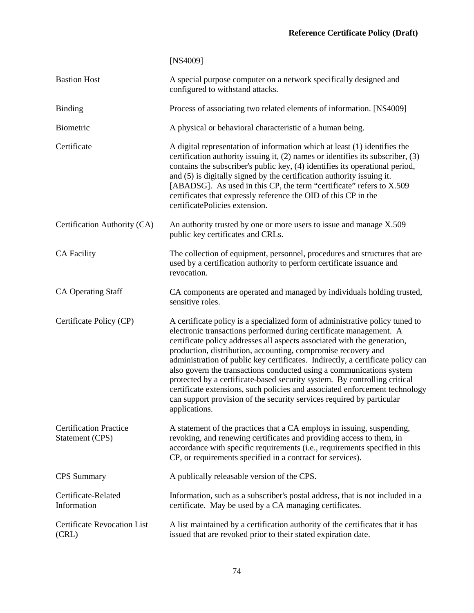| <b>Bastion Host</b>                              | A special purpose computer on a network specifically designed and<br>configured to withstand attacks.                                                                                                                                                                                                                                                                                                                                                                                                                                                                                                                                                                                                            |
|--------------------------------------------------|------------------------------------------------------------------------------------------------------------------------------------------------------------------------------------------------------------------------------------------------------------------------------------------------------------------------------------------------------------------------------------------------------------------------------------------------------------------------------------------------------------------------------------------------------------------------------------------------------------------------------------------------------------------------------------------------------------------|
| <b>Binding</b>                                   | Process of associating two related elements of information. [NS4009]                                                                                                                                                                                                                                                                                                                                                                                                                                                                                                                                                                                                                                             |
| Biometric                                        | A physical or behavioral characteristic of a human being.                                                                                                                                                                                                                                                                                                                                                                                                                                                                                                                                                                                                                                                        |
| Certificate                                      | A digital representation of information which at least (1) identifies the<br>certification authority issuing it, (2) names or identifies its subscriber, (3)<br>contains the subscriber's public key, (4) identifies its operational period,<br>and (5) is digitally signed by the certification authority issuing it.<br>[ABADSG]. As used in this CP, the term "certificate" refers to X.509<br>certificates that expressly reference the OID of this CP in the<br>certificatePolicies extension.                                                                                                                                                                                                              |
| Certification Authority (CA)                     | An authority trusted by one or more users to issue and manage X.509<br>public key certificates and CRLs.                                                                                                                                                                                                                                                                                                                                                                                                                                                                                                                                                                                                         |
| <b>CA Facility</b>                               | The collection of equipment, personnel, procedures and structures that are<br>used by a certification authority to perform certificate issuance and<br>revocation.                                                                                                                                                                                                                                                                                                                                                                                                                                                                                                                                               |
| <b>CA Operating Staff</b>                        | CA components are operated and managed by individuals holding trusted,<br>sensitive roles.                                                                                                                                                                                                                                                                                                                                                                                                                                                                                                                                                                                                                       |
| Certificate Policy (CP)                          | A certificate policy is a specialized form of administrative policy tuned to<br>electronic transactions performed during certificate management. A<br>certificate policy addresses all aspects associated with the generation,<br>production, distribution, accounting, compromise recovery and<br>administration of public key certificates. Indirectly, a certificate policy can<br>also govern the transactions conducted using a communications system<br>protected by a certificate-based security system. By controlling critical<br>certificate extensions, such policies and associated enforcement technology<br>can support provision of the security services required by particular<br>applications. |
| <b>Certification Practice</b><br>Statement (CPS) | A statement of the practices that a CA employs in issuing, suspending,<br>revoking, and renewing certificates and providing access to them, in<br>accordance with specific requirements (i.e., requirements specified in this<br>CP, or requirements specified in a contract for services).                                                                                                                                                                                                                                                                                                                                                                                                                      |
| <b>CPS</b> Summary                               | A publically releasable version of the CPS.                                                                                                                                                                                                                                                                                                                                                                                                                                                                                                                                                                                                                                                                      |
| Certificate-Related<br>Information               | Information, such as a subscriber's postal address, that is not included in a<br>certificate. May be used by a CA managing certificates.                                                                                                                                                                                                                                                                                                                                                                                                                                                                                                                                                                         |
| <b>Certificate Revocation List</b><br>(CRL)      | A list maintained by a certification authority of the certificates that it has<br>issued that are revoked prior to their stated expiration date.                                                                                                                                                                                                                                                                                                                                                                                                                                                                                                                                                                 |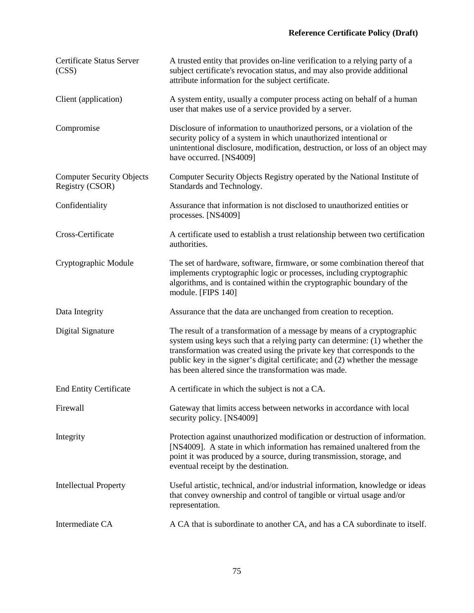| Certificate Status Server<br>(CSS)                  | A trusted entity that provides on-line verification to a relying party of a<br>subject certificate's revocation status, and may also provide additional<br>attribute information for the subject certificate.                                                                                                                                                           |
|-----------------------------------------------------|-------------------------------------------------------------------------------------------------------------------------------------------------------------------------------------------------------------------------------------------------------------------------------------------------------------------------------------------------------------------------|
| Client (application)                                | A system entity, usually a computer process acting on behalf of a human<br>user that makes use of a service provided by a server.                                                                                                                                                                                                                                       |
| Compromise                                          | Disclosure of information to unauthorized persons, or a violation of the<br>security policy of a system in which unauthorized intentional or<br>unintentional disclosure, modification, destruction, or loss of an object may<br>have occurred. [NS4009]                                                                                                                |
| <b>Computer Security Objects</b><br>Registry (CSOR) | Computer Security Objects Registry operated by the National Institute of<br>Standards and Technology.                                                                                                                                                                                                                                                                   |
| Confidentiality                                     | Assurance that information is not disclosed to unauthorized entities or<br>processes. [NS4009]                                                                                                                                                                                                                                                                          |
| Cross-Certificate                                   | A certificate used to establish a trust relationship between two certification<br>authorities.                                                                                                                                                                                                                                                                          |
| Cryptographic Module                                | The set of hardware, software, firmware, or some combination thereof that<br>implements cryptographic logic or processes, including cryptographic<br>algorithms, and is contained within the cryptographic boundary of the<br>module. [FIPS 140]                                                                                                                        |
| Data Integrity                                      | Assurance that the data are unchanged from creation to reception.                                                                                                                                                                                                                                                                                                       |
| Digital Signature                                   | The result of a transformation of a message by means of a cryptographic<br>system using keys such that a relying party can determine: (1) whether the<br>transformation was created using the private key that corresponds to the<br>public key in the signer's digital certificate; and (2) whether the message<br>has been altered since the transformation was made. |
| <b>End Entity Certificate</b>                       | A certificate in which the subject is not a CA.                                                                                                                                                                                                                                                                                                                         |
| Firewall                                            | Gateway that limits access between networks in accordance with local<br>security policy. [NS4009]                                                                                                                                                                                                                                                                       |
| Integrity                                           | Protection against unauthorized modification or destruction of information.<br>[NS4009]. A state in which information has remained unaltered from the<br>point it was produced by a source, during transmission, storage, and<br>eventual receipt by the destination.                                                                                                   |
| <b>Intellectual Property</b>                        | Useful artistic, technical, and/or industrial information, knowledge or ideas<br>that convey ownership and control of tangible or virtual usage and/or<br>representation.                                                                                                                                                                                               |
| Intermediate CA                                     | A CA that is subordinate to another CA, and has a CA subordinate to itself.                                                                                                                                                                                                                                                                                             |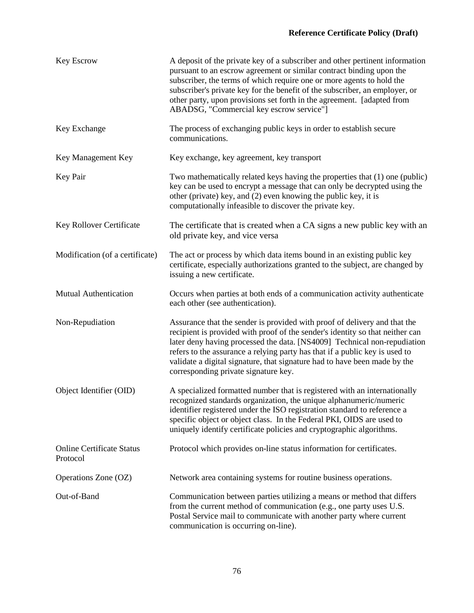# **Reference Certificate Policy (Draft)**

| Key Escrow                                   | A deposit of the private key of a subscriber and other pertinent information<br>pursuant to an escrow agreement or similar contract binding upon the<br>subscriber, the terms of which require one or more agents to hold the<br>subscriber's private key for the benefit of the subscriber, an employer, or<br>other party, upon provisions set forth in the agreement. [adapted from<br>ABADSG, "Commercial key escrow service"]         |
|----------------------------------------------|--------------------------------------------------------------------------------------------------------------------------------------------------------------------------------------------------------------------------------------------------------------------------------------------------------------------------------------------------------------------------------------------------------------------------------------------|
| Key Exchange                                 | The process of exchanging public keys in order to establish secure<br>communications.                                                                                                                                                                                                                                                                                                                                                      |
| Key Management Key                           | Key exchange, key agreement, key transport                                                                                                                                                                                                                                                                                                                                                                                                 |
| Key Pair                                     | Two mathematically related keys having the properties that (1) one (public)<br>key can be used to encrypt a message that can only be decrypted using the<br>other (private) key, and (2) even knowing the public key, it is<br>computationally infeasible to discover the private key.                                                                                                                                                     |
| Key Rollover Certificate                     | The certificate that is created when a CA signs a new public key with an<br>old private key, and vice versa                                                                                                                                                                                                                                                                                                                                |
| Modification (of a certificate)              | The act or process by which data items bound in an existing public key<br>certificate, especially authorizations granted to the subject, are changed by<br>issuing a new certificate.                                                                                                                                                                                                                                                      |
| Mutual Authentication                        | Occurs when parties at both ends of a communication activity authenticate<br>each other (see authentication).                                                                                                                                                                                                                                                                                                                              |
| Non-Repudiation                              | Assurance that the sender is provided with proof of delivery and that the<br>recipient is provided with proof of the sender's identity so that neither can<br>later deny having processed the data. [NS4009] Technical non-repudiation<br>refers to the assurance a relying party has that if a public key is used to<br>validate a digital signature, that signature had to have been made by the<br>corresponding private signature key. |
| Object Identifier (OID)                      | A specialized formatted number that is registered with an internationally<br>recognized standards organization, the unique alphanumeric/numeric<br>identifier registered under the ISO registration standard to reference a<br>specific object or object class. In the Federal PKI, OIDS are used to<br>uniquely identify certificate policies and cryptographic algorithms.                                                               |
| <b>Online Certificate Status</b><br>Protocol | Protocol which provides on-line status information for certificates.                                                                                                                                                                                                                                                                                                                                                                       |
| Operations Zone (OZ)                         | Network area containing systems for routine business operations.                                                                                                                                                                                                                                                                                                                                                                           |
| Out-of-Band                                  | Communication between parties utilizing a means or method that differs<br>from the current method of communication (e.g., one party uses U.S.<br>Postal Service mail to communicate with another party where current<br>communication is occurring on-line).                                                                                                                                                                               |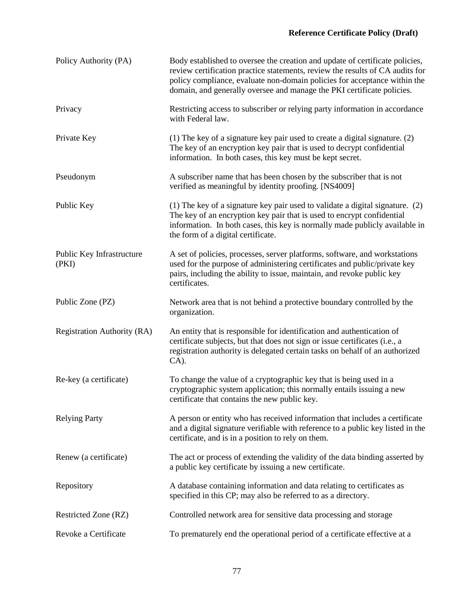# **Reference Certificate Policy (Draft)**

| Policy Authority (PA)              | Body established to oversee the creation and update of certificate policies,<br>review certification practice statements, review the results of CA audits for<br>policy compliance, evaluate non-domain policies for acceptance within the<br>domain, and generally oversee and manage the PKI certificate policies. |
|------------------------------------|----------------------------------------------------------------------------------------------------------------------------------------------------------------------------------------------------------------------------------------------------------------------------------------------------------------------|
| Privacy                            | Restricting access to subscriber or relying party information in accordance<br>with Federal law.                                                                                                                                                                                                                     |
| Private Key                        | (1) The key of a signature key pair used to create a digital signature. (2)<br>The key of an encryption key pair that is used to decrypt confidential<br>information. In both cases, this key must be kept secret.                                                                                                   |
| Pseudonym                          | A subscriber name that has been chosen by the subscriber that is not<br>verified as meaningful by identity proofing. [NS4009]                                                                                                                                                                                        |
| Public Key                         | (1) The key of a signature key pair used to validate a digital signature. (2)<br>The key of an encryption key pair that is used to encrypt confidential<br>information. In both cases, this key is normally made publicly available in<br>the form of a digital certificate.                                         |
| Public Key Infrastructure<br>(PKI) | A set of policies, processes, server platforms, software, and workstations<br>used for the purpose of administering certificates and public/private key<br>pairs, including the ability to issue, maintain, and revoke public key<br>certificates.                                                                   |
| Public Zone (PZ)                   | Network area that is not behind a protective boundary controlled by the<br>organization.                                                                                                                                                                                                                             |
| <b>Registration Authority (RA)</b> | An entity that is responsible for identification and authentication of<br>certificate subjects, but that does not sign or issue certificates (i.e., a<br>registration authority is delegated certain tasks on behalf of an authorized<br>$CA$ ).                                                                     |
| Re-key (a certificate)             | To change the value of a cryptographic key that is being used in a<br>cryptographic system application; this normally entails issuing a new<br>certificate that contains the new public key.                                                                                                                         |
| <b>Relying Party</b>               | A person or entity who has received information that includes a certificate<br>and a digital signature verifiable with reference to a public key listed in the<br>certificate, and is in a position to rely on them.                                                                                                 |
| Renew (a certificate)              | The act or process of extending the validity of the data binding asserted by<br>a public key certificate by issuing a new certificate.                                                                                                                                                                               |
| Repository                         | A database containing information and data relating to certificates as<br>specified in this CP; may also be referred to as a directory.                                                                                                                                                                              |
| Restricted Zone (RZ)               | Controlled network area for sensitive data processing and storage                                                                                                                                                                                                                                                    |
| Revoke a Certificate               | To prematurely end the operational period of a certificate effective at a                                                                                                                                                                                                                                            |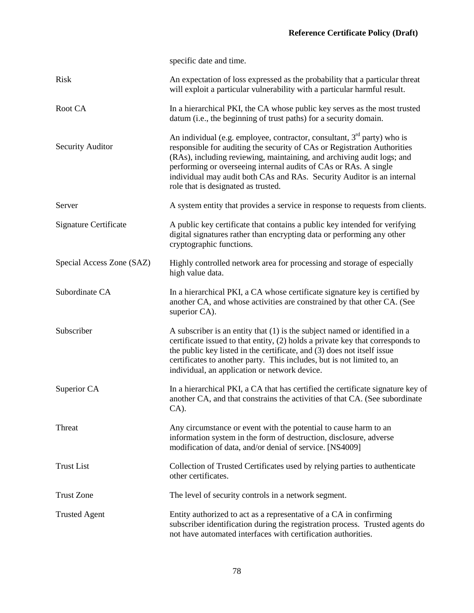|                           | specific date and time.                                                                                                                                                                                                                                                                                                                                                                                                        |
|---------------------------|--------------------------------------------------------------------------------------------------------------------------------------------------------------------------------------------------------------------------------------------------------------------------------------------------------------------------------------------------------------------------------------------------------------------------------|
| <b>Risk</b>               | An expectation of loss expressed as the probability that a particular threat<br>will exploit a particular vulnerability with a particular harmful result.                                                                                                                                                                                                                                                                      |
| Root CA                   | In a hierarchical PKI, the CA whose public key serves as the most trusted<br>datum (i.e., the beginning of trust paths) for a security domain.                                                                                                                                                                                                                                                                                 |
| <b>Security Auditor</b>   | An individual (e.g. employee, contractor, consultant, 3 <sup>rd</sup> party) who is<br>responsible for auditing the security of CAs or Registration Authorities<br>(RAs), including reviewing, maintaining, and archiving audit logs; and<br>performing or overseeing internal audits of CAs or RAs. A single<br>individual may audit both CAs and RAs. Security Auditor is an internal<br>role that is designated as trusted. |
| Server                    | A system entity that provides a service in response to requests from clients.                                                                                                                                                                                                                                                                                                                                                  |
| Signature Certificate     | A public key certificate that contains a public key intended for verifying<br>digital signatures rather than encrypting data or performing any other<br>cryptographic functions.                                                                                                                                                                                                                                               |
| Special Access Zone (SAZ) | Highly controlled network area for processing and storage of especially<br>high value data.                                                                                                                                                                                                                                                                                                                                    |
| Subordinate CA            | In a hierarchical PKI, a CA whose certificate signature key is certified by<br>another CA, and whose activities are constrained by that other CA. (See<br>superior CA).                                                                                                                                                                                                                                                        |
| Subscriber                | A subscriber is an entity that $(1)$ is the subject named or identified in a<br>certificate issued to that entity, (2) holds a private key that corresponds to<br>the public key listed in the certificate, and (3) does not itself issue<br>certificates to another party. This includes, but is not limited to, an<br>individual, an application or network device.                                                          |
| Superior CA               | In a hierarchical PKI, a CA that has certified the certificate signature key of<br>another CA, and that constrains the activities of that CA. (See subordinate<br>$CA$ ).                                                                                                                                                                                                                                                      |
| Threat                    | Any circumstance or event with the potential to cause harm to an<br>information system in the form of destruction, disclosure, adverse<br>modification of data, and/or denial of service. [NS4009]                                                                                                                                                                                                                             |
| <b>Trust List</b>         | Collection of Trusted Certificates used by relying parties to authenticate<br>other certificates.                                                                                                                                                                                                                                                                                                                              |
| <b>Trust Zone</b>         | The level of security controls in a network segment.                                                                                                                                                                                                                                                                                                                                                                           |
| <b>Trusted Agent</b>      | Entity authorized to act as a representative of a CA in confirming<br>subscriber identification during the registration process. Trusted agents do<br>not have automated interfaces with certification authorities.                                                                                                                                                                                                            |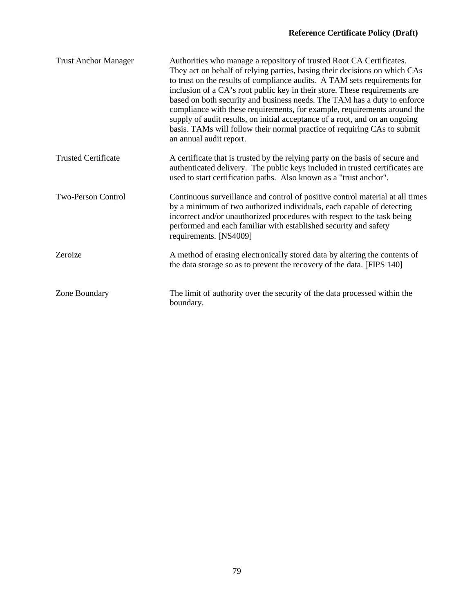| <b>Trust Anchor Manager</b> | Authorities who manage a repository of trusted Root CA Certificates.<br>They act on behalf of relying parties, basing their decisions on which CAs<br>to trust on the results of compliance audits. A TAM sets requirements for<br>inclusion of a CA's root public key in their store. These requirements are<br>based on both security and business needs. The TAM has a duty to enforce<br>compliance with these requirements, for example, requirements around the<br>supply of audit results, on initial acceptance of a root, and on an ongoing<br>basis. TAMs will follow their normal practice of requiring CAs to submit<br>an annual audit report. |
|-----------------------------|-------------------------------------------------------------------------------------------------------------------------------------------------------------------------------------------------------------------------------------------------------------------------------------------------------------------------------------------------------------------------------------------------------------------------------------------------------------------------------------------------------------------------------------------------------------------------------------------------------------------------------------------------------------|
| <b>Trusted Certificate</b>  | A certificate that is trusted by the relying party on the basis of secure and<br>authenticated delivery. The public keys included in trusted certificates are<br>used to start certification paths. Also known as a "trust anchor".                                                                                                                                                                                                                                                                                                                                                                                                                         |
| <b>Two-Person Control</b>   | Continuous surveillance and control of positive control material at all times<br>by a minimum of two authorized individuals, each capable of detecting<br>incorrect and/or unauthorized procedures with respect to the task being<br>performed and each familiar with established security and safety<br>requirements. [NS4009]                                                                                                                                                                                                                                                                                                                             |
| Zeroize                     | A method of erasing electronically stored data by altering the contents of<br>the data storage so as to prevent the recovery of the data. [FIPS 140]                                                                                                                                                                                                                                                                                                                                                                                                                                                                                                        |
| Zone Boundary               | The limit of authority over the security of the data processed within the<br>boundary.                                                                                                                                                                                                                                                                                                                                                                                                                                                                                                                                                                      |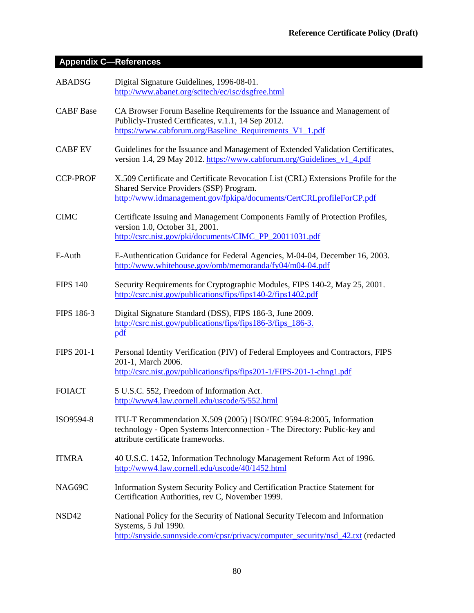# **Appendix C—References**

| <b>ABADSG</b>     | Digital Signature Guidelines, 1996-08-01.<br>http://www.abanet.org/scitech/ec/isc/dsgfree.html                                                                                                        |
|-------------------|-------------------------------------------------------------------------------------------------------------------------------------------------------------------------------------------------------|
| <b>CABF</b> Base  | CA Browser Forum Baseline Requirements for the Issuance and Management of<br>Publicly-Trusted Certificates, v.1.1, 14 Sep 2012.<br>https://www.cabforum.org/Baseline_Requirements_V1_1.pdf            |
| <b>CABF EV</b>    | Guidelines for the Issuance and Management of Extended Validation Certificates,<br>version 1.4, 29 May 2012. https://www.cabforum.org/Guidelines_v1_4.pdf                                             |
| <b>CCP-PROF</b>   | X.509 Certificate and Certificate Revocation List (CRL) Extensions Profile for the<br>Shared Service Providers (SSP) Program.<br>http://www.idmanagement.gov/fpkipa/documents/CertCRLprofileForCP.pdf |
| <b>CIMC</b>       | Certificate Issuing and Management Components Family of Protection Profiles,<br>version 1.0, October 31, 2001.<br>http://csrc.nist.gov/pki/documents/CIMC_PP_20011031.pdf                             |
| E-Auth            | E-Authentication Guidance for Federal Agencies, M-04-04, December 16, 2003.<br>http://www.whitehouse.gov/omb/memoranda/fy04/m04-04.pdf                                                                |
| <b>FIPS 140</b>   | Security Requirements for Cryptographic Modules, FIPS 140-2, May 25, 2001.<br>http://csrc.nist.gov/publications/fips/fips140-2/fips1402.pdf                                                           |
| FIPS 186-3        | Digital Signature Standard (DSS), FIPS 186-3, June 2009.<br>http://csrc.nist.gov/publications/fips/fips186-3/fips 186-3.<br>pdf                                                                       |
| <b>FIPS 201-1</b> | Personal Identity Verification (PIV) of Federal Employees and Contractors, FIPS<br>201-1, March 2006.<br>http://csrc.nist.gov/publications/fips/fips201-1/FIPS-201-1-chng1.pdf                        |
| <b>FOIACT</b>     | 5 U.S.C. 552, Freedom of Information Act.<br>http://www4.law.cornell.edu/uscode/5/552.html                                                                                                            |
| ISO9594-8         | ITU-T Recommendation X.509 (2005)   ISO/IEC 9594-8:2005, Information<br>technology - Open Systems Interconnection - The Directory: Public-key and<br>attribute certificate frameworks.                |
| <b>ITMRA</b>      | 40 U.S.C. 1452, Information Technology Management Reform Act of 1996.<br>http://www4.law.cornell.edu/uscode/40/1452.html                                                                              |
| NAG69C            | Information System Security Policy and Certification Practice Statement for<br>Certification Authorities, rev C, November 1999.                                                                       |
| NSD42             | National Policy for the Security of National Security Telecom and Information<br>Systems, 5 Jul 1990.<br>http://snyside.sunnyside.com/cpsr/privacy/computer_security/nsd_42.txt (redacted             |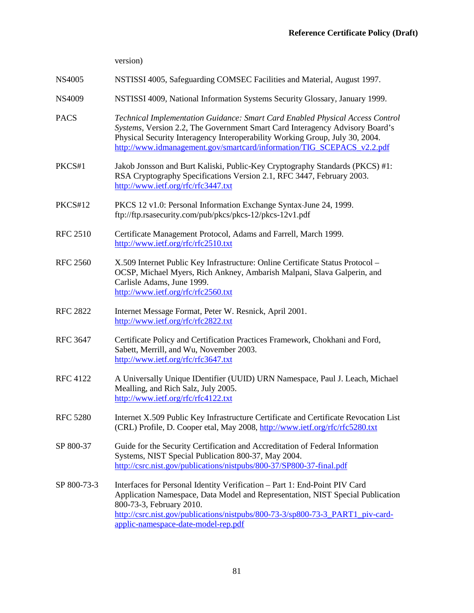version)

#### NS4005 NSTISSI 4005, Safeguarding COMSEC Facilities and Material, August 1997.

- NS4009 NSTISSI 4009, National Information Systems Security Glossary, January 1999.
- PACS *Technical Implementation Guidance: Smart Card Enabled Physical Access Control Systems*, Version 2.2, The Government Smart Card Interagency Advisory Board's Physical Security Interagency Interoperability Working Group, July 30, 2004. [http://www.idmanagement.gov/smartcard/information/TIG\\_SCEPACS\\_v2.2.pdf](http://www.idmanagement.gov/smartcard/information/TIG_SCEPACS_v2.2.pdf)
- PKCS#1 Jakob Jonsson and Burt Kaliski, Public-Key Cryptography Standards (PKCS) #1: RSA Cryptography Specifications Version 2.1, RFC 3447, February 2003. <http://www.ietf.org/rfc/rfc3447.txt>
- PKCS#12 PKCS 12 v1.0: Personal Information Exchange Syntax June 24, 1999. ftp://ftp.rsasecurity.com/pub/pkcs/pkcs-12/pkcs-12v1.pdf
- RFC 2510 Certificate Management Protocol, Adams and Farrell, March 1999. <http://www.ietf.org/rfc/rfc2510.txt>
- RFC 2560 X.509 Internet Public Key Infrastructure: Online Certificate Status Protocol OCSP, Michael Myers, Rich Ankney, Ambarish Malpani, Slava Galperin, and Carlisle Adams, June 1999. <http://www.ietf.org/rfc/rfc2560.txt>
- RFC 2822 Internet Message Format, Peter W. Resnick, April 2001. <http://www.ietf.org/rfc/rfc2822.txt>
- RFC 3647 Certificate Policy and Certification Practices Framework, Chokhani and Ford, Sabett, Merrill, and Wu, November 2003. <http://www.ietf.org/rfc/rfc3647.txt>
- RFC 4122 A Universally Unique IDentifier (UUID) URN Namespace, Paul J. Leach, Michael Mealling, and Rich Salz, July 2005. <http://www.ietf.org/rfc/rfc4122.txt>
- RFC 5280 Internet X.509 Public Key Infrastructure Certificate and Certificate Revocation List (CRL) Profile, D. Cooper etal, May 2008[, http://www.ietf.org/rfc/rfc5280.txt](http://www.ietf.org/rfc/rfc5280.txt)
- SP 800-37 Guide for the Security Certification and Accreditation of Federal Information Systems, NIST Special Publication 800-37, May 2004. <http://csrc.nist.gov/publications/nistpubs/800-37/SP800-37-final.pdf>
- SP 800-73-3 Interfaces for Personal Identity Verification Part 1: End-Point PIV Card Application Namespace, Data Model and Representation, NIST Special Publication 800-73-3, February 2010. [http://csrc.nist.gov/publications/nistpubs/800-73-3/sp800-73-3\\_PART1\\_piv-card](http://csrc.nist.gov/publications/nistpubs/800-73-3/sp800-73-3_PART1_piv-card-applic-namespace-date-model-rep.pdf)[applic-namespace-date-model-rep.pdf](http://csrc.nist.gov/publications/nistpubs/800-73-3/sp800-73-3_PART1_piv-card-applic-namespace-date-model-rep.pdf)